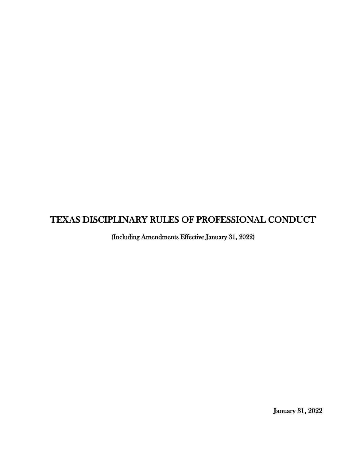# TEXAS DISCIPLINARY RULES OF PROFESSIONAL CONDUCT

(Including Amendments Effective January 31, 2022)

January 31, 2022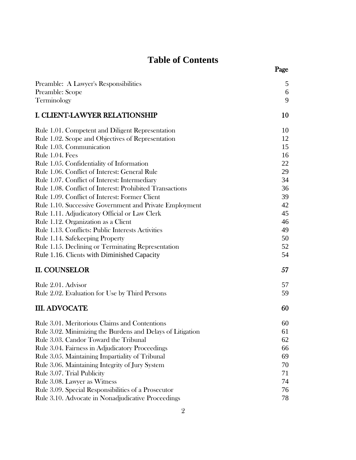# **Table of Contents**

|                                                            | Page |
|------------------------------------------------------------|------|
| Preamble: A Lawyer's Responsibilities                      | 5    |
| Preamble: Scope                                            | 6    |
| Terminology                                                | 9    |
| <b>I. CLIENT-LAWYER RELATIONSHIP</b>                       | 10   |
| Rule 1.01. Competent and Diligent Representation           | 10   |
| Rule 1.02. Scope and Objectives of Representation          | 12   |
| Rule 1.03. Communication                                   | 15   |
| Rule 1.04. Fees                                            | 16   |
| Rule 1.05. Confidentiality of Information                  | 22   |
| Rule 1.06. Conflict of Interest: General Rule              | 29   |
| Rule 1.07. Conflict of Interest: Intermediary              | 34   |
| Rule 1.08. Conflict of Interest: Prohibited Transactions   | 36   |
| Rule 1.09. Conflict of Interest: Former Client             | 39   |
| Rule 1.10. Successive Government and Private Employment    | 42   |
| Rule 1.11. Adjudicatory Official or Law Clerk              | 45   |
| Rule 1.12. Organization as a Client                        | 46   |
| Rule 1.13. Conflicts: Public Interests Activities          | 49   |
| Rule 1.14. Safekeeping Property                            | 50   |
| Rule 1.15. Declining or Terminating Representation         | 52   |
| Rule 1.16. Clients with Diminished Capacity                | 54   |
| <b>II. COUNSELOR</b>                                       | 57   |
| Rule 2.01. Advisor                                         | 57   |
| Rule 2.02. Evaluation for Use by Third Persons             | 59   |
| <b>III. ADVOCATE</b>                                       | 60   |
| Rule 3.01. Meritorious Claims and Contentions              | 60   |
| Rule 3.02. Minimizing the Burdens and Delays of Litigation | 61   |
| Rule 3.03. Candor Toward the Tribunal                      | 62   |
| Rule 3.04. Fairness in Adjudicatory Proceedings            | 66   |
| Rule 3.05. Maintaining Impartiality of Tribunal            | 69   |
| Rule 3.06. Maintaining Integrity of Jury System            | 70   |
| Rule 3.07. Trial Publicity                                 | 71   |
| Rule 3.08. Lawyer as Witness                               | 74   |
| Rule 3.09. Special Responsibilities of a Prosecutor        | 76   |
| Rule 3.10. Advocate in Nonadjudicative Proceedings         | 78   |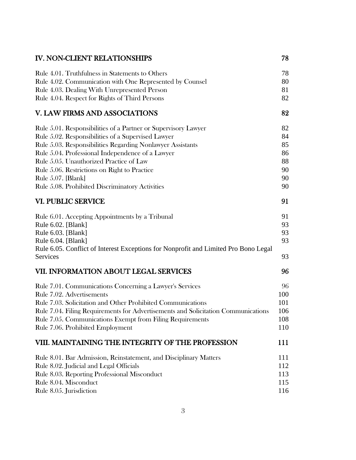| IV. NON-CLIENT RELATIONSHIPS                                                                                                                                                                                                                                                                                                                                                                                      | 78                                           |
|-------------------------------------------------------------------------------------------------------------------------------------------------------------------------------------------------------------------------------------------------------------------------------------------------------------------------------------------------------------------------------------------------------------------|----------------------------------------------|
| Rule 4.01. Truthfulness in Statements to Others<br>Rule 4.02. Communication with One Represented by Counsel<br>Rule 4.03. Dealing With Unrepresented Person<br>Rule 4.04. Respect for Rights of Third Persons                                                                                                                                                                                                     | 78<br>80<br>81<br>82                         |
| V. LAW FIRMS AND ASSOCIATIONS                                                                                                                                                                                                                                                                                                                                                                                     | 82                                           |
| Rule 5.01. Responsibilities of a Partner or Supervisory Lawyer<br>Rule 5.02. Responsibilities of a Supervised Lawyer<br>Rule 5.03. Responsibilities Regarding Nonlawyer Assistants<br>Rule 5.04. Professional Independence of a Lawyer<br>Rule 5.05. Unauthorized Practice of Law<br>Rule 5.06. Restrictions on Right to Practice<br><b>Rule 5.07. [Blank]</b><br>Rule 5.08. Prohibited Discriminatory Activities | 82<br>84<br>85<br>86<br>88<br>90<br>90<br>90 |
| VI. PUBLIC SERVICE                                                                                                                                                                                                                                                                                                                                                                                                | 91                                           |
| Rule 6.01. Accepting Appointments by a Tribunal<br>Rule 6.02. [Blank]<br>Rule 6.03. [Blank]<br>Rule 6.04. [Blank]<br>Rule 6.05. Conflict of Interest Exceptions for Nonprofit and Limited Pro Bono Legal<br>Services                                                                                                                                                                                              | 91<br>93<br>93<br>93<br>93                   |
| VII. INFORMATION ABOUT LEGAL SERVICES                                                                                                                                                                                                                                                                                                                                                                             | 96                                           |
| Rule 7.01. Communications Concerning a Lawyer's Services<br>Rule 7.02. Advertisements<br>Rule 7.03. Solicitation and Other Prohibited Communications<br>Rule 7.04. Filing Requirements for Advertisements and Solicitation Communications<br>Rule 7.05. Communications Exempt from Filing Requirements<br>Rule 7.06. Prohibited Employment                                                                        | 96<br>100<br>101<br>106<br>108<br>110        |
| VIII. MAINTAINING THE INTEGRITY OF THE PROFESSION                                                                                                                                                                                                                                                                                                                                                                 | 111                                          |
| Rule 8.01. Bar Admission, Reinstatement, and Disciplinary Matters<br>Rule 8.02. Judicial and Legal Officials<br>Rule 8.03. Reporting Professional Misconduct<br>Rule 8.04. Misconduct<br>Rule 8.05. Jurisdiction                                                                                                                                                                                                  | 111<br>112<br>113<br>115<br>116              |
|                                                                                                                                                                                                                                                                                                                                                                                                                   |                                              |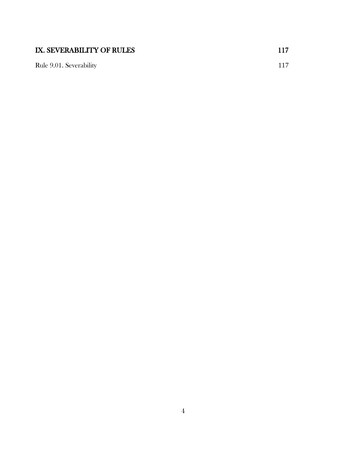| IX. SEVERABILITY OF RULES | -117 |
|---------------------------|------|
| Rule 9.01. Severability   | -117 |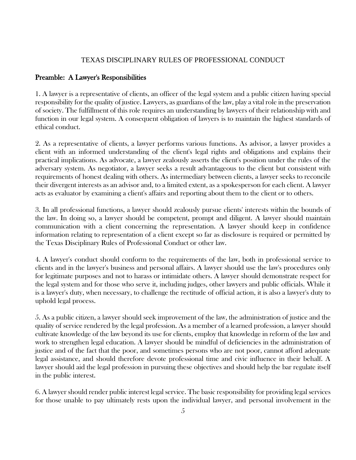# TEXAS DISCIPLINARY RULES OF PROFESSIONAL CONDUCT

# Preamble: A Lawyer's Responsibilities

1. A lawyer is a representative of clients, an officer of the legal system and a public citizen having special responsibility for the quality of justice. Lawyers, as guardians of the law, play a vital role in the preservation of society. The fulfillment of this role requires an understanding by lawyers of their relationship with and function in our legal system. A consequent obligation of lawyers is to maintain the highest standards of ethical conduct.

2. As a representative of clients, a lawyer performs various functions. As advisor, a lawyer provides a client with an informed understanding of the client's legal rights and obligations and explains their practical implications. As advocate, a lawyer zealously asserts the client's position under the rules of the adversary system. As negotiator, a lawyer seeks a result advantageous to the client but consistent with requirements of honest dealing with others. As intermediary between clients, a lawyer seeks to reconcile their divergent interests as an advisor and, to a limited extent, as a spokesperson for each client. A lawyer acts as evaluator by examining a client's affairs and reporting about them to the client or to others.

3. In all professional functions, a lawyer should zealously pursue clients' interests within the bounds of the law. In doing so, a lawyer should be competent, prompt and diligent. A lawyer should maintain communication with a client concerning the representation. A lawyer should keep in confidence information relating to representation of a client except so far as disclosure is required or permitted by the Texas Disciplinary Rules of Professional Conduct or other law.

4. A lawyer's conduct should conform to the requirements of the law, both in professional service to clients and in the lawyer's business and personal affairs. A lawyer should use the law's procedures only for legitimate purposes and not to harass or intimidate others. A lawyer should demonstrate respect for the legal system and for those who serve it, including judges, other lawyers and public officials. While it is a lawyer's duty, when necessary, to challenge the rectitude of official action, it is also a lawyer's duty to uphold legal process.

5. As a public citizen, a lawyer should seek improvement of the law, the administration of justice and the quality of service rendered by the legal profession. As a member of a learned profession, a lawyer should cultivate knowledge of the law beyond its use for clients, employ that knowledge in reform of the law and work to strengthen legal education. A lawyer should be mindful of deficiencies in the administration of justice and of the fact that the poor, and sometimes persons who are not poor, cannot afford adequate legal assistance, and should therefore devote professional time and civic influence in their behalf. A lawyer should aid the legal profession in pursuing these objectives and should help the bar regulate itself in the public interest.

6. A lawyer should render public interest legal service. The basic responsibility for providing legal services for those unable to pay ultimately rests upon the individual lawyer, and personal involvement in the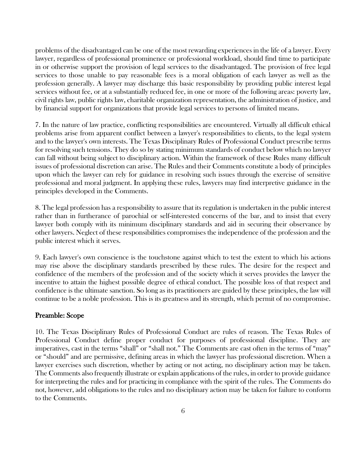problems of the disadvantaged can be one of the most rewarding experiences in the life of a lawyer. Every lawyer, regardless of professional prominence or professional workload, should find time to participate in or otherwise support the provision of legal services to the disadvantaged. The provision of free legal services to those unable to pay reasonable fees is a moral obligation of each lawyer as well as the profession generally. A lawyer may discharge this basic responsibility by providing public interest legal services without fee, or at a substantially reduced fee, in one or more of the following areas: poverty law, civil rights law, public rights law, charitable organization representation, the administration of justice, and by financial support for organizations that provide legal services to persons of limited means.

7. In the nature of law practice, conflicting responsibilities are encountered. Virtually all difficult ethical problems arise from apparent conflict between a lawyer's responsibilities to clients, to the legal system and to the lawyer's own interests. The Texas Disciplinary Rules of Professional Conduct prescribe terms for resolving such tensions. They do so by stating minimum standards of conduct below which no lawyer can fall without being subject to disciplinary action. Within the framework of these Rules many difficult issues of professional discretion can arise. The Rules and their Comments constitute a body of principles upon which the lawyer can rely for guidance in resolving such issues through the exercise of sensitive professional and moral judgment. In applying these rules, lawyers may find interpretive guidance in the principles developed in the Comments.

8. The legal profession has a responsibility to assure that its regulation is undertaken in the public interest rather than in furtherance of parochial or self-interested concerns of the bar, and to insist that every lawyer both comply with its minimum disciplinary standards and aid in securing their observance by other lawyers. Neglect of these responsibilities compromises the independence of the profession and the public interest which it serves.

9. Each lawyer's own conscience is the touchstone against which to test the extent to which his actions may rise above the disciplinary standards prescribed by these rules. The desire for the respect and confidence of the members of the profession and of the society which it serves provides the lawyer the incentive to attain the highest possible degree of ethical conduct. The possible loss of that respect and confidence is the ultimate sanction. So long as its practitioners are guided by these principles, the law will continue to be a noble profession. This is its greatness and its strength, which permit of no compromise.

# Preamble: Scope

10. The Texas Disciplinary Rules of Professional Conduct are rules of reason. The Texas Rules of Professional Conduct define proper conduct for purposes of professional discipline. They are imperatives, cast in the terms "shall" or "shall not." The Comments are cast often in the terms of "may" or "should" and are permissive, defining areas in which the lawyer has professional discretion. When a lawyer exercises such discretion, whether by acting or not acting, no disciplinary action may be taken. The Comments also frequently illustrate or explain applications of the rules, in order to provide guidance for interpreting the rules and for practicing in compliance with the spirit of the rules. The Comments do not, however, add obligations to the rules and no disciplinary action may be taken for failure to conform to the Comments.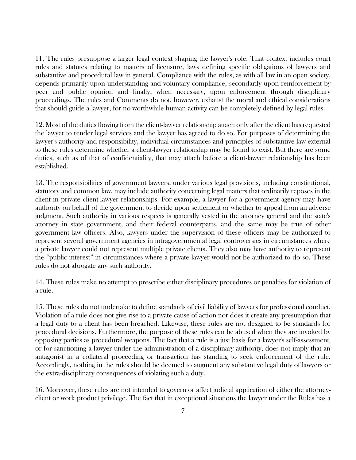11. The rules presuppose a larger legal context shaping the lawyer's role. That context includes court rules and statutes relating to matters of licensure, laws defining specific obligations of lawyers and substantive and procedural law in general. Compliance with the rules, as with all law in an open society, depends primarily upon understanding and voluntary compliance, secondarily upon reinforcement by peer and public opinion and finally, when necessary, upon enforcement through disciplinary proceedings. The rules and Comments do not, however, exhaust the moral and ethical considerations that should guide a lawyer, for no worthwhile human activity can be completely defined by legal rules.

12. Most of the duties flowing from the client-lawyer relationship attach only after the client has requested the lawyer to render legal services and the lawyer has agreed to do so. For purposes of determining the lawyer's authority and responsibility, individual circumstances and principles of substantive law external to these rules determine whether a client-lawyer relationship may be found to exist. But there are some duties, such as of that of confidentiality, that may attach before a client-lawyer relationship has been established.

13. The responsibilities of government lawyers, under various legal provisions, including constitutional, statutory and common law, may include authority concerning legal matters that ordinarily reposes in the client in private client-lawyer relationships. For example, a lawyer for a government agency may have authority on behalf of the government to decide upon settlement or whether to appeal from an adverse judgment. Such authority in various respects is generally vested in the attorney general and the state's attorney in state government, and their federal counterparts, and the same may be true of other government law officers. Also, lawyers under the supervision of these officers may be authorized to represent several government agencies in intragovernmental legal controversies in circumstances where a private lawyer could not represent multiple private clients. They also may have authority to represent the "public interest" in circumstances where a private lawyer would not be authorized to do so. These rules do not abrogate any such authority.

14. These rules make no attempt to prescribe either disciplinary procedures or penalties for violation of a rule.

15. These rules do not undertake to define standards of civil liability of lawyers for professional conduct. Violation of a rule does not give rise to a private cause of action nor does it create any presumption that a legal duty to a client has been breached. Likewise, these rules are not designed to be standards for procedural decisions. Furthermore, the purpose of these rules can be abused when they are invoked by opposing parties as procedural weapons. The fact that a rule is a just basis for a lawyer's self-assessment, or for sanctioning a lawyer under the administration of a disciplinary authority, does not imply that an antagonist in a collateral proceeding or transaction has standing to seek enforcement of the rule. Accordingly, nothing in the rules should be deemed to augment any substantive legal duty of lawyers or the extra-disciplinary consequences of violating such a duty.

16. Moreover, these rules are not intended to govern or affect judicial application of either the attorneyclient or work product privilege. The fact that in exceptional situations the lawyer under the Rules has a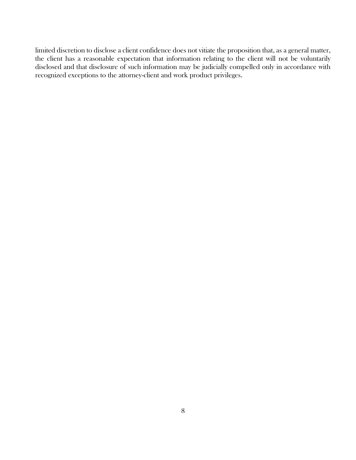limited discretion to disclose a client confidence does not vitiate the proposition that, as a general matter, the client has a reasonable expectation that information relating to the client will not be voluntarily disclosed and that disclosure of such information may be judicially compelled only in accordance with recognized exceptions to the attorney-client and work product privileges.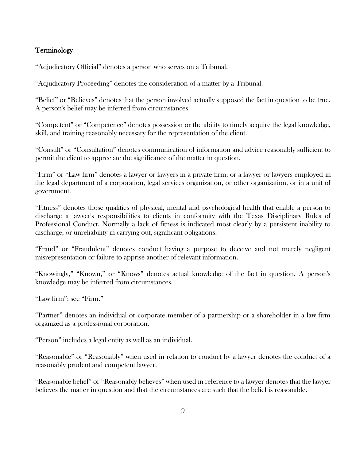# **Terminology**

"Adjudicatory Official" denotes a person who serves on a Tribunal.

"Adjudicatory Proceeding" denotes the consideration of a matter by a Tribunal.

"Belief" or "Believes" denotes that the person involved actually supposed the fact in question to be true. A person's belief may be inferred from circumstances.

"Competent" or "Competence" denotes possession or the ability to timely acquire the legal knowledge, skill, and training reasonably necessary for the representation of the client.

"Consult" or "Consultation" denotes communication of information and advice reasonably sufficient to permit the client to appreciate the significance of the matter in question.

"Firm" or "Law firm" denotes a lawyer or lawyers in a private firm; or a lawyer or lawyers employed in the legal department of a corporation, legal services organization, or other organization, or in a unit of government.

"Fitness" denotes those qualities of physical, mental and psychological health that enable a person to discharge a lawyer's responsibilities to clients in conformity with the Texas Disciplinary Rules of Professional Conduct. Normally a lack of fitness is indicated most clearly by a persistent inability to discharge, or unreliability in carrying out, significant obligations.

"Fraud" or "Fraudulent" denotes conduct having a purpose to deceive and not merely negligent misrepresentation or failure to apprise another of relevant information.

"Knowingly," "Known," or "Knows" denotes actual knowledge of the fact in question. A person's knowledge may be inferred from circumstances.

"Law firm": see "Firm."

"Partner" denotes an individual or corporate member of a partnership or a shareholder in a law firm organized as a professional corporation.

"Person" includes a legal entity as well as an individual.

"Reasonable" or "Reasonably" when used in relation to conduct by a lawyer denotes the conduct of a reasonably prudent and competent lawyer.

"Reasonable belief" or "Reasonably believes" when used in reference to a lawyer denotes that the lawyer believes the matter in question and that the circumstances are such that the belief is reasonable.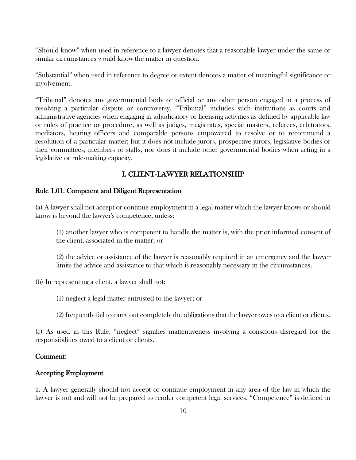"Should know" when used in reference to a lawyer denotes that a reasonable lawyer under the same or similar circumstances would know the matter in question.

"Substantial" when used in reference to degree or extent denotes a matter of meaningful significance or involvement.

"Tribunal" denotes any governmental body or official or any other person engaged in a process of resolving a particular dispute or controversy. "Tribunal" includes such institutions as courts and administrative agencies when engaging in adjudicatory or licensing activities as defined by applicable law or rules of practice or procedure, as well as judges, magistrates, special masters, referees, arbitrators, mediators, hearing officers and comparable persons empowered to resolve or to recommend a resolution of a particular matter; but it does not include jurors, prospective jurors, legislative bodies or their committees, members or staffs, nor does it include other governmental bodies when acting in a legislative or rule-making capacity.

# I. CLIENT-LAWYER RELATIONSHIP

## Rule 1.01. Competent and Diligent Representation

(a) A lawyer shall not accept or continue employment in a legal matter which the lawyer knows or should know is beyond the lawyer's competence, unless:

(1) another lawyer who is competent to handle the matter is, with the prior informed consent of the client, associated in the matter; or

(2) the advice or assistance of the lawyer is reasonably required in an emergency and the lawyer limits the advice and assistance to that which is reasonably necessary in the circumstances.

(b) In representing a client, a lawyer shall not:

(1) neglect a legal matter entrusted to the lawyer; or

(2) frequently fail to carry out completely the obligations that the lawyer owes to a client or clients.

(c) As used in this Rule, "neglect" signifies inattentiveness involving a conscious disregard for the responsibilities owed to a client or clients.

## Comment:

## Accepting Employment

1. A lawyer generally should not accept or continue employment in any area of the law in which the lawyer is not and will not be prepared to render competent legal services. "Competence" is defined in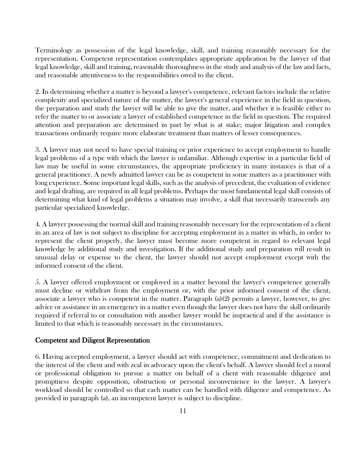Terminology as possession of the legal knowledge, skill, and training reasonably necessary for the representation. Competent representation contemplates appropriate application by the lawyer of that legal knowledge, skill and training, reasonable thoroughness in the study and analysis of the law and facts, and reasonable attentiveness to the responsibilities owed to the client.

2. In determining whether a matter is beyond a lawyer's competence, relevant factors include the relative complexity and specialized nature of the matter, the lawyer's general experience in the field in question, the preparation and study the lawyer will be able to give the matter, and whether it is feasible either to refer the matter to or associate a lawyer of established competence in the field in question. The required attention and preparation are determined in part by what is at stake; major litigation and complex transactions ordinarily require more elaborate treatment than matters of lesser consequences.

3. A lawyer may not need to have special training or prior experience to accept employment to handle legal problems of a type with which the lawyer is unfamiliar. Although expertise in a particular field of law may be useful in some circumstances, the appropriate proficiency in many instances is that of a general practitioner. A newly admitted lawyer can be as competent in some matters as a practitioner with long experience. Some important legal skills, such as the analysis of precedent, the evaluation of evidence and legal drafting, are required in all legal problems. Perhaps the most fundamental legal skill consists of determining what kind of legal problems a situation may involve, a skill that necessarily transcends any particular specialized knowledge.

4. A lawyer possessing the normal skill and training reasonably necessary for the representation of a client in an area of law is not subject to discipline for accepting employment in a matter in which, in order to represent the client properly, the lawyer must become more competent in regard to relevant legal knowledge by additional study and investigation. If the additional study and preparation will result in unusual delay or expense to the client, the lawyer should not accept employment except with the informed consent of the client.

5. A lawyer offered employment or employed in a matter beyond the lawyer's competence generally must decline or withdraw from the employment or, with the prior informed consent of the client, associate a lawyer who is competent in the matter. Paragraph (a)(2) permits a lawyer, however, to give advice or assistance in an emergency in a matter even though the lawyer does not have the skill ordinarily required if referral to or consultation with another lawyer would be impractical and if the assistance is limited to that which is reasonably necessary in the circumstances.

## Competent and Diligent Representation

6. Having accepted employment, a lawyer should act with competence, commitment and dedication to the interest of the client and with zeal in advocacy upon the client's behalf. A lawyer should feel a moral or professional obligation to pursue a matter on behalf of a client with reasonable diligence and promptness despite opposition, obstruction or personal inconvenience to the lawyer. A lawyer's workload should be controlled so that each matter can be handled with diligence and competence. As provided in paragraph (a), an incompetent lawyer is subject to discipline.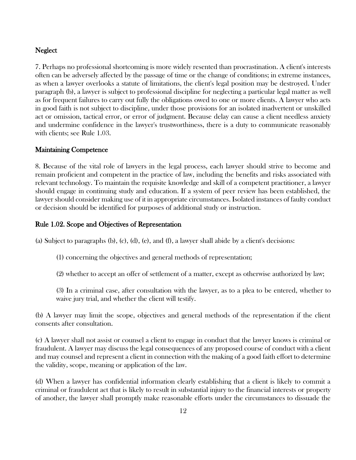# **Neglect**

7. Perhaps no professional shortcoming is more widely resented than procrastination. A client's interests often can be adversely affected by the passage of time or the change of conditions; in extreme instances, as when a lawyer overlooks a statute of limitations, the client's legal position may be destroyed. Under paragraph (b), a lawyer is subject to professional discipline for neglecting a particular legal matter as well as for frequent failures to carry out fully the obligations owed to one or more clients. A lawyer who acts in good faith is not subject to discipline, under those provisions for an isolated inadvertent or unskilled act or omission, tactical error, or error of judgment. Because delay can cause a client needless anxiety and undermine confidence in the lawyer's trustworthiness, there is a duty to communicate reasonably with clients; see Rule 1.03.

#### Maintaining Competence

8. Because of the vital role of lawyers in the legal process, each lawyer should strive to become and remain proficient and competent in the practice of law, including the benefits and risks associated with relevant technology. To maintain the requisite knowledge and skill of a competent practitioner, a lawyer should engage in continuing study and education. If a system of peer review has been established, the lawyer should consider making use of it in appropriate circumstances. Isolated instances of faulty conduct or decision should be identified for purposes of additional study or instruction.

#### Rule 1.02. Scope and Objectives of Representation

(a) Subject to paragraphs (b), (c), (d), (e), and (f), a lawyer shall abide by a client's decisions:

(1) concerning the objectives and general methods of representation;

(2) whether to accept an offer of settlement of a matter, except as otherwise authorized by law;

(3) In a criminal case, after consultation with the lawyer, as to a plea to be entered, whether to waive jury trial, and whether the client will testify.

(b) A lawyer may limit the scope, objectives and general methods of the representation if the client consents after consultation.

(c) A lawyer shall not assist or counsel a client to engage in conduct that the lawyer knows is criminal or fraudulent. A lawyer may discuss the legal consequences of any proposed course of conduct with a client and may counsel and represent a client in connection with the making of a good faith effort to determine the validity, scope, meaning or application of the law.

(d) When a lawyer has confidential information clearly establishing that a client is likely to commit a criminal or fraudulent act that is likely to result in substantial injury to the financial interests or property of another, the lawyer shall promptly make reasonable efforts under the circumstances to dissuade the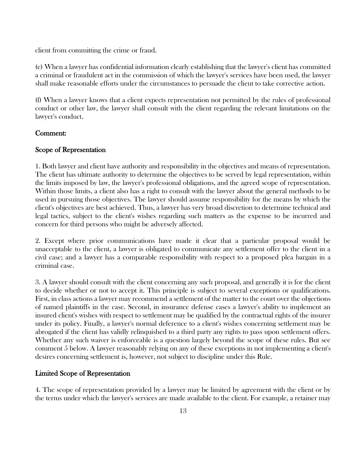client from committing the crime or fraud.

(e) When a lawyer has confidential information clearly establishing that the lawyer's client has committed a criminal or fraudulent act in the commission of which the lawyer's services have been used, the lawyer shall make reasonable efforts under the circumstances to persuade the client to take corrective action.

(f) When a lawyer knows that a client expects representation not permitted by the rules of professional conduct or other law, the lawyer shall consult with the client regarding the relevant limitations on the lawyer's conduct.

# Comment:

# Scope of Representation

1. Both lawyer and client have authority and responsibility in the objectives and means of representation. The client has ultimate authority to determine the objectives to be served by legal representation, within the limits imposed by law, the lawyer's professional obligations, and the agreed scope of representation. Within those limits, a client also has a right to consult with the lawyer about the general methods to be used in pursuing those objectives. The lawyer should assume responsibility for the means by which the client's objectives are best achieved. Thus, a lawyer has very broad discretion to determine technical and legal tactics, subject to the client's wishes regarding such matters as the expense to be incurred and concern for third persons who might be adversely affected.

2. Except where prior communications have made it clear that a particular proposal would be unacceptable to the client, a lawyer is obligated to communicate any settlement offer to the client in a civil case; and a lawyer has a comparable responsibility with respect to a proposed plea bargain in a criminal case.

3. A lawyer should consult with the client concerning any such proposal, and generally it is for the client to decide whether or not to accept it. This principle is subject to several exceptions or qualifications. First, in class actions a lawyer may recommend a settlement of the matter to the court over the objections of named plaintiffs in the case. Second, in insurance defense cases a lawyer's ability to implement an insured client's wishes with respect to settlement may be qualified by the contractual rights of the insurer under its policy. Finally, a lawyer's normal deference to a client's wishes concerning settlement may be abrogated if the client has validly relinquished to a third party any rights to pass upon settlement offers. Whether any such waiver is enforceable is a question largely beyond the scope of these rules. But see comment 5 below. A lawyer reasonably relying on any of these exceptions in not implementing a client's desires concerning settlement is, however, not subject to discipline under this Rule.

# Limited Scope of Representation

4. The scope of representation provided by a lawyer may be limited by agreement with the client or by the terms under which the lawyer's services are made available to the client. For example, a retainer may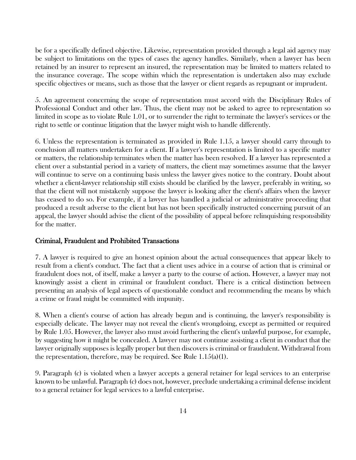be for a specifically defined objective. Likewise, representation provided through a legal aid agency may be subject to limitations on the types of cases the agency handles. Similarly, when a lawyer has been retained by an insurer to represent an insured, the representation may be limited to matters related to the insurance coverage. The scope within which the representation is undertaken also may exclude specific objectives or means, such as those that the lawyer or client regards as repugnant or imprudent.

5. An agreement concerning the scope of representation must accord with the Disciplinary Rules of Professional Conduct and other law. Thus, the client may not be asked to agree to representation so limited in scope as to violate Rule 1.01, or to surrender the right to terminate the lawyer's services or the right to settle or continue litigation that the lawyer might wish to handle differently.

6. Unless the representation is terminated as provided in Rule 1.15, a lawyer should carry through to conclusion all matters undertaken for a client. If a lawyer's representation is limited to a specific matter or matters, the relationship terminates when the matter has been resolved. If a lawyer has represented a client over a substantial period in a variety of matters, the client may sometimes assume that the lawyer will continue to serve on a continuing basis unless the lawyer gives notice to the contrary. Doubt about whether a client-lawyer relationship still exists should be clarified by the lawyer, preferably in writing, so that the client will not mistakenly suppose the lawyer is looking after the client's affairs when the lawyer has ceased to do so. For example, if a lawyer has handled a judicial or administrative proceeding that produced a result adverse to the client but has not been specifically instructed concerning pursuit of an appeal, the lawyer should advise the client of the possibility of appeal before relinquishing responsibility for the matter.

## Criminal, Fraudulent and Prohibited Transactions

7. A lawyer is required to give an honest opinion about the actual consequences that appear likely to result from a client's conduct. The fact that a client uses advice in a course of action that is criminal or fraudulent does not, of itself, make a lawyer a party to the course of action. However, a lawyer may not knowingly assist a client in criminal or fraudulent conduct. There is a critical distinction between presenting an analysis of legal aspects of questionable conduct and recommending the means by which a crime or fraud might be committed with impunity.

8. When a client's course of action has already begun and is continuing, the lawyer's responsibility is especially delicate. The lawyer may not reveal the client's wrongdoing, except as permitted or required by Rule 1.05. However, the lawyer also must avoid furthering the client's unlawful purpose, for example, by suggesting how it might be concealed. A lawyer may not continue assisting a client in conduct that the lawyer originally supposes is legally proper but then discovers is criminal or fraudulent. Withdrawal from the representation, therefore, may be required. See Rule  $1.15(a)(1)$ .

9. Paragraph (c) is violated when a lawyer accepts a general retainer for legal services to an enterprise known to be unlawful. Paragraph (c) does not, however, preclude undertaking a criminal defense incident to a general retainer for legal services to a lawful enterprise.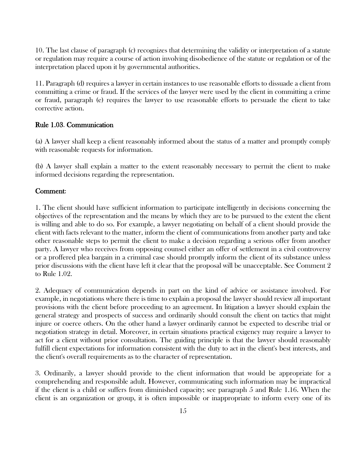10. The last clause of paragraph (c) recognizes that determining the validity or interpretation of a statute or regulation may require a course of action involving disobedience of the statute or regulation or of the interpretation placed upon it by governmental authorities.

11. Paragraph (d) requires a lawyer in certain instances to use reasonable efforts to dissuade a client from committing a crime or fraud. If the services of the lawyer were used by the client in committing a crime or fraud, paragraph (e) requires the lawyer to use reasonable efforts to persuade the client to take corrective action.

# Rule 1.03. Communication

(a) A lawyer shall keep a client reasonably informed about the status of a matter and promptly comply with reasonable requests for information.

(b) A lawyer shall explain a matter to the extent reasonably necessary to permit the client to make informed decisions regarding the representation.

#### Comment:

1. The client should have sufficient information to participate intelligently in decisions concerning the objectives of the representation and the means by which they are to be pursued to the extent the client is willing and able to do so. For example, a lawyer negotiating on behalf of a client should provide the client with facts relevant to the matter, inform the client of communications from another party and take other reasonable steps to permit the client to make a decision regarding a serious offer from another party. A lawyer who receives from opposing counsel either an offer of settlement in a civil controversy or a proffered plea bargain in a criminal case should promptly inform the client of its substance unless prior discussions with the client have left it clear that the proposal will be unacceptable. See Comment 2 to Rule 1.02.

2. Adequacy of communication depends in part on the kind of advice or assistance involved. For example, in negotiations where there is time to explain a proposal the lawyer should review all important provisions with the client before proceeding to an agreement. In litigation a lawyer should explain the general strategy and prospects of success and ordinarily should consult the client on tactics that might injure or coerce others. On the other hand a lawyer ordinarily cannot be expected to describe trial or negotiation strategy in detail. Moreover, in certain situations practical exigency may require a lawyer to act for a client without prior consultation. The guiding principle is that the lawyer should reasonably fulfill client expectations for information consistent with the duty to act in the client's best interests, and the client's overall requirements as to the character of representation.

3. Ordinarily, a lawyer should provide to the client information that would be appropriate for a comprehending and responsible adult. However, communicating such information may be impractical if the client is a child or suffers from diminished capacity; see paragraph 5 and Rule 1.16. When the client is an organization or group, it is often impossible or inappropriate to inform every one of its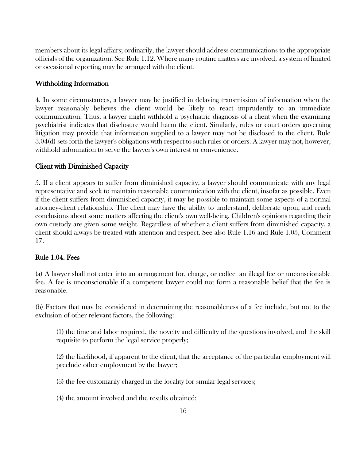members about its legal affairs; ordinarily, the lawyer should address communications to the appropriate officials of the organization. See Rule 1.12. Where many routine matters are involved, a system of limited or occasional reporting may be arranged with the client.

# Withholding Information

4. In some circumstances, a lawyer may be justified in delaying transmission of information when the lawyer reasonably believes the client would be likely to react imprudently to an immediate communication. Thus, a lawyer might withhold a psychiatric diagnosis of a client when the examining psychiatrist indicates that disclosure would harm the client. Similarly, rules or court orders governing litigation may provide that information supplied to a lawyer may not be disclosed to the client. Rule 3.04(d) sets forth the lawyer's obligations with respect to such rules or orders. A lawyer may not, however, withhold information to serve the lawyer's own interest or convenience.

# Client with Diminished Capacity

5. If a client appears to suffer from diminished capacity, a lawyer should communicate with any legal representative and seek to maintain reasonable communication with the client, insofar as possible. Even if the client suffers from diminished capacity, it may be possible to maintain some aspects of a normal attorney-client relationship. The client may have the ability to understand, deliberate upon, and reach conclusions about some matters affecting the client's own well-being. Children's opinions regarding their own custody are given some weight. Regardless of whether a client suffers from diminished capacity, a client should always be treated with attention and respect. See also Rule 1.16 and Rule 1.05, Comment 17.

# Rule 1.04. Fees

(a) A lawyer shall not enter into an arrangement for, charge, or collect an illegal fee or unconscionable fee. A fee is unconscionable if a competent lawyer could not form a reasonable belief that the fee is reasonable.

(b) Factors that may be considered in determining the reasonableness of a fee include, but not to the exclusion of other relevant factors, the following:

(1) the time and labor required, the novelty and difficulty of the questions involved, and the skill requisite to perform the legal service properly;

(2) the likelihood, if apparent to the client, that the acceptance of the particular employment will preclude other employment by the lawyer;

(3) the fee customarily charged in the locality for similar legal services;

(4) the amount involved and the results obtained;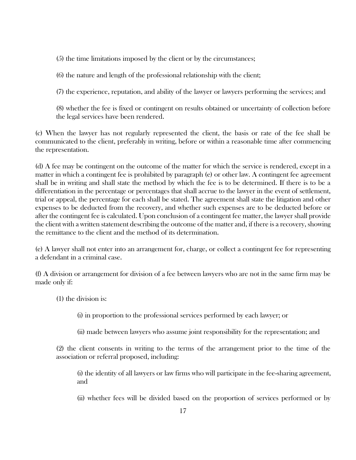(5) the time limitations imposed by the client or by the circumstances;

(6) the nature and length of the professional relationship with the client;

(7) the experience, reputation, and ability of the lawyer or lawyers performing the services; and

(8) whether the fee is fixed or contingent on results obtained or uncertainty of collection before the legal services have been rendered.

(c) When the lawyer has not regularly represented the client, the basis or rate of the fee shall be communicated to the client, preferably in writing, before or within a reasonable time after commencing the representation.

(d) A fee may be contingent on the outcome of the matter for which the service is rendered, except in a matter in which a contingent fee is prohibited by paragraph (e) or other law. A contingent fee agreement shall be in writing and shall state the method by which the fee is to be determined. If there is to be a differentiation in the percentage or percentages that shall accrue to the lawyer in the event of settlement, trial or appeal, the percentage for each shall be stated. The agreement shall state the litigation and other expenses to be deducted from the recovery, and whether such expenses are to be deducted before or after the contingent fee is calculated. Upon conclusion of a contingent fee matter, the lawyer shall provide the client with a written statement describing the outcome of the matter and, if there is a recovery, showing the remittance to the client and the method of its determination.

(e) A lawyer shall not enter into an arrangement for, charge, or collect a contingent fee for representing a defendant in a criminal case.

(f) A division or arrangement for division of a fee between lawyers who are not in the same firm may be made only if:

(1) the division is:

(i) in proportion to the professional services performed by each lawyer; or

(ii) made between lawyers who assume joint responsibility for the representation; and

(2) the client consents in writing to the terms of the arrangement prior to the time of the association or referral proposed, including:

(i) the identity of all lawyers or law firms who will participate in the fee-sharing agreement, and

(ii) whether fees will be divided based on the proportion of services performed or by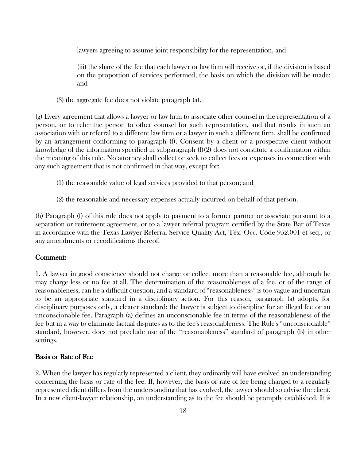lawyers agreeing to assume joint responsibility for the representation, and

(iii) the share of the fee that each lawyer or law firm will receive or, if the division is based on the proportion of services performed, the basis on which the division will be made; and

(3) the aggregate fee does not violate paragraph (a).

(g) Every agreement that allows a lawyer or law firm to associate other counsel in the representation of a person, or to refer the person to other counsel for such representation, and that results in such an association with or referral to a different law firm or a lawyer in such a different firm, shall be confirmed by an arrangement conforming to paragraph (f). Consent by a client or a prospective client without knowledge of the information specified in subparagraph (f)(2) does not constitute a confirmation within the meaning of this rule. No attorney shall collect or seek to collect fees or expenses in connection with any such agreement that is not confirmed in that way, except for:

(1) the reasonable value of legal services provided to that person; and

(2) the reasonable and necessary expenses actually incurred on behalf of that person.

(h) Paragraph (f) of this rule does not apply to payment to a former partner or associate pursuant to a separation or retirement agreement, or to a lawyer referral program certified by the State Bar of Texas in accordance with the Texas Lawyer Referral Service Quality Act, [Tex. Occ. Code 952.001 et seq.,](http://www.westlaw.com/Find/Default.wl?rs=dfa1.0&vr=2.0&DB=1016178&DocName=TXOCS952.001&FindType=L) or any amendments or recodifications thereof.

#### Comment:

1. A lawyer in good conscience should not charge or collect more than a reasonable fee, although he may charge less or no fee at all. The determination of the reasonableness of a fee, or of the range of reasonableness, can be a difficult question, and a standard of "reasonableness" is too vague and uncertain to be an appropriate standard in a disciplinary action. For this reason, paragraph (a) adopts, for disciplinary purposes only, a clearer standard: the lawyer is subject to discipline for an illegal fee or an unconscionable fee. Paragraph (a) defines an unconscionable fee in terms of the reasonableness of the fee but in a way to eliminate factual disputes as to the fee's reasonableness. The Rule's "unconscionable" standard, however, does not preclude use of the "reasonableness" standard of paragraph (b) in other settings.

#### Basis or Rate of Fee

2. When the lawyer has regularly represented a client, they ordinarily will have evolved an understanding concerning the basis or rate of the fee. If, however, the basis or rate of fee being charged to a regularly represented client differs from the understanding that has evolved, the lawyer should so advise the client. In a new client-lawyer relationship, an understanding as to the fee should be promptly established. It is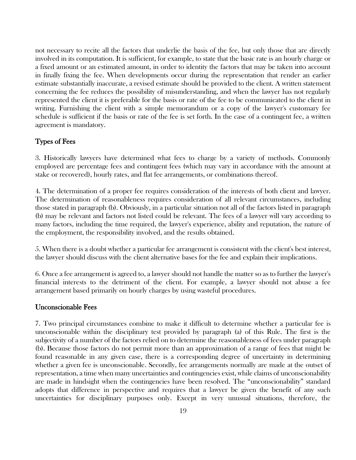not necessary to recite all the factors that underlie the basis of the fee, but only those that are directly involved in its computation. It is sufficient, for example, to state that the basic rate is an hourly charge or a fixed amount or an estimated amount, in order to identity the factors that may be taken into account in finally fixing the fee. When developments occur during the representation that render an earlier estimate substantially inaccurate, a revised estimate should be provided to the client. A written statement concerning the fee reduces the possibility of misunderstanding, and when the lawyer has not regularly represented the client it is preferable for the basis or rate of the fee to be communicated to the client in writing. Furnishing the client with a simple memorandum or a copy of the lawyer's customary fee schedule is sufficient if the basis or rate of the fee is set forth. In the case of a contingent fee, a written agreement is mandatory.

# Types of Fees

3. Historically lawyers have determined what fees to charge by a variety of methods. Commonly employed are percentage fees and contingent fees (which may vary in accordance with the amount at stake or recovered), hourly rates, and flat fee arrangements, or combinations thereof.

4. The determination of a proper fee requires consideration of the interests of both client and lawyer. The determination of reasonableness requires consideration of all relevant circumstances, including those stated in paragraph (b). Obviously, in a particular situation not all of the factors listed in paragraph (b) may be relevant and factors not listed could be relevant. The fees of a lawyer will vary according to many factors, including the time required, the lawyer's experience, ability and reputation, the nature of the employment, the responsibility involved, and the results obtained.

5. When there is a doubt whether a particular fee arrangement is consistent with the client's best interest, the lawyer should discuss with the client alternative bases for the fee and explain their implications.

6. Once a fee arrangement is agreed to, a lawyer should not handle the matter so as to further the lawyer's financial interests to the detriment of the client. For example, a lawyer should not abuse a fee arrangement based primarily on hourly charges by using wasteful procedures.

## Unconscionable Fees

7. Two principal circumstances combine to make it difficult to determine whether a particular fee is unconscionable within the disciplinary test provided by paragraph (a) of this Rule. The first is the subjectivity of a number of the factors relied on to determine the reasonableness of fees under paragraph (b). Because those factors do not permit more than an approximation of a range of fees that might be found reasonable in any given case, there is a corresponding degree of uncertainty in determining whether a given fee is unconscionable. Secondly, fee arrangements normally are made at the outset of representation, a time when many uncertainties and contingencies exist, while claims of unconscionability are made in hindsight when the contingencies have been resolved. The "unconscionability" standard adopts that difference in perspective and requires that a lawyer be given the benefit of any such uncertainties for disciplinary purposes only. Except in very unusual situations, therefore, the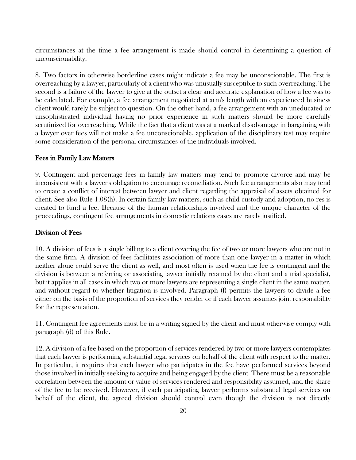circumstances at the time a fee arrangement is made should control in determining a question of unconscionability.

8. Two factors in otherwise borderline cases might indicate a fee may be unconscionable. The first is overreaching by a lawyer, particularly of a client who was unusually susceptible to such overreaching. The second is a failure of the lawyer to give at the outset a clear and accurate explanation of how a fee was to be calculated. For example, a fee arrangement negotiated at arm's length with an experienced business client would rarely be subject to question. On the other hand, a fee arrangement with an uneducated or unsophisticated individual having no prior experience in such matters should be more carefully scrutinized for overreaching. While the fact that a client was at a marked disadvantage in bargaining with a lawyer over fees will not make a fee unconscionable, application of the disciplinary test may require some consideration of the personal circumstances of the individuals involved.

## Fees in Family Law Matters

9. Contingent and percentage fees in family law matters may tend to promote divorce and may be inconsistent with a lawyer's obligation to encourage reconciliation. Such fee arrangements also may tend to create a conflict of interest between lawyer and client regarding the appraisal of assets obtained for client. See also Rule 1.08(h). In certain family law matters, such as child custody and adoption, no res is created to fund a fee. Because of the human relationships involved and the unique character of the proceedings, contingent fee arrangements in domestic relations cases are rarely justified.

#### Division of Fees

10. A division of fees is a single billing to a client covering the fee of two or more lawyers who are not in the same firm. A division of fees facilitates association of more than one lawyer in a matter in which neither alone could serve the client as well, and most often is used when the fee is contingent and the division is between a referring or associating lawyer initially retained by the client and a trial specialist, but it applies in all cases in which two or more lawyers are representing a single client in the same matter, and without regard to whether litigation is involved. Paragraph (f) permits the lawyers to divide a fee either on the basis of the proportion of services they render or if each lawyer assumes joint responsibility for the representation.

11. Contingent fee agreements must be in a writing signed by the client and must otherwise comply with paragraph (d) of this Rule.

12. A division of a fee based on the proportion of services rendered by two or more lawyers contemplates that each lawyer is performing substantial legal services on behalf of the client with respect to the matter. In particular, it requires that each lawyer who participates in the fee have performed services beyond those involved in initially seeking to acquire and being engaged by the client. There must be a reasonable correlation between the amount or value of services rendered and responsibility assumed, and the share of the fee to be received. However, if each participating lawyer performs substantial legal services on behalf of the client, the agreed division should control even though the division is not directly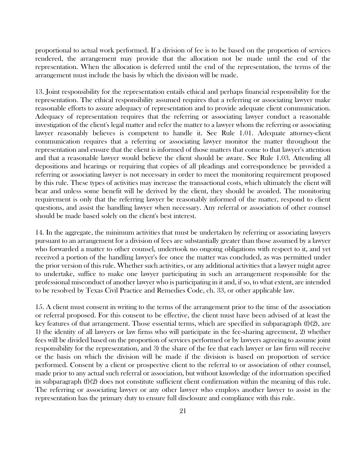proportional to actual work performed. If a division of fee is to be based on the proportion of services rendered, the arrangement may provide that the allocation not be made until the end of the representation. When the allocation is deferred until the end of the representation, the terms of the arrangement must include the basis by which the division will be made.

13. Joint responsibility for the representation entails ethical and perhaps financial responsibility for the representation. The ethical responsibility assumed requires that a referring or associating lawyer make reasonable efforts to assure adequacy of representation and to provide adequate client communication. Adequacy of representation requires that the referring or associating lawyer conduct a reasonable investigation of the client's legal matter and refer the matter to a lawyer whom the referring or associating lawyer reasonably believes is competent to handle it. See Rule 1.01. Adequate attorney-client communication requires that a referring or associating lawyer monitor the matter throughout the representation and ensure that the client is informed of those matters that come to that lawyer's attention and that a reasonable lawyer would believe the client should be aware. See Rule 1.03. Attending all depositions and hearings or requiring that copies of all pleadings and correspondence be provided a referring or associating lawyer is not necessary in order to meet the monitoring requirement proposed by this rule. These types of activities may increase the transactional costs, which ultimately the client will bear and unless some benefit will be derived by the client, they should be avoided. The monitoring requirement is only that the referring lawyer be reasonably informed of the matter, respond to client questions, and assist the handling lawyer when necessary. Any referral or association of other counsel should be made based solely on the client's best interest.

14. In the aggregate, the minimum activities that must be undertaken by referring or associating lawyers pursuant to an arrangement for a division of fees are substantially greater than those assumed by a lawyer who forwarded a matter to other counsel, undertook no ongoing obligations with respect to it, and yet received a portion of the handling lawyer's fee once the matter was concluded, as was permitted under the prior version of this rule. Whether such activities, or any additional activities that a lawyer might agree to undertake, suffice to make one lawyer participating in such an arrangement responsible for the professional misconduct of another lawyer who is participating in it and, if so, to what extent, are intended to be resolved by Texas Civil Practice and Remedies Code, ch. 33, or other applicable law.

15. A client must consent in writing to the terms of the arrangement prior to the time of the association or referral proposed. For this consent to be effective, the client must have been advised of at least the key features of that arrangement. Those essential terms, which are specified in subparagraph (f)(2), are 1) the identity of all lawyers or law firms who will participate in the fee-sharing agreement, 2) whether fees will be divided based on the proportion of services performed or by lawyers agreeing to assume joint responsibility for the representation, and 3) the share of the fee that each lawyer or law firm will receive or the basis on which the division will be made if the division is based on proportion of service performed. Consent by a client or prospective client to the referral to or association of other counsel, made prior to any actual such referral or association, but without knowledge of the information specified in subparagraph (f)(2) does not constitute sufficient client confirmation within the meaning of this rule. The referring or associating lawyer or any other lawyer who employs another lawyer to assist in the representation has the primary duty to ensure full disclosure and compliance with this rule.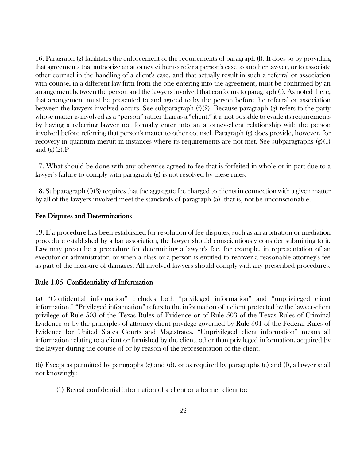16. Paragraph (g) facilitates the enforcement of the requirements of paragraph (f). It does so by providing that agreements that authorize an attorney either to refer a person's case to another lawyer, or to associate other counsel in the handling of a client's case, and that actually result in such a referral or association with counsel in a different law firm from the one entering into the agreement, must be confirmed by an arrangement between the person and the lawyers involved that conforms to paragraph (f). As noted there, that arrangement must be presented to and agreed to by the person before the referral or association between the lawyers involved occurs. See subparagraph (f)(2). Because paragraph (g) refers to the party whose matter is involved as a "person" rather than as a "client," it is not possible to evade its requirements by having a referring lawyer not formally enter into an attorney-client relationship with the person involved before referring that person's matter to other counsel. Paragraph (g) does provide, however, for recovery in quantum meruit in instances where its requirements are not met. See subparagraphs  $(g(1))$ and  $(g)(2).P$ 

17. What should be done with any otherwise agreed-to fee that is forfeited in whole or in part due to a lawyer's failure to comply with paragraph (g) is not resolved by these rules.

18. Subparagraph (f)(3) requires that the aggregate fee charged to clients in connection with a given matter by all of the lawyers involved meet the standards of paragraph (a)--that is, not be unconscionable.

# Fee Disputes and Determinations

19. If a procedure has been established for resolution of fee disputes, such as an arbitration or mediation procedure established by a bar association, the lawyer should conscientiously consider submitting to it. Law may prescribe a procedure for determining a lawyer's fee, for example, in representation of an executor or administrator, or when a class or a person is entitled to recover a reasonable attorney's fee as part of the measure of damages. All involved lawyers should comply with any prescribed procedures.

## Rule 1.05. Confidentiality of Information

(a) "Confidential information" includes both "privileged information" and "unprivileged client information." "Privileged information" refers to the information of a client protected by the lawyer-client privilege of Rule 503 of the Texas Rules of Evidence or of Rule 503 of the Texas Rules of Criminal Evidence or by the principles of attorney-client privilege governed by Rule 501 of the Federal Rules of Evidence for United States Courts and Magistrates. "Unprivileged client information" means all information relating to a client or furnished by the client, other than privileged information, acquired by the lawyer during the course of or by reason of the representation of the client.

(b) Except as permitted by paragraphs (c) and (d), or as required by paragraphs (e) and (f), a lawyer shall not knowingly:

(1) Reveal confidential information of a client or a former client to: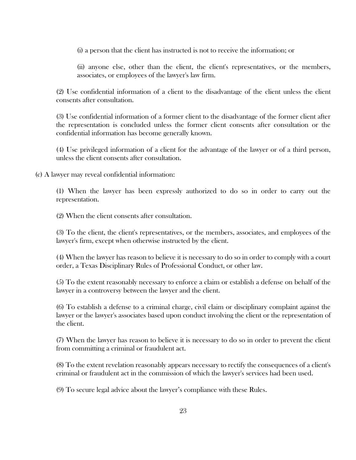(i) a person that the client has instructed is not to receive the information; or

(ii) anyone else, other than the client, the client's representatives, or the members, associates, or employees of the lawyer's law firm.

(2) Use confidential information of a client to the disadvantage of the client unless the client consents after consultation.

(3) Use confidential information of a former client to the disadvantage of the former client after the representation is concluded unless the former client consents after consultation or the confidential information has become generally known.

(4) Use privileged information of a client for the advantage of the lawyer or of a third person, unless the client consents after consultation.

(c) A lawyer may reveal confidential information:

(1) When the lawyer has been expressly authorized to do so in order to carry out the representation.

(2) When the client consents after consultation.

(3) To the client, the client's representatives, or the members, associates, and employees of the lawyer's firm, except when otherwise instructed by the client.

(4) When the lawyer has reason to believe it is necessary to do so in order to comply with a court order, a Texas Disciplinary Rules of Professional Conduct, or other law.

(5) To the extent reasonably necessary to enforce a claim or establish a defense on behalf of the lawyer in a controversy between the lawyer and the client.

(6) To establish a defense to a criminal charge, civil claim or disciplinary complaint against the lawyer or the lawyer's associates based upon conduct involving the client or the representation of the client.

(7) When the lawyer has reason to believe it is necessary to do so in order to prevent the client from committing a criminal or fraudulent act.

(8) To the extent revelation reasonably appears necessary to rectify the consequences of a client's criminal or fraudulent act in the commission of which the lawyer's services had been used.

(9) To secure legal advice about the lawyer's compliance with these Rules.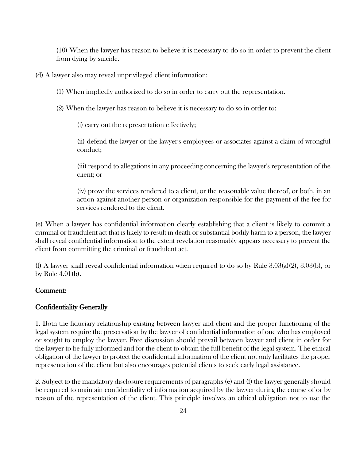(10) When the lawyer has reason to believe it is necessary to do so in order to prevent the client from dying by suicide.

(d) A lawyer also may reveal unprivileged client information:

(1) When impliedly authorized to do so in order to carry out the representation.

(2) When the lawyer has reason to believe it is necessary to do so in order to:

(i) carry out the representation effectively;

(ii) defend the lawyer or the lawyer's employees or associates against a claim of wrongful conduct;

(iii) respond to allegations in any proceeding concerning the lawyer's representation of the client; or

(iv) prove the services rendered to a client, or the reasonable value thereof, or both, in an action against another person or organization responsible for the payment of the fee for services rendered to the client.

(e) When a lawyer has confidential information clearly establishing that a client is likely to commit a criminal or fraudulent act that is likely to result in death or substantial bodily harm to a person, the lawyer shall reveal confidential information to the extent revelation reasonably appears necessary to prevent the client from committing the criminal or fraudulent act.

(f) A lawyer shall reveal confidential information when required to do so by Rule 3.03(a)(2), 3.03(b), or by [Rule 4.01\(](http://www.westlaw.com/Find/Default.wl?rs=dfa1.0&vr=2.0&DB=1003812&DocName=TXSTRPCR4.01&FindType=L)b).

# Comment:

# Confidentiality Generally

1. Both the fiduciary relationship existing between lawyer and client and the proper functioning of the legal system require the preservation by the lawyer of confidential information of one who has employed or sought to employ the lawyer. Free discussion should prevail between lawyer and client in order for the lawyer to be fully informed and for the client to obtain the full benefit of the legal system. The ethical obligation of the lawyer to protect the confidential information of the client not only facilitates the proper representation of the client but also encourages potential clients to seek early legal assistance.

2. Subject to the mandatory disclosure requirements of paragraphs (e) and (f) the lawyer generally should be required to maintain confidentiality of information acquired by the lawyer during the course of or by reason of the representation of the client. This principle involves an ethical obligation not to use the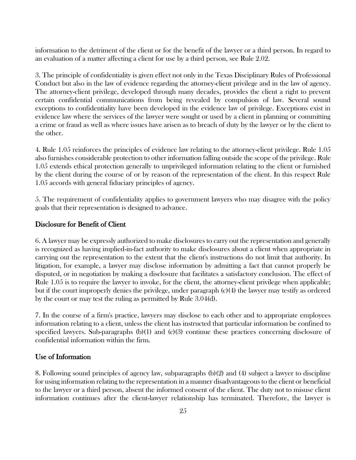information to the detriment of the client or for the benefit of the lawyer or a third person. In regard to an evaluation of a matter affecting a client for use by a third person, see Rule 2.02.

3. The principle of confidentiality is given effect not only in the Texas Disciplinary Rules of Professional Conduct but also in the law of evidence regarding the attorney-client privilege and in the law of agency. The attorney-client privilege, developed through many decades, provides the client a right to prevent certain confidential communications from being revealed by compulsion of law. Several sound exceptions to confidentiality have been developed in the evidence law of privilege. Exceptions exist in evidence law where the services of the lawyer were sought or used by a client in planning or committing a crime or fraud as well as where issues have arisen as to breach of duty by the lawyer or by the client to the other.

4. Rule 1.05 reinforces the principles of evidence law relating to the attorney-client privilege. Rule 1.05 also furnishes considerable protection to other information falling outside the scope of the privilege. Rule 1.05 extends ethical protection generally to unprivileged information relating to the client or furnished by the client during the course of or by reason of the representation of the client. In this respect Rule 1.05 accords with general fiduciary principles of agency.

5. The requirement of confidentiality applies to government lawyers who may disagree with the policy goals that their representation is designed to advance.

# Disclosure for Benefit of Client

6. A lawyer may be expressly authorized to make disclosures to carry out the representation and generally is recognized as having implied-in-fact authority to make disclosures about a client when appropriate in carrying out the representation to the extent that the client's instructions do not limit that authority. In litigation, for example, a lawyer may disclose information by admitting a fact that cannot properly be disputed, or in negotiation by making a disclosure that facilitates a satisfactory conclusion. The effect of Rule 1.05 is to require the lawyer to invoke, for the client, the attorney-client privilege when applicable; but if the court improperly denies the privilege, under paragraph (c)(4) the lawyer may testify as ordered by the court or may test the ruling as permitted by Rule 3.04(d).

7. In the course of a firm's practice, lawyers may disclose to each other and to appropriate employees information relating to a client, unless the client has instructed that particular information be confined to specified lawyers. Sub-paragraphs (b)(1) and (c)(3) continue these practices concerning disclosure of confidential information within the firm.

## Use of Information

8. Following sound principles of agency law, subparagraphs (b)(2) and (4) subject a lawyer to discipline for using information relating to the representation in a manner disadvantageous to the client or beneficial to the lawyer or a third person, absent the informed consent of the client. The duty not to misuse client information continues after the client-lawyer relationship has terminated. Therefore, the lawyer is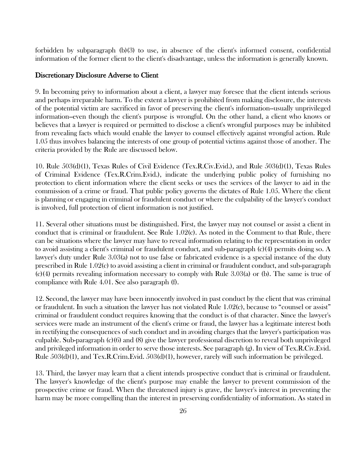forbidden by subparagraph (b)(3) to use, in absence of the client's informed consent, confidential information of the former client to the client's disadvantage, unless the information is generally known.

#### Discretionary Disclosure Adverse to Client

9. In becoming privy to information about a client, a lawyer may foresee that the client intends serious and perhaps irreparable harm. To the extent a lawyer is prohibited from making disclosure, the interests of the potential victim are sacrificed in favor of preserving the client's information--usually unprivileged information--even though the client's purpose is wrongful. On the other hand, a client who knows or believes that a lawyer is required or permitted to disclose a client's wrongful purposes may be inhibited from revealing facts which would enable the lawyer to counsel effectively against wrongful action. Rule 1.05 thus involves balancing the interests of one group of potential victims against those of another. The criteria provided by the Rule are discussed below.

10. [Rule 503\(d\)\(1\), Texas Rules of Civil Evidence](http://www.westlaw.com/Find/Default.wl?rs=dfa1.0&vr=2.0&DB=1003819&DocName=TXRRRL503&FindType=L) (Tex.R.Civ.Evid.), and Rule 503(d)(1), Texas Rules of Criminal Evidence (Tex.R.Crim.Evid.), indicate the underlying public policy of furnishing no protection to client information where the client seeks or uses the services of the lawyer to aid in the commission of a crime or fraud. That public policy governs the dictates of Rule 1.05. Where the client is planning or engaging in criminal or fraudulent conduct or where the culpability of the lawyer's conduct is involved, full protection of client information is not justified.

11. Several other situations must be distinguished. First, the lawyer may not counsel or assist a client in conduct that is criminal or fraudulent. See Rule 1.02(c). As noted in the Comment to that Rule, there can be situations where the lawyer may have to reveal information relating to the representation in order to avoid assisting a client's criminal or fraudulent conduct, and sub-paragraph (c)(4) permits doing so. A lawyer's duty under Rule 3.03(a) not to use false or fabricated evidence is a special instance of the duty prescribed in Rule 1.02(c) to avoid assisting a client in criminal or fraudulent conduct, and sub-paragraph (c)(4) permits revealing information necessary to comply with Rule 3.03(a) or (b). The same is true of compliance with Rule 4.01. See also paragraph (f).

12. Second, the lawyer may have been innocently involved in past conduct by the client that was criminal or fraudulent. In such a situation the lawyer has not violated Rule 1.02(c), because to "counsel or assist" criminal or fraudulent conduct requires knowing that the conduct is of that character. Since the lawyer's services were made an instrument of the client's crime or fraud, the lawyer has a legitimate interest both in rectifying the consequences of such conduct and in avoiding charges that the lawyer's participation was culpable. Sub-paragraph (c)(6) and (8) give the lawyer professional discretion to reveal both unprivileged and privileged information in order to serve those interests. See paragraph (g). In view of Tex.R.Civ.Evid. Rule 503(d)(1), and Tex.R.Crim.Evid. 503(d)(1), however, rarely will such information be privileged.

13. Third, the lawyer may learn that a client intends prospective conduct that is criminal or fraudulent. The lawyer's knowledge of the client's purpose may enable the lawyer to prevent commission of the prospective crime or fraud. When the threatened injury is grave, the lawyer's interest in preventing the harm may be more compelling than the interest in preserving confidentiality of information. As stated in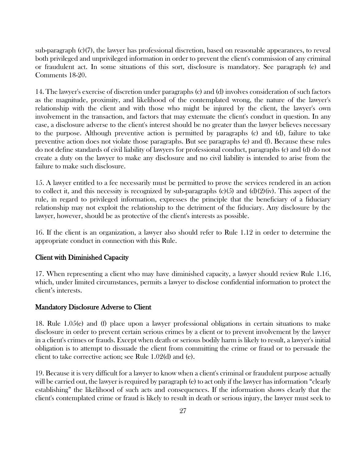sub-paragraph (c)(7), the lawyer has professional discretion, based on reasonable appearances, to reveal both privileged and unprivileged information in order to prevent the client's commission of any criminal or fraudulent act. In some situations of this sort, disclosure is mandatory. See paragraph (e) and Comments 18-20.

14. The lawyer's exercise of discretion under paragraphs (c) and (d) involves consideration of such factors as the magnitude, proximity, and likelihood of the contemplated wrong, the nature of the lawyer's relationship with the client and with those who might be injured by the client, the lawyer's own involvement in the transaction, and factors that may extenuate the client's conduct in question. In any case, a disclosure adverse to the client's interest should be no greater than the lawyer believes necessary to the purpose. Although preventive action is permitted by paragraphs (c) and (d), failure to take preventive action does not violate those paragraphs. But see paragraphs (e) and (f). Because these rules do not define standards of civil liability of lawyers for professional conduct, paragraphs (c) and (d) do not create a duty on the lawyer to make any disclosure and no civil liability is intended to arise from the failure to make such disclosure.

15. A lawyer entitled to a fee necessarily must be permitted to prove the services rendered in an action to collect it, and this necessity is recognized by sub-paragraphs  $(c)(5)$  and  $(d)(2)(iv)$ . This aspect of the rule, in regard to privileged information, expresses the principle that the beneficiary of a fiduciary relationship may not exploit the relationship to the detriment of the fiduciary. Any disclosure by the lawyer, however, should be as protective of the client's interests as possible.

16. If the client is an organization, a lawyer also should refer to Rule 1.12 in order to determine the appropriate conduct in connection with this Rule.

# Client with Diminished Capacity

17. When representing a client who may have diminished capacity, a lawyer should review Rule 1.16, which, under limited circumstances, permits a lawyer to disclose confidential information to protect the client's interests.

## Mandatory Disclosure Adverse to Client

18. Rule 1.05(e) and (f) place upon a lawyer professional obligations in certain situations to make disclosure in order to prevent certain serious crimes by a client or to prevent involvement by the lawyer in a client's crimes or frauds. Except when death or serious bodily harm is likely to result, a lawyer's initial obligation is to attempt to dissuade the client from committing the crime or fraud or to persuade the client to take corrective action; see Rule 1.02(d) and (e).

19. Because it is very difficult for a lawyer to know when a client's criminal or fraudulent purpose actually will be carried out, the lawyer is required by paragraph (e) to act only if the lawyer has information "clearly establishing" the likelihood of such acts and consequences. If the information shows clearly that the client's contemplated crime or fraud is likely to result in death or serious injury, the lawyer must seek to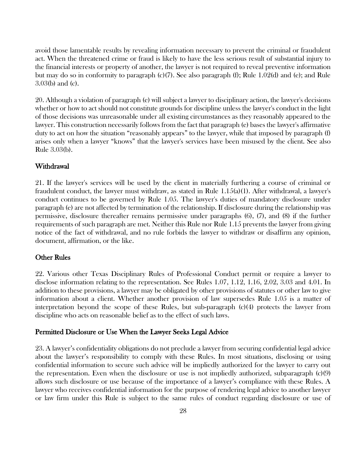avoid those lamentable results by revealing information necessary to prevent the criminal or fraudulent act. When the threatened crime or fraud is likely to have the less serious result of substantial injury to the financial interests or property of another, the lawyer is not required to reveal preventive information but may do so in conformity to paragraph (c)(7). See also paragraph (f); Rule 1.02(d) and (e); and Rule 3.03(b) and (c).

20. Although a violation of paragraph (e) will subject a lawyer to disciplinary action, the lawyer's decisions whether or how to act should not constitute grounds for discipline unless the lawyer's conduct in the light of those decisions was unreasonable under all existing circumstances as they reasonably appeared to the lawyer. This construction necessarily follows from the fact that paragraph (e) bases the lawyer's affirmative duty to act on how the situation "reasonably appears" to the lawyer, while that imposed by paragraph (f) arises only when a lawyer "knows" that the lawyer's services have been misused by the client. See also Rule 3.03(b).

## Withdrawal

21. If the lawyer's services will be used by the client in materially furthering a course of criminal or fraudulent conduct, the lawyer must withdraw, as stated in Rule 1.15(a)(1). After withdrawal, a lawyer's conduct continues to be governed by Rule 1.05. The lawyer's duties of mandatory disclosure under paragraph (e) are not affected by termination of the relationship. If disclosure during the relationship was permissive, disclosure thereafter remains permissive under paragraphs (6), (7), and (8) if the further requirements of such paragraph are met. Neither this Rule nor Rule 1.15 prevents the lawyer from giving notice of the fact of withdrawal, and no rule forbids the lawyer to withdraw or disaffirm any opinion, document, affirmation, or the like.

#### Other Rules

22. Various other Texas Disciplinary Rules of Professional Conduct permit or require a lawyer to disclose information relating to the representation. See Rules 1.07, 1.12, 1.16, 2.02, 3.03 and 4.01. In addition to these provisions, a lawyer may be obligated by other provisions of statutes or other law to give information about a client. Whether another provision of law supersedes Rule 1.05 is a matter of interpretation beyond the scope of these Rules, but sub-paragraph (c)(4) protects the lawyer from discipline who acts on reasonable belief as to the effect of such laws.

#### Permitted Disclosure or Use When the Lawyer Seeks Legal Advice

23. A lawyer's confidentiality obligations do not preclude a lawyer from securing confidential legal advice about the lawyer's responsibility to comply with these Rules. In most situations, disclosing or using confidential information to secure such advice will be impliedly authorized for the lawyer to carry out the representation. Even when the disclosure or use is not impliedly authorized, subparagraph (c)(9) allows such disclosure or use because of the importance of a lawyer's compliance with these Rules. A lawyer who receives confidential information for the purpose of rendering legal advice to another lawyer or law firm under this Rule is subject to the same rules of conduct regarding disclosure or use of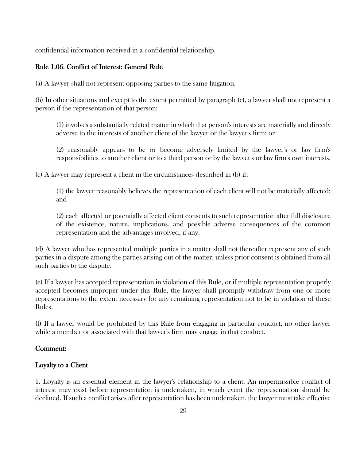confidential information received in a confidential relationship.

# Rule 1.06. Conflict of Interest: General Rule

(a) A lawyer shall not represent opposing parties to the same litigation.

(b) In other situations and except to the extent permitted by paragraph (c), a lawyer shall not represent a person if the representation of that person:

(1) involves a substantially related matter in which that person's interests are materially and directly adverse to the interests of another client of the lawyer or the lawyer's firm; or

(2) reasonably appears to be or become adversely limited by the lawyer's or law firm's responsibilities to another client or to a third person or by the lawyer's or law firm's own interests.

(c) A lawyer may represent a client in the circumstances described in (b) if:

(1) the lawyer reasonably believes the representation of each client will not be materially affected; and

(2) each affected or potentially affected client consents to such representation after full disclosure of the existence, nature, implications, and possible adverse consequences of the common representation and the advantages involved, if any.

(d) A lawyer who has represented multiple parties in a matter shall not thereafter represent any of such parties in a dispute among the parties arising out of the matter, unless prior consent is obtained from all such parties to the dispute.

(e) If a lawyer has accepted representation in violation of this Rule, or if multiple representation properly accepted becomes improper under this Rule, the lawyer shall promptly withdraw from one or more representations to the extent necessary for any remaining representation not to be in violation of these Rules.

(f) If a lawyer would be prohibited by this Rule from engaging in particular conduct, no other lawyer while a member or associated with that lawyer's firm may engage in that conduct.

# Comment:

# Loyalty to a Client

1. Loyalty is an essential element in the lawyer's relationship to a client. An impermissible conflict of interest may exist before representation is undertaken, in which event the representation should be declined. If such a conflict arises after representation has been undertaken, the lawyer must take effective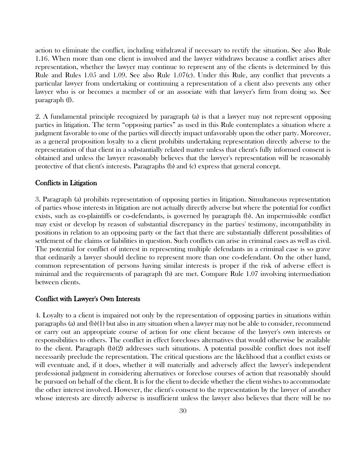action to eliminate the conflict, including withdrawal if necessary to rectify the situation. See also Rule 1.16. When more than one client is involved and the lawyer withdraws because a conflict arises after representation, whether the lawyer may continue to represent any of the clients is determined by this Rule and Rules 1.05 and 1.09. See also Rule 1.07(c). Under this Rule, any conflict that prevents a particular lawyer from undertaking or continuing a representation of a client also prevents any other lawyer who is or becomes a member of or an associate with that lawyer's firm from doing so. See paragraph (f).

2. A fundamental principle recognized by paragraph (a) is that a lawyer may not represent opposing parties in litigation. The term "opposing parties" as used in this Rule contemplates a situation where a judgment favorable to one of the parties will directly impact unfavorably upon the other party. Moreover, as a general proposition loyalty to a client prohibits undertaking representation directly adverse to the representation of that client in a substantially related matter unless that client's fully informed consent is obtained and unless the lawyer reasonably believes that the lawyer's representation will be reasonably protective of that client's interests. Paragraphs (b) and (c) express that general concept.

#### Conflicts in Litigation

3. Paragraph (a) prohibits representation of opposing parties in litigation. Simultaneous representation of parties whose interests in litigation are not actually directly adverse but where the potential for conflict exists, such as co-plaintiffs or co-defendants, is governed by paragraph (b). An impermissible conflict may exist or develop by reason of substantial discrepancy in the parties' testimony, incompatibility in positions in relation to an opposing party or the fact that there are substantially different possibilities of settlement of the claims or liabilities in question. Such conflicts can arise in criminal cases as well as civil. The potential for conflict of interest in representing multiple defendants in a criminal case is so grave that ordinarily a lawyer should decline to represent more than one co-defendant. On the other hand, common representation of persons having similar interests is proper if the risk of adverse effect is minimal and the requirements of paragraph (b) are met. Compare Rule 1.07 involving intermediation between clients.

#### Conflict with Lawyer's Own Interests

4. Loyalty to a client is impaired not only by the representation of opposing parties in situations within paragraphs (a) and (b)(1) but also in any situation when a lawyer may not be able to consider, recommend or carry out an appropriate course of action for one client because of the lawyer's own interests or responsibilities to others. The conflict in effect forecloses alternatives that would otherwise be available to the client. Paragraph (b)(2) addresses such situations. A potential possible conflict does not itself necessarily preclude the representation. The critical questions are the likelihood that a conflict exists or will eventuate and, if it does, whether it will materially and adversely affect the lawyer's independent professional judgment in considering alternatives or foreclose courses of action that reasonably should be pursued on behalf of the client. It is for the client to decide whether the client wishes to accommodate the other interest involved. However, the client's consent to the representation by the lawyer of another whose interests are directly adverse is insufficient unless the lawyer also believes that there will be no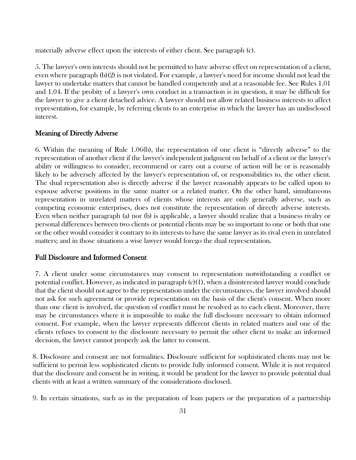materially adverse effect upon the interests of either client. See paragraph (c).

5. The lawyer's own interests should not be permitted to have adverse effect on representation of a client, even where paragraph (b)(2) is not violated. For example, a lawyer's need for income should not lead the lawyer to undertake matters that cannot be handled competently and at a reasonable fee. See Rules 1.01 and 1.04. If the probity of a lawyer's own conduct in a transaction is in question, it may be difficult for the lawyer to give a client detached advice. A lawyer should not allow related business interests to affect representation, for example, by referring clients to an enterprise in which the lawyer has an undisclosed interest.

## Meaning of Directly Adverse

6. Within the meaning of Rule 1.06(b), the representation of one client is "directly adverse" to the representation of another client if the lawyer's independent judgment on behalf of a client or the lawyer's ability or willingness to consider, recommend or carry out a course of action will be or is reasonably likely to be adversely affected by the lawyer's representation of, or responsibilities to, the other client. The dual representation also is directly adverse if the lawyer reasonably appears to be called upon to espouse adverse positions in the same matter or a related matter. On the other hand, simultaneous representation in unrelated matters of clients whose interests are only generally adverse, such as competing economic enterprises, does not constitute the representation of directly adverse interests. Even when neither paragraph (a) nor (b) is applicable, a lawyer should realize that a business rivalry or personal differences between two clients or potential clients may be so important to one or both that one or the other would consider it contrary to its interests to have the same lawyer as its rival even in unrelated matters; and in those situations a wise lawyer would forego the dual representation.

#### Full Disclosure and Informed Consent

7. A client under some circumstances may consent to representation notwithstanding a conflict or potential conflict. However, as indicated in paragraph  $(c)(1)$ , when a disinterested lawyer would conclude that the client should not agree to the representation under the circumstances, the lawyer involved should not ask for such agreement or provide representation on the basis of the client's consent. When more than one client is involved, the question of conflict must be resolved as to each client. Moreover, there may be circumstances where it is impossible to make the full disclosure necessary to obtain informed consent. For example, when the lawyer represents different clients in related matters and one of the clients refuses to consent to the disclosure necessary to permit the other client to make an informed decision, the lawyer cannot properly ask the latter to consent.

8. Disclosure and consent are not formalities. Disclosure sufficient for sophisticated clients may not be sufficient to permit less sophisticated clients to provide fully informed consent. While it is not required that the disclosure and consent be in writing, it would be prudent for the lawyer to provide potential dual clients with at least a written summary of the considerations disclosed.

9. In certain situations, such as in the preparation of loan papers or the preparation of a partnership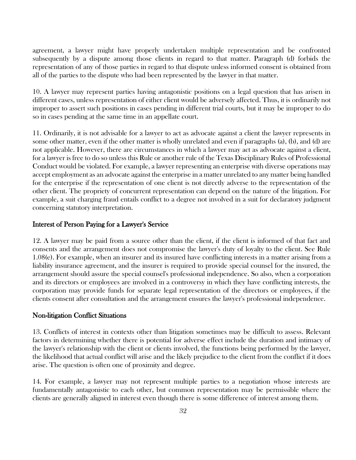agreement, a lawyer might have properly undertaken multiple representation and be confronted subsequently by a dispute among those clients in regard to that matter. Paragraph (d) forbids the representation of any of those parties in regard to that dispute unless informed consent is obtained from all of the parties to the dispute who had been represented by the lawyer in that matter.

10. A lawyer may represent parties having antagonistic positions on a legal question that has arisen in different cases, unless representation of either client would be adversely affected. Thus, it is ordinarily not improper to assert such positions in cases pending in different trial courts, but it may be improper to do so in cases pending at the same time in an appellate court.

11. Ordinarily, it is not advisable for a lawyer to act as advocate against a client the lawyer represents in some other matter, even if the other matter is wholly unrelated and even if paragraphs (a), (b), and (d) are not applicable. However, there are circumstances in which a lawyer may act as advocate against a client, for a lawyer is free to do so unless this Rule or another rule of the Texas Disciplinary Rules of Professional Conduct would be violated. For example, a lawyer representing an enterprise with diverse operations may accept employment as an advocate against the enterprise in a matter unrelated to any matter being handled for the enterprise if the representation of one client is not directly adverse to the representation of the other client. The propriety of concurrent representation can depend on the nature of the litigation. For example, a suit charging fraud entails conflict to a degree not involved in a suit for declaratory judgment concerning statutory interpretation.

## Interest of Person Paying for a Lawyer's Service

12. A lawyer may be paid from a source other than the client, if the client is informed of that fact and consents and the arrangement does not compromise the lawyer's duty of loyalty to the client. See Rule 1.08(e). For example, when an insurer and its insured have conflicting interests in a matter arising from a liability insurance agreement, and the insurer is required to provide special counsel for the insured, the arrangement should assure the special counsel's professional independence. So also, when a corporation and its directors or employees are involved in a controversy in which they have conflicting interests, the corporation may provide funds for separate legal representation of the directors or employees, if the clients consent after consultation and the arrangement ensures the lawyer's professional independence.

#### Non-litigation Conflict Situations

13. Conflicts of interest in contexts other than litigation sometimes may be difficult to assess. Relevant factors in determining whether there is potential for adverse effect include the duration and intimacy of the lawyer's relationship with the client or clients involved, the functions being performed by the lawyer, the likelihood that actual conflict will arise and the likely prejudice to the client from the conflict if it does arise. The question is often one of proximity and degree.

14. For example, a lawyer may not represent multiple parties to a negotiation whose interests are fundamentally antagonistic to each other, but common representation may be permissible where the clients are generally aligned in interest even though there is some difference of interest among them.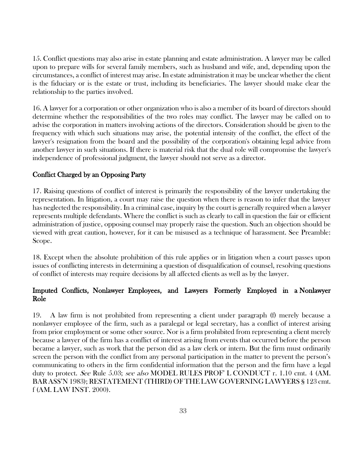15. Conflict questions may also arise in estate planning and estate administration. A lawyer may be called upon to prepare wills for several family members, such as husband and wife, and, depending upon the circumstances, a conflict of interest may arise. In estate administration it may be unclear whether the client is the fiduciary or is the estate or trust, including its beneficiaries. The lawyer should make clear the relationship to the parties involved.

16. A lawyer for a corporation or other organization who is also a member of its board of directors should determine whether the responsibilities of the two roles may conflict. The lawyer may be called on to advise the corporation in matters involving actions of the directors. Consideration should be given to the frequency with which such situations may arise, the potential intensity of the conflict, the effect of the lawyer's resignation from the board and the possibility of the corporation's obtaining legal advice from another lawyer in such situations. If there is material risk that the dual role will compromise the lawyer's independence of professional judgment, the lawyer should not serve as a director.

# Conflict Charged by an Opposing Party

17. Raising questions of conflict of interest is primarily the responsibility of the lawyer undertaking the representation. In litigation, a court may raise the question when there is reason to infer that the lawyer has neglected the responsibility. In a criminal case, inquiry by the court is generally required when a lawyer represents multiple defendants. Where the conflict is such as clearly to call in question the fair or efficient administration of justice, opposing counsel may properly raise the question. Such an objection should be viewed with great caution, however, for it can be misused as a technique of harassment. See Preamble: Scope.

18. Except when the absolute prohibition of this rule applies or in litigation when a court passes upon issues of conflicting interests in determining a question of disqualification of counsel, resolving questions of conflict of interests may require decisions by all affected clients as well as by the lawyer.

# Imputed Conflicts, Nonlawyer Employees, and Lawyers Formerly Employed in a Nonlawyer Role

19. A law firm is not prohibited from representing a client under paragraph (f) merely because a nonlawyer employee of the firm, such as a paralegal or legal secretary, has a conflict of interest arising from prior employment or some other source. Nor is a firm prohibited from representing a client merely because a lawyer of the firm has a conflict of interest arising from events that occurred before the person became a lawyer, such as work that the person did as a law clerk or intern. But the firm must ordinarily screen the person with the conflict from any personal participation in the matter to prevent the person's communicating to others in the firm confidential information that the person and the firm have a legal duty to protect. See Rule 5.03; see also MODEL RULES PROF' L CONDUCT r. 1.10 cmt. 4 (AM. BARASS'N 1983); RESTATEMENT(THIRD) OFTHE LAWGOVERNING LAWYERS § 123 cmt. f (AM. LAW INST. 2000).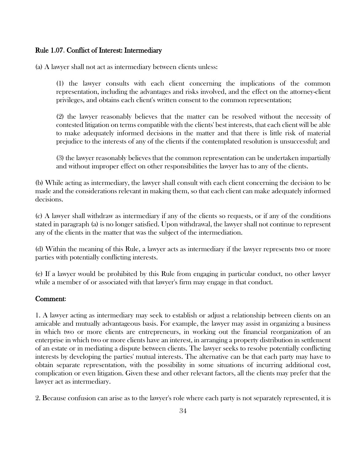# Rule 1.07. Conflict of Interest: Intermediary

(a) A lawyer shall not act as intermediary between clients unless:

(1) the lawyer consults with each client concerning the implications of the common representation, including the advantages and risks involved, and the effect on the attorney-client privileges, and obtains each client's written consent to the common representation;

(2) the lawyer reasonably believes that the matter can be resolved without the necessity of contested litigation on terms compatible with the clients' best interests, that each client will be able to make adequately informed decisions in the matter and that there is little risk of material prejudice to the interests of any of the clients if the contemplated resolution is unsuccessful; and

(3) the lawyer reasonably believes that the common representation can be undertaken impartially and without improper effect on other responsibilities the lawyer has to any of the clients.

(b) While acting as intermediary, the lawyer shall consult with each client concerning the decision to be made and the considerations relevant in making them, so that each client can make adequately informed decisions.

(c) A lawyer shall withdraw as intermediary if any of the clients so requests, or if any of the conditions stated in paragraph (a) is no longer satisfied. Upon withdrawal, the lawyer shall not continue to represent any of the clients in the matter that was the subject of the intermediation.

(d) Within the meaning of this Rule, a lawyer acts as intermediary if the lawyer represents two or more parties with potentially conflicting interests.

(e) If a lawyer would be prohibited by this Rule from engaging in particular conduct, no other lawyer while a member of or associated with that lawyer's firm may engage in that conduct.

# Comment:

1. A lawyer acting as intermediary may seek to establish or adjust a relationship between clients on an amicable and mutually advantageous basis. For example, the lawyer may assist in organizing a business in which two or more clients are entrepreneurs, in working out the financial reorganization of an enterprise in which two or more clients have an interest, in arranging a property distribution in settlement of an estate or in mediating a dispute between clients. The lawyer seeks to resolve potentially conflicting interests by developing the parties' mutual interests. The alternative can be that each party may have to obtain separate representation, with the possibility in some situations of incurring additional cost, complication or even litigation. Given these and other relevant factors, all the clients may prefer that the lawyer act as intermediary.

2. Because confusion can arise as to the lawyer's role where each party is not separately represented, it is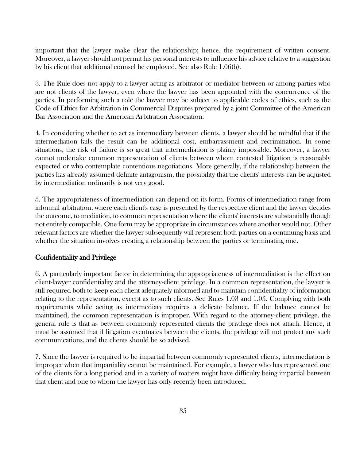important that the lawyer make clear the relationship; hence, the requirement of written consent. Moreover, a lawyer should not permit his personal interests to influence his advice relative to a suggestion by his client that additional counsel be employed. See also Rule 1.06(b).

3. The Rule does not apply to a lawyer acting as arbitrator or mediator between or among parties who are not clients of the lawyer, even where the lawyer has been appointed with the concurrence of the parties. In performing such a role the lawyer may be subject to applicable codes of ethics, such as the Code of Ethics for Arbitration in Commercial Disputes prepared by a joint Committee of the American Bar Association and the American Arbitration Association.

4. In considering whether to act as intermediary between clients, a lawyer should be mindful that if the intermediation fails the result can be additional cost, embarrassment and recrimination. In some situations, the risk of failure is so great that intermediation is plainly impossible. Moreover, a lawyer cannot undertake common representation of clients between whom contested litigation is reasonably expected or who contemplate contentious negotiations. More generally, if the relationship between the parties has already assumed definite antagonism, the possibility that the clients' interests can be adjusted by intermediation ordinarily is not very good.

5. The appropriateness of intermediation can depend on its form. Forms of intermediation range from informal arbitration, where each client's case is presented by the respective client and the lawyer decides the outcome, to mediation, to common representation where the clients' interests are substantially though not entirely compatible. One form may be appropriate in circumstances where another would not. Other relevant factors are whether the lawyer subsequently will represent both parties on a continuing basis and whether the situation involves creating a relationship between the parties or terminating one.

# Confidentiality and Privilege

6. A particularly important factor in determining the appropriateness of intermediation is the effect on client-lawyer confidentiality and the attorney-client privilege. In a common representation, the lawyer is still required both to keep each client adequately informed and to maintain confidentiality of information relating to the representation, except as to such clients. See Rules 1.03 and 1.05. Complying with both requirements while acting as intermediary requires a delicate balance. If the balance cannot be maintained, the common representation is improper. With regard to the attorney-client privilege, the general rule is that as between commonly represented clients the privilege does not attach. Hence, it must be assumed that if litigation eventuates between the clients, the privilege will not protect any such communications, and the clients should be so advised.

7. Since the lawyer is required to be impartial between commonly represented clients, intermediation is improper when that impartiality cannot be maintained. For example, a lawyer who has represented one of the clients for a long period and in a variety of matters might have difficulty being impartial between that client and one to whom the lawyer has only recently been introduced.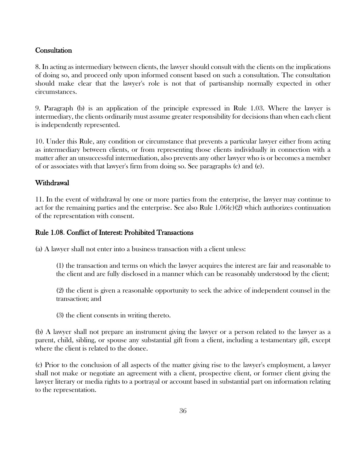# **Consultation**

8. In acting as intermediary between clients, the lawyer should consult with the clients on the implications of doing so, and proceed only upon informed consent based on such a consultation. The consultation should make clear that the lawyer's role is not that of partisanship normally expected in other circumstances.

9. Paragraph (b) is an application of the principle expressed in Rule 1.03. Where the lawyer is intermediary, the clients ordinarily must assume greater responsibility for decisions than when each client is independently represented.

10. Under this Rule, any condition or circumstance that prevents a particular lawyer either from acting as intermediary between clients, or from representing those clients individually in connection with a matter after an unsuccessful intermediation, also prevents any other lawyer who is or becomes a member of or associates with that lawyer's firm from doing so. See paragraphs (c) and (e).

# Withdrawal

11. In the event of withdrawal by one or more parties from the enterprise, the lawyer may continue to act for the remaining parties and the enterprise. See also Rule 1.06(c)(2) which authorizes continuation of the representation with consent.

## Rule 1.08. Conflict of Interest: Prohibited Transactions

(a) A lawyer shall not enter into a business transaction with a client unless:

(1) the transaction and terms on which the lawyer acquires the interest are fair and reasonable to the client and are fully disclosed in a manner which can be reasonably understood by the client;

(2) the client is given a reasonable opportunity to seek the advice of independent counsel in the transaction; and

(3) the client consents in writing thereto.

(b) A lawyer shall not prepare an instrument giving the lawyer or a person related to the lawyer as a parent, child, sibling, or spouse any substantial gift from a client, including a testamentary gift, except where the client is related to the donee.

(c) Prior to the conclusion of all aspects of the matter giving rise to the lawyer's employment, a lawyer shall not make or negotiate an agreement with a client, prospective client, or former client giving the lawyer literary or media rights to a portrayal or account based in substantial part on information relating to the representation.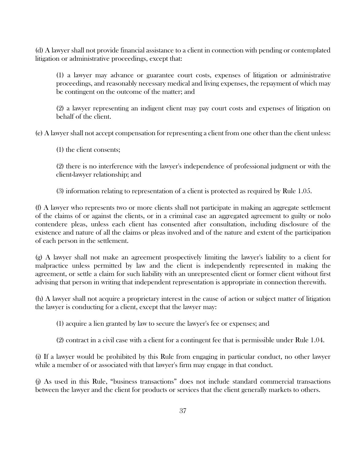(d) A lawyer shall not provide financial assistance to a client in connection with pending or contemplated litigation or administrative proceedings, except that:

(1) a lawyer may advance or guarantee court costs, expenses of litigation or administrative proceedings, and reasonably necessary medical and living expenses, the repayment of which may be contingent on the outcome of the matter; and

(2) a lawyer representing an indigent client may pay court costs and expenses of litigation on behalf of the client.

(e) A lawyer shall not accept compensation for representing a client from one other than the client unless:

(1) the client consents;

(2) there is no interference with the lawyer's independence of professional judgment or with the client-lawyer relationship; and

(3) information relating to representation of a client is protected as required by [Rule 1.05.](http://www.westlaw.com/Find/Default.wl?rs=dfa1.0&vr=2.0&DB=1003812&DocName=TXSTRPCR1.05&FindType=L)

(f) A lawyer who represents two or more clients shall not participate in making an aggregate settlement of the claims of or against the clients, or in a criminal case an aggregated agreement to guilty or nolo contendere pleas, unless each client has consented after consultation, including disclosure of the existence and nature of all the claims or pleas involved and of the nature and extent of the participation of each person in the settlement.

(g) A lawyer shall not make an agreement prospectively limiting the lawyer's liability to a client for malpractice unless permitted by law and the client is independently represented in making the agreement, or settle a claim for such liability with an unrepresented client or former client without first advising that person in writing that independent representation is appropriate in connection therewith.

(h) A lawyer shall not acquire a proprietary interest in the cause of action or subject matter of litigation the lawyer is conducting for a client, except that the lawyer may:

(1) acquire a lien granted by law to secure the lawyer's fee or expenses; and

(2) contract in a civil case with a client for a contingent fee that is permissible under Rule 1.04.

(i) If a lawyer would be prohibited by this Rule from engaging in particular conduct, no other lawyer while a member of or associated with that lawyer's firm may engage in that conduct.

(j) As used in this Rule, "business transactions" does not include standard commercial transactions between the lawyer and the client for products or services that the client generally markets to others.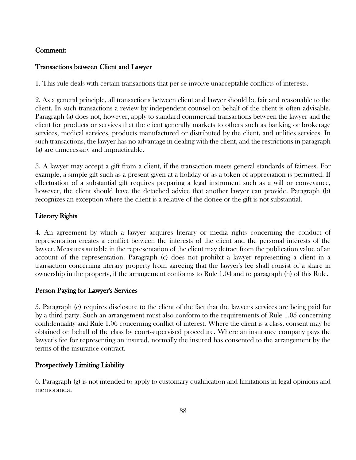# Comment:

# Transactions between Client and Lawyer

1. This rule deals with certain transactions that per se involve unacceptable conflicts of interests.

2. As a general principle, all transactions between client and lawyer should be fair and reasonable to the client. In such transactions a review by independent counsel on behalf of the client is often advisable. Paragraph (a) does not, however, apply to standard commercial transactions between the lawyer and the client for products or services that the client generally markets to others such as banking or brokerage services, medical services, products manufactured or distributed by the client, and utilities services. In such transactions, the lawyer has no advantage in dealing with the client, and the restrictions in paragraph (a) are unnecessary and impracticable.

3. A lawyer may accept a gift from a client, if the transaction meets general standards of fairness. For example, a simple gift such as a present given at a holiday or as a token of appreciation is permitted. If effectuation of a substantial gift requires preparing a legal instrument such as a will or conveyance, however, the client should have the detached advice that another lawyer can provide. Paragraph (b) recognizes an exception where the client is a relative of the donee or the gift is not substantial.

# Literary Rights

4. An agreement by which a lawyer acquires literary or media rights concerning the conduct of representation creates a conflict between the interests of the client and the personal interests of the lawyer. Measures suitable in the representation of the client may detract from the publication value of an account of the representation. Paragraph (c) does not prohibit a lawyer representing a client in a transaction concerning literary property from agreeing that the lawyer's fee shall consist of a share in ownership in the property, if the arrangement conforms to Rule 1.04 and to paragraph (h) of this Rule.

## Person Paying for Lawyer's Services

5. Paragraph (e) requires disclosure to the client of the fact that the lawyer's services are being paid for by a third party. Such an arrangement must also conform to the requirements of Rule 1.05 concerning confidentiality and Rule 1.06 concerning conflict of interest. Where the client is a class, consent may be obtained on behalf of the class by court-supervised procedure. Where an insurance company pays the lawyer's fee for representing an insured, normally the insured has consented to the arrangement by the terms of the insurance contract.

## Prospectively Limiting Liability

6. Paragraph (g) is not intended to apply to customary qualification and limitations in legal opinions and memoranda.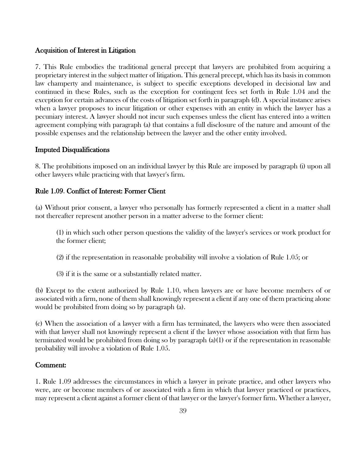### Acquisition of Interest in Litigation

7. This Rule embodies the traditional general precept that lawyers are prohibited from acquiring a proprietary interest in the subject matter of litigation. This general precept, which has its basis in common law champerty and maintenance, is subject to specific exceptions developed in decisional law and continued in these Rules, such as the exception for contingent fees set forth in Rule 1.04 and the exception for certain advances of the costs of litigation set forth in paragraph (d). A special instance arises when a lawyer proposes to incur litigation or other expenses with an entity in which the lawyer has a pecuniary interest. A lawyer should not incur such expenses unless the client has entered into a written agreement complying with paragraph (a) that contains a full disclosure of the nature and amount of the possible expenses and the relationship between the lawyer and the other entity involved.

#### Imputed Disqualifications

8. The prohibitions imposed on an individual lawyer by this Rule are imposed by paragraph (i) upon all other lawyers while practicing with that lawyer's firm.

## Rule 1.09. Conflict of Interest: Former Client

(a) Without prior consent, a lawyer who personally has formerly represented a client in a matter shall not thereafter represent another person in a matter adverse to the former client:

(1) in which such other person questions the validity of the lawyer's services or work product for the former client;

- (2) if the representation in reasonable probability will involve a violation of Rule 1.05; or
- (3) if it is the same or a substantially related matter.

(b) Except to the extent authorized by Rule 1.10, when lawyers are or have become members of or associated with a firm, none of them shall knowingly represent a client if any one of them practicing alone would be prohibited from doing so by paragraph (a).

(c) When the association of a lawyer with a firm has terminated, the lawyers who were then associated with that lawyer shall not knowingly represent a client if the lawyer whose association with that firm has terminated would be prohibited from doing so by paragraph (a)(1) or if the representation in reasonable probability will involve a violation of Rule 1.05.

#### Comment:

1. Rule 1.09 addresses the circumstances in which a lawyer in private practice, and other lawyers who were, are or become members of or associated with a firm in which that lawyer practiced or practices, may represent a client against a former client of that lawyer or the lawyer's former firm. Whether a lawyer,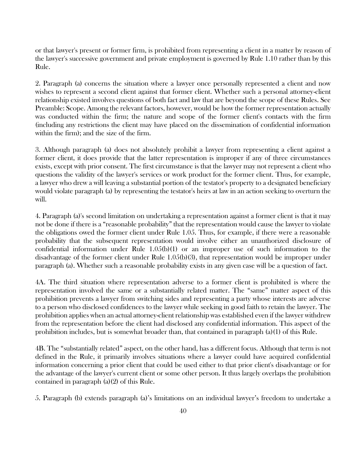or that lawyer's present or former firm, is prohibited from representing a client in a matter by reason of the lawyer's successive government and private employment is governed by Rule 1.10 rather than by this Rule.

2. Paragraph (a) concerns the situation where a lawyer once personally represented a client and now wishes to represent a second client against that former client. Whether such a personal attorney-client relationship existed involves questions of both fact and law that are beyond the scope of these Rules. See Preamble: Scope. Among the relevant factors, however, would be how the former representation actually was conducted within the firm; the nature and scope of the former client's contacts with the firm (including any restrictions the client may have placed on the dissemination of confidential information within the firm); and the size of the firm.

3. Although paragraph (a) does not absolutely prohibit a lawyer from representing a client against a former client, it does provide that the latter representation is improper if any of three circumstances exists, except with prior consent. The first circumstance is that the lawyer may not represent a client who questions the validity of the lawyer's services or work product for the former client. Thus, for example, a lawyer who drew a will leaving a substantial portion of the testator's property to a designated beneficiary would violate paragraph (a) by representing the testator's heirs at law in an action seeking to overturn the will.

4. Paragraph (a)'s second limitation on undertaking a representation against a former client is that it may not be done if there is a "reasonable probability" that the representation would cause the lawyer to violate the obligations owed the former client under Rule 1.05. Thus, for example, if there were a reasonable probability that the subsequent representation would involve either an unauthorized disclosure of confidential information under Rule 1.05(b)(1) or an improper use of such information to the disadvantage of the former client under Rule 1.05(b)(3), that representation would be improper under paragraph (a). Whether such a reasonable probability exists in any given case will be a question of fact.

4A. The third situation where representation adverse to a former client is prohibited is where the representation involved the same or a substantially related matter. The "same" matter aspect of this prohibition prevents a lawyer from switching sides and representing a party whose interests are adverse to a person who disclosed confidences to the lawyer while seeking in good faith to retain the lawyer. The prohibition applies when an actual attorney-client relationship was established even if the lawyer withdrew from the representation before the client had disclosed any confidential information. This aspect of the prohibition includes, but is somewhat broader than, that contained in paragraph (a)(1) of this Rule.

4B. The "substantially related" aspect, on the other hand, has a different focus. Although that term is not defined in the Rule, it primarily involves situations where a lawyer could have acquired confidential information concerning a prior client that could be used either to that prior client's disadvantage or for the advantage of the lawyer's current client or some other person. It thus largely overlaps the prohibition contained in paragraph (a)(2) of this Rule.

5. Paragraph (b) extends paragraph (a)'s limitations on an individual lawyer's freedom to undertake a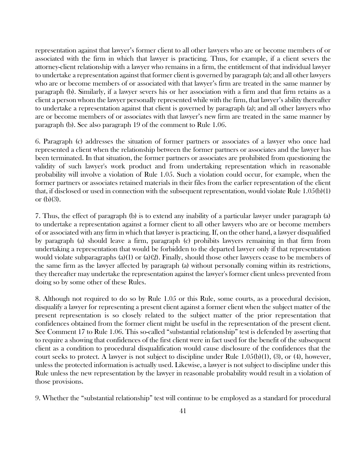representation against that lawyer's former client to all other lawyers who are or become members of or associated with the firm in which that lawyer is practicing. Thus, for example, if a client severs the attorney-client relationship with a lawyer who remains in a firm, the entitlement of that individual lawyer to undertake a representation against that former client is governed by paragraph (a); and all other lawyers who are or become members of or associated with that lawyer's firm are treated in the same manner by paragraph (b). Similarly, if a lawyer severs his or her association with a firm and that firm retains as a client a person whom the lawyer personally represented while with the firm, that lawyer's ability thereafter to undertake a representation against that client is governed by paragraph (a); and all other lawyers who are or become members of or associates with that lawyer's new firm are treated in the same manner by paragraph (b). See also paragraph 19 of the comment to Rule 1.06.

6. Paragraph (c) addresses the situation of former partners or associates of a lawyer who once had represented a client when the relationship between the former partners or associates and the lawyer has been terminated. In that situation, the former partners or associates are prohibited from questioning the validity of such lawyer's work product and from undertaking representation which in reasonable probability will involve a violation of Rule 1.05. Such a violation could occur, for example, when the former partners or associates retained materials in their files from the earlier representation of the client that, if disclosed or used in connection with the subsequent representation, would violate Rule 1.05(b)(1) or  $(b)(3)$ .

7. Thus, the effect of paragraph (b) is to extend any inability of a particular lawyer under paragraph (a) to undertake a representation against a former client to all other lawyers who are or become members of or associated with any firm in which that lawyer is practicing. If, on the other hand, a lawyer disqualified by paragraph (a) should leave a firm, paragraph (c) prohibits lawyers remaining in that firm from undertaking a representation that would be forbidden to the departed lawyer only if that representation would violate subparagraphs (a)(1) or (a)(2). Finally, should those other lawyers cease to be members of the same firm as the lawyer affected by paragraph (a) without personally coming within its restrictions, they thereafter may undertake the representation against the lawyer's former client unless prevented from doing so by some other of these Rules.

8. Although not required to do so by Rule 1.05 or this Rule, some courts, as a procedural decision, disqualify a lawyer for representing a present client against a former client when the subject matter of the present representation is so closely related to the subject matter of the prior representation that confidences obtained from the former client might be useful in the representation of the present client. See Comment 17 to Rule 1.06. This so-called "substantial relationship" test is defended by asserting that to require a showing that confidences of the first client were in fact used for the benefit of the subsequent client as a condition to procedural disqualification would cause disclosure of the confidences that the court seeks to protect. A lawyer is not subject to discipline under Rule 1.05(b)(1), (3), or (4), however, unless the protected information is actually used. Likewise, a lawyer is not subject to discipline under this Rule unless the new representation by the lawyer in reasonable probability would result in a violation of those provisions.

9. Whether the "substantial relationship" test will continue to be employed as a standard for procedural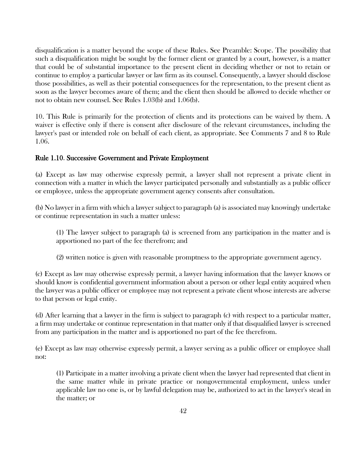disqualification is a matter beyond the scope of these Rules. See Preamble: Scope. The possibility that such a disqualification might be sought by the former client or granted by a court, however, is a matter that could be of substantial importance to the present client in deciding whether or not to retain or continue to employ a particular lawyer or law firm as its counsel. Consequently, a lawyer should disclose those possibilities, as well as their potential consequences for the representation, to the present client as soon as the lawyer becomes aware of them; and the client then should be allowed to decide whether or not to obtain new counsel. See Rules 1.03(b) and 1.06(b).

10. This Rule is primarily for the protection of clients and its protections can be waived by them. A waiver is effective only if there is consent after disclosure of the relevant circumstances, including the lawyer's past or intended role on behalf of each client, as appropriate. See Comments 7 and 8 to Rule 1.06.

# Rule 1.10. Successive Government and Private Employment

(a) Except as law may otherwise expressly permit, a lawyer shall not represent a private client in connection with a matter in which the lawyer participated personally and substantially as a public officer or employee, unless the appropriate government agency consents after consultation.

(b) No lawyer in a firm with which a lawyer subject to paragraph (a) is associated may knowingly undertake or continue representation in such a matter unless:

(1) The lawyer subject to paragraph (a) is screened from any participation in the matter and is apportioned no part of the fee therefrom; and

(2) written notice is given with reasonable promptness to the appropriate government agency.

(c) Except as law may otherwise expressly permit, a lawyer having information that the lawyer knows or should know is confidential government information about a person or other legal entity acquired when the lawyer was a public officer or employee may not represent a private client whose interests are adverse to that person or legal entity.

(d) After learning that a lawyer in the firm is subject to paragraph (c) with respect to a particular matter, a firm may undertake or continue representation in that matter only if that disqualified lawyer is screened from any participation in the matter and is apportioned no part of the fee therefrom.

(e) Except as law may otherwise expressly permit, a lawyer serving as a public officer or employee shall not:

(1) Participate in a matter involving a private client when the lawyer had represented that client in the same matter while in private practice or nongovernmental employment, unless under applicable law no one is, or by lawful delegation may be, authorized to act in the lawyer's stead in the matter; or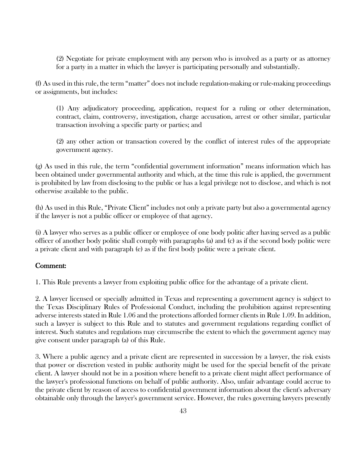(2) Negotiate for private employment with any person who is involved as a party or as attorney for a party in a matter in which the lawyer is participating personally and substantially.

(f) As used in this rule, the term "matter" does not include regulation-making or rule-making proceedings or assignments, but includes:

(1) Any adjudicatory proceeding, application, request for a ruling or other determination, contract, claim, controversy, investigation, charge accusation, arrest or other similar, particular transaction involving a specific party or parties; and

(2) any other action or transaction covered by the conflict of interest rules of the appropriate government agency.

(g) As used in this rule, the term "confidential government information" means information which has been obtained under governmental authority and which, at the time this rule is applied, the government is prohibited by law from disclosing to the public or has a legal privilege not to disclose, and which is not otherwise available to the public.

(h) As used in this Rule, "Private Client" includes not only a private party but also a governmental agency if the lawyer is not a public officer or employee of that agency.

(i) A lawyer who serves as a public officer or employee of one body politic after having served as a public officer of another body politic shall comply with paragraphs (a) and (c) as if the second body politic were a private client and with paragraph (e) as if the first body politic were a private client.

# Comment:

1. This Rule prevents a lawyer from exploiting public office for the advantage of a private client.

2. A lawyer licensed or specially admitted in Texas and representing a government agency is subject to the Texas Disciplinary Rules of Professional Conduct, including the prohibition against representing adverse interests stated in Rule 1.06 and the protections afforded former clients in Rule 1.09. In addition, such a lawyer is subject to this Rule and to statutes and government regulations regarding conflict of interest. Such statutes and regulations may circumscribe the extent to which the government agency may give consent under paragraph (a) of this Rule.

3. Where a public agency and a private client are represented in succession by a lawyer, the risk exists that power or discretion vested in public authority might be used for the special benefit of the private client. A lawyer should not be in a position where benefit to a private client might affect performance of the lawyer's professional functions on behalf of public authority. Also, unfair advantage could accrue to the private client by reason of access to confidential government information about the client's adversary obtainable only through the lawyer's government service. However, the rules governing lawyers presently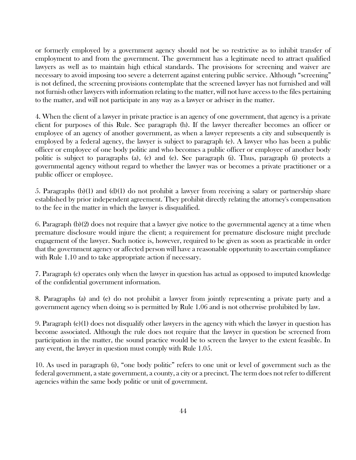or formerly employed by a government agency should not be so restrictive as to inhibit transfer of employment to and from the government. The government has a legitimate need to attract qualified lawyers as well as to maintain high ethical standards. The provisions for screening and waiver are necessary to avoid imposing too severe a deterrent against entering public service. Although "screening" is not defined, the screening provisions contemplate that the screened lawyer has not furnished and will not furnish other lawyers with information relating to the matter, will not have access to the files pertaining to the matter, and will not participate in any way as a lawyer or adviser in the matter.

4. When the client of a lawyer in private practice is an agency of one government, that agency is a private client for purposes of this Rule. See paragraph (h). If the lawyer thereafter becomes an officer or employee of an agency of another government, as when a lawyer represents a city and subsequently is employed by a federal agency, the lawyer is subject to paragraph (e). A lawyer who has been a public officer or employee of one body politic and who becomes a public officer or employee of another body politic is subject to paragraphs (a), (c) and (e). See paragraph (i). Thus, paragraph (i) protects a governmental agency without regard to whether the lawyer was or becomes a private practitioner or a public officer or employee.

5. Paragraphs (b)(1) and (d)(1) do not prohibit a lawyer from receiving a salary or partnership share established by prior independent agreement. They prohibit directly relating the attorney's compensation to the fee in the matter in which the lawyer is disqualified.

6. Paragraph (b)(2) does not require that a lawyer give notice to the governmental agency at a time when premature disclosure would injure the client; a requirement for premature disclosure might preclude engagement of the lawyer. Such notice is, however, required to be given as soon as practicable in order that the government agency or affected person will have a reasonable opportunity to ascertain compliance with Rule 1.10 and to take appropriate action if necessary.

7. Paragraph (c) operates only when the lawyer in question has actual as opposed to imputed knowledge of the confidential government information.

8. Paragraphs (a) and (e) do not prohibit a lawyer from jointly representing a private party and a government agency when doing so is permitted by Rule 1.06 and is not otherwise prohibited by law.

9. Paragraph (e)(1) does not disqualify other lawyers in the agency with which the lawyer in question has become associated. Although the rule does not require that the lawyer in question be screened from participation in the matter, the sound practice would be to screen the lawyer to the extent feasible. In any event, the lawyer in question must comply with Rule 1.05.

10. As used in paragraph (i), "one body politic" refers to one unit or level of government such as the federal government, a state government, a county, a city or a precinct. The term does not refer to different agencies within the same body politic or unit of government.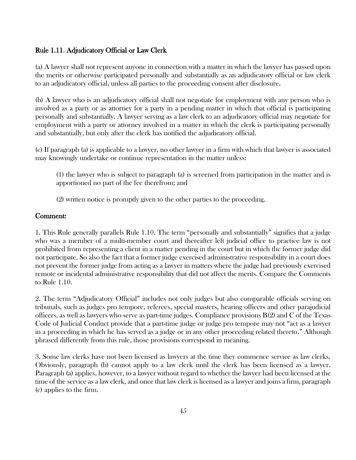# Rule 1.11. Adjudicatory Official or Law Clerk

(a) A lawyer shall not represent anyone in connection with a matter in which the lawyer has passed upon the merits or otherwise participated personally and substantially as an adjudicatory official or law clerk to an adjudicatory official, unless all parties to the proceeding consent after disclosure.

(b) A lawyer who is an adjudicatory official shall not negotiate for employment with any person who is involved as a party or as attorney for a party in a pending matter in which that official is participating personally and substantially. A lawyer serving as a law clerk to an adjudicatory official may negotiate for employment with a party or attorney involved in a matter in which the clerk is participating personally and substantially, but only after the clerk has notified the adjudicatory official.

(c) If paragraph (a) is applicable to a lawyer, no other lawyer in a firm with which that lawyer is associated may knowingly undertake or continue representation in the matter unless:

(1) the lawyer who is subject to paragraph (a) is screened from participation in the matter and is apportioned no part of the fee therefrom; and

(2) written notice is promptly given to the other parties to the proceeding.

#### Comment:

1. This Rule generally parallels Rule 1.10. The term "personally and substantially" signifies that a judge who was a member of a multi-member court and thereafter left judicial office to practice law is not prohibited from representing a client in a matter pending in the court but in which the former judge did not participate. So also the fact that a former judge exercised administrative responsibility in a court does not prevent the former judge from acting as a lawyer in matters where the judge had previously exercised remote or incidental administrative responsibility that did not affect the merits. Compare the Comments to Rule 1.10.

2. The term "Adjudicatory Official" includes not only judges but also comparable officials serving on tribunals, such as judges pro tempore, referees, special masters, hearing officers and other parajudicial officers, as well as lawyers who serve as part-time judges. Compliance provisions B(2) and C of the Texas Code of Judicial Conduct provide that a part-time judge or judge pro tempore may not "act as a lawyer in a proceeding in which he has served as a judge or in any other proceeding related thereto." Although phrased differently from this rule, those provisions correspond in meaning.

3. Some law clerks have not been licensed as lawyers at the time they commence service as law clerks. Obviously, paragraph (b) cannot apply to a law clerk until the clerk has been licensed as a lawyer. Paragraph (a) applies, however, to a lawyer without regard to whether the lawyer had been licensed at the time of the service as a law clerk, and once that law clerk is licensed as a lawyer and joins a firm, paragraph (c) applies to the firm.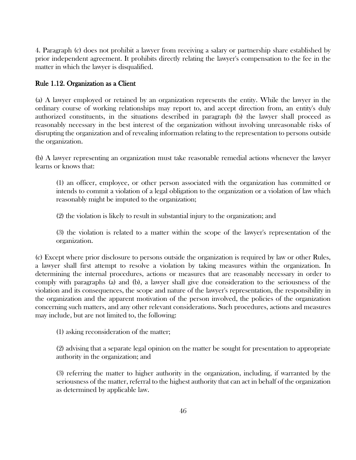4. Paragraph (c) does not prohibit a lawyer from receiving a salary or partnership share established by prior independent agreement. It prohibits directly relating the lawyer's compensation to the fee in the matter in which the lawyer is disqualified.

# Rule 1.12. Organization as a Client

(a) A lawyer employed or retained by an organization represents the entity. While the lawyer in the ordinary course of working relationships may report to, and accept direction from, an entity's duly authorized constituents, in the situations described in paragraph (b) the lawyer shall proceed as reasonably necessary in the best interest of the organization without involving unreasonable risks of disrupting the organization and of revealing information relating to the representation to persons outside the organization.

(b) A lawyer representing an organization must take reasonable remedial actions whenever the lawyer learns or knows that:

(1) an officer, employee, or other person associated with the organization has committed or intends to commit a violation of a legal obligation to the organization or a violation of law which reasonably might be imputed to the organization;

(2) the violation is likely to result in substantial injury to the organization; and

(3) the violation is related to a matter within the scope of the lawyer's representation of the organization.

(c) Except where prior disclosure to persons outside the organization is required by law or other Rules, a lawyer shall first attempt to resolve a violation by taking measures within the organization. In determining the internal procedures, actions or measures that are reasonably necessary in order to comply with paragraphs (a) and (b), a lawyer shall give due consideration to the seriousness of the violation and its consequences, the scope and nature of the lawyer's representation, the responsibility in the organization and the apparent motivation of the person involved, the policies of the organization concerning such matters, and any other relevant considerations. Such procedures, actions and measures may include, but are not limited to, the following:

(1) asking reconsideration of the matter;

(2) advising that a separate legal opinion on the matter be sought for presentation to appropriate authority in the organization; and

(3) referring the matter to higher authority in the organization, including, if warranted by the seriousness of the matter, referral to the highest authority that can act in behalf of the organization as determined by applicable law.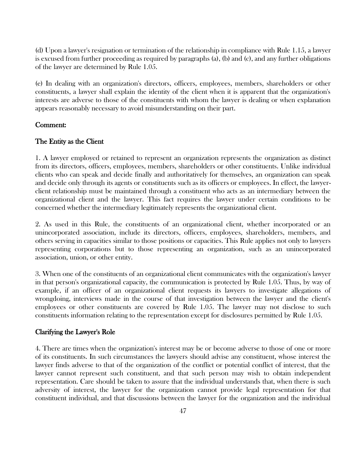(d) Upon a lawyer's resignation or termination of the relationship in compliance with Rule 1.15, a lawyer is excused from further proceeding as required by paragraphs (a), (b) and (c), and any further obligations of the lawyer are determined by Rule 1.05.

(e) In dealing with an organization's directors, officers, employees, members, shareholders or other constituents, a lawyer shall explain the identity of the client when it is apparent that the organization's interests are adverse to those of the constituents with whom the lawyer is dealing or when explanation appears reasonably necessary to avoid misunderstanding on their part.

## Comment:

#### The Entity as the Client

1. A lawyer employed or retained to represent an organization represents the organization as distinct from its directors, officers, employees, members, shareholders or other constituents. Unlike individual clients who can speak and decide finally and authoritatively for themselves, an organization can speak and decide only through its agents or constituents such as its officers or employees. In effect, the lawyerclient relationship must be maintained through a constituent who acts as an intermediary between the organizational client and the lawyer. This fact requires the lawyer under certain conditions to be concerned whether the intermediary legitimately represents the organizational client.

2. As used in this Rule, the constituents of an organizational client, whether incorporated or an unincorporated association, include its directors, officers, employees, shareholders, members, and others serving in capacities similar to those positions or capacities. This Rule applies not only to lawyers representing corporations but to those representing an organization, such as an unincorporated association, union, or other entity.

3. When one of the constituents of an organizational client communicates with the organization's lawyer in that person's organizational capacity, the communication is protected by Rule 1.05. Thus, by way of example, if an officer of an organizational client requests its lawyers to investigate allegations of wrongdoing, interviews made in the course of that investigation between the lawyer and the client's employees or other constituents are covered by Rule 1.05. The lawyer may not disclose to such constituents information relating to the representation except for disclosures permitted by Rule 1.05.

## Clarifying the Lawyer's Role

4. There are times when the organization's interest may be or become adverse to those of one or more of its constituents. In such circumstances the lawyers should advise any constituent, whose interest the lawyer finds adverse to that of the organization of the conflict or potential conflict of interest, that the lawyer cannot represent such constituent, and that such person may wish to obtain independent representation. Care should be taken to assure that the individual understands that, when there is such adversity of interest, the lawyer for the organization cannot provide legal representation for that constituent individual, and that discussions between the lawyer for the organization and the individual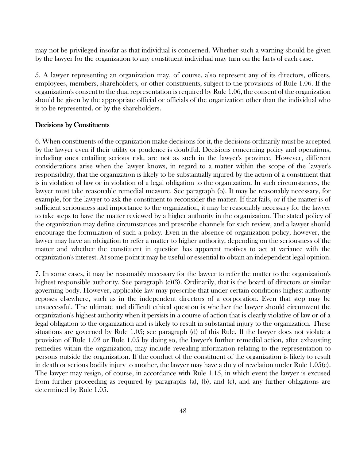may not be privileged insofar as that individual is concerned. Whether such a warning should be given by the lawyer for the organization to any constituent individual may turn on the facts of each case.

5. A lawyer representing an organization may, of course, also represent any of its directors, officers, employees, members, shareholders, or other constituents, subject to the provisions of Rule 1.06. If the organization's consent to the dual representation is required by Rule 1.06, the consent of the organization should be given by the appropriate official or officials of the organization other than the individual who is to be represented, or by the shareholders.

#### Decisions by Constituents

6. When constituents of the organization make decisions for it, the decisions ordinarily must be accepted by the lawyer even if their utility or prudence is doubtful. Decisions concerning policy and operations, including ones entailing serious risk, are not as such in the lawyer's province. However, different considerations arise when the lawyer knows, in regard to a matter within the scope of the lawyer's responsibility, that the organization is likely to be substantially injured by the action of a constituent that is in violation of law or in violation of a legal obligation to the organization. In such circumstances, the lawyer must take reasonable remedial measure. See paragraph (b). It may be reasonably necessary, for example, for the lawyer to ask the constituent to reconsider the matter. If that fails, or if the matter is of sufficient seriousness and importance to the organization, it may be reasonably necessary for the lawyer to take steps to have the matter reviewed by a higher authority in the organization. The stated policy of the organization may define circumstances and prescribe channels for such review, and a lawyer should encourage the formulation of such a policy. Even in the absence of organization policy, however, the lawyer may have an obligation to refer a matter to higher authority, depending on the seriousness of the matter and whether the constituent in question has apparent motives to act at variance with the organization's interest. At some point it may be useful or essential to obtain an independent legal opinion.

7. In some cases, it may be reasonably necessary for the lawyer to refer the matter to the organization's highest responsible authority. See paragraph (c)(3). Ordinarily, that is the board of directors or similar governing body. However, applicable law may prescribe that under certain conditions highest authority reposes elsewhere, such as in the independent directors of a corporation. Even that step may be unsuccessful. The ultimate and difficult ethical question is whether the lawyer should circumvent the organization's highest authority when it persists in a course of action that is clearly violative of law or of a legal obligation to the organization and is likely to result in substantial injury to the organization. These situations are governed by Rule 1.05; see paragraph (d) of this Rule. If the lawyer does not violate a provision of Rule 1.02 or Rule 1.05 by doing so, the lawyer's further remedial action, after exhausting remedies within the organization, may include revealing information relating to the representation to persons outside the organization. If the conduct of the constituent of the organization is likely to result in death or serious bodily injury to another, the lawyer may have a duty of revelation under Rule 1.05(e). The lawyer may resign, of course, in accordance with Rule 1.15, in which event the lawyer is excused from further proceeding as required by paragraphs (a), (b), and (c), and any further obligations are determined by Rule 1.05.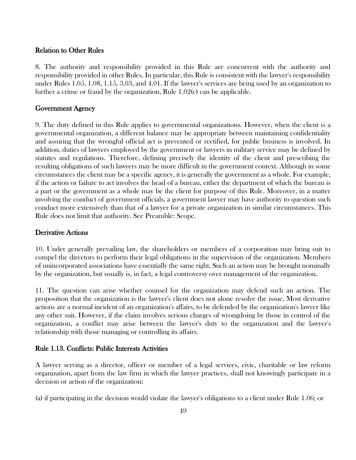#### Relation to Other Rules

8. The authority and responsibility provided in this Rule are concurrent with the authority and responsibility provided in other Rules. In particular, this Rule is consistent with the lawyer's responsibility under Rules 1.05, 1.08, 1.15, 3.03, and 4.01. If the lawyer's services are being used by an organization to further a crime or fraud by the organization, Rule 1.02(c) can be applicable.

### Government Agency

9. The duty defined in this Rule applies to governmental organizations. However, when the client is a governmental organization, a different balance may be appropriate between maintaining confidentiality and assuring that the wrongful official act is prevented or rectified, for public business is involved. In addition, duties of lawyers employed by the government or lawyers in military service may be defined by statutes and regulations. Therefore, defining precisely the identity of the client and prescribing the resulting obligations of such lawyers may be more difficult in the government context. Although in some circumstances the client may be a specific agency, it is generally the government as a whole. For example, if the action or failure to act involves the head of a bureau, either the department of which the bureau is a part or the government as a whole may be the client for purpose of this Rule. Moreover, in a matter involving the conduct of government officials, a government lawyer may have authority to question such conduct more extensively than that of a lawyer for a private organization in similar circumstances. This Rule does not limit that authority. See Preamble: Scope.

## Derivative Actions

10. Under generally prevailing law, the shareholders or members of a corporation may bring suit to compel the directors to perform their legal obligations in the supervision of the organization. Members of unincorporated associations have essentially the same right. Such an action may be brought nominally by the organization, but usually is, in fact, a legal controversy over management of the organization.

11. The question can arise whether counsel for the organization may defend such an action. The proposition that the organization is the lawyer's client does not alone resolve the issue. Most derivative actions are a normal incident of an organization's affairs, to be defended by the organization's lawyer like any other suit. However, if the claim involves serious charges of wrongdoing by those in control of the organization, a conflict may arise between the lawyer's duty to the organization and the lawyer's relationship with those managing or controlling its affairs.

## Rule 1.13. Conflicts: Public Interests Activities

A lawyer serving as a director, officer or member of a legal services, civic, charitable or law reform organization, apart from the law firm in which the lawyer practices, shall not knowingly participate in a decision or action of the organization:

(a) if participating in the decision would violate the lawyer's obligations to a client under Rule 1.06; or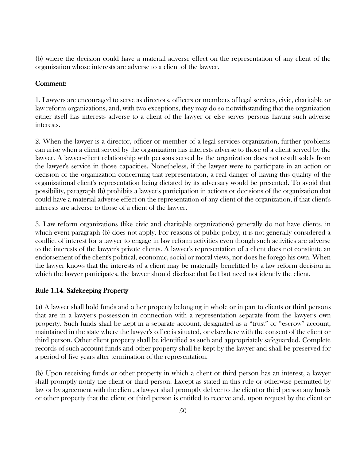(b) where the decision could have a material adverse effect on the representation of any client of the organization whose interests are adverse to a client of the lawyer.

# Comment:

1. Lawyers are encouraged to serve as directors, officers or members of legal services, civic, charitable or law reform organizations, and, with two exceptions, they may do so notwithstanding that the organization either itself has interests adverse to a client of the lawyer or else serves persons having such adverse interests.

2. When the lawyer is a director, officer or member of a legal services organization, further problems can arise when a client served by the organization has interests adverse to those of a client served by the lawyer. A lawyer-client relationship with persons served by the organization does not result solely from the lawyer's service in those capacities. Nonetheless, if the lawyer were to participate in an action or decision of the organization concerning that representation, a real danger of having this quality of the organizational client's representation being dictated by its adversary would be presented. To avoid that possibility, paragraph (b) prohibits a lawyer's participation in actions or decisions of the organization that could have a material adverse effect on the representation of any client of the organization, if that client's interests are adverse to those of a client of the lawyer.

3. Law reform organizations (like civic and charitable organizations) generally do not have clients, in which event paragraph (b) does not apply. For reasons of public policy, it is not generally considered a conflict of interest for a lawyer to engage in law reform activities even though such activities are adverse to the interests of the lawyer's private clients. A lawyer's representation of a client does not constitute an endorsement of the client's political, economic, social or moral views, nor does he forego his own. When the lawyer knows that the interests of a client may be materially benefitted by a law reform decision in which the lawyer participates, the lawyer should disclose that fact but need not identify the client.

# Rule 1.14. Safekeeping Property

(a) A lawyer shall hold funds and other property belonging in whole or in part to clients or third persons that are in a lawyer's possession in connection with a representation separate from the lawyer's own property. Such funds shall be kept in a separate account, designated as a "trust" or "escrow" account, maintained in the state where the lawyer's office is situated, or elsewhere with the consent of the client or third person. Other client property shall be identified as such and appropriately safeguarded. Complete records of such account funds and other property shall be kept by the lawyer and shall be preserved for a period of five years after termination of the representation.

(b) Upon receiving funds or other property in which a client or third person has an interest, a lawyer shall promptly notify the client or third person. Except as stated in this rule or otherwise permitted by law or by agreement with the client, a lawyer shall promptly deliver to the client or third person any funds or other property that the client or third person is entitled to receive and, upon request by the client or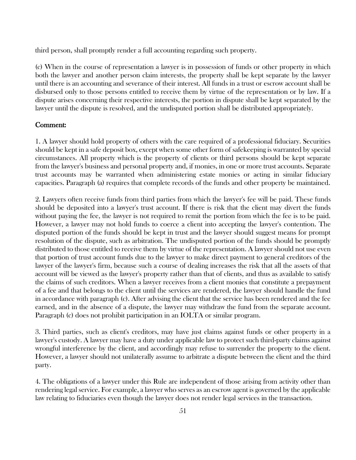third person, shall promptly render a full accounting regarding such property.

(c) When in the course of representation a lawyer is in possession of funds or other property in which both the lawyer and another person claim interests, the property shall be kept separate by the lawyer until there is an accounting and severance of their interest. All funds in a trust or escrow account shall be disbursed only to those persons entitled to receive them by virtue of the representation or by law. If a dispute arises concerning their respective interests, the portion in dispute shall be kept separated by the lawyer until the dispute is resolved, and the undisputed portion shall be distributed appropriately.

### Comment:

1. A lawyer should hold property of others with the care required of a professional fiduciary. Securities should be kept in a safe deposit box, except when some other form of safekeeping is warranted by special circumstances. All property which is the property of clients or third persons should be kept separate from the lawyer's business and personal property and, if monies, in one or more trust accounts. Separate trust accounts may be warranted when administering estate monies or acting in similar fiduciary capacities. Paragraph (a) requires that complete records of the funds and other property be maintained.

2. Lawyers often receive funds from third parties from which the lawyer's fee will be paid. These funds should be deposited into a lawyer's trust account. If there is risk that the client may divert the funds without paying the fee, the lawyer is not required to remit the portion from which the fee is to be paid. However, a lawyer may not hold funds to coerce a client into accepting the lawyer's contention. The disputed portion of the funds should be kept in trust and the lawyer should suggest means for prompt resolution of the dispute, such as arbitration. The undisputed portion of the funds should be promptly distributed to those entitled to receive them by virtue of the representation. A lawyer should not use even that portion of trust account funds due to the lawyer to make direct payment to general creditors of the lawyer of the lawyer's firm, because such a course of dealing increases the risk that all the assets of that account will be viewed as the lawyer's property rather than that of clients, and thus as available to satisfy the claims of such creditors. When a lawyer receives from a client monies that constitute a prepayment of a fee and that belongs to the client until the services are rendered, the lawyer should handle the fund in accordance with paragraph (c). After advising the client that the service has been rendered and the fee earned, and in the absence of a dispute, the lawyer may withdraw the fund from the separate account. Paragraph (c) does not prohibit participation in an IOLTA or similar program.

3. Third parties, such as client's creditors, may have just claims against funds or other property in a lawyer's custody. A lawyer may have a duty under applicable law to protect such third-party claims against wrongful interference by the client, and accordingly may refuse to surrender the property to the client. However, a lawyer should not unilaterally assume to arbitrate a dispute between the client and the third party.

4. The obligations of a lawyer under this Rule are independent of those arising from activity other than rendering legal service. For example, a lawyer who serves as an escrow agent is governed by the applicable law relating to fiduciaries even though the lawyer does not render legal services in the transaction.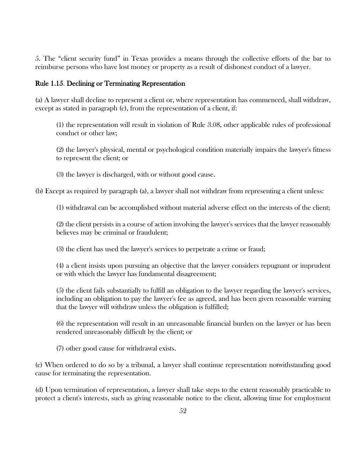5. The "client security fund" in Texas provides a means through the collective efforts of the bar to reimburse persons who have lost money or property as a result of dishonest conduct of a lawyer.

# Rule 1.15. Declining or Terminating Representation

(a) A lawyer shall decline to represent a client or, where representation has commenced, shall withdraw, except as stated in paragraph (c), from the representation of a client, if:

(1) the representation will result in violation of Rule 3.08, other applicable rules of professional conduct or other law;

(2) the lawyer's physical, mental or psychological condition materially impairs the lawyer's fitness to represent the client; or

(3) the lawyer is discharged, with or without good cause.

(b) Except as required by paragraph (a), a lawyer shall not withdraw from representing a client unless:

(1) withdrawal can be accomplished without material adverse effect on the interests of the client;

(2) the client persists in a course of action involving the lawyer's services that the lawyer reasonably believes may be criminal or fraudulent;

(3) the client has used the lawyer's services to perpetrate a crime or fraud;

(4) a client insists upon pursuing an objective that the lawyer considers repugnant or imprudent or with which the lawyer has fundamental disagreement;

(5) the client fails substantially to fulfill an obligation to the lawyer regarding the lawyer's services, including an obligation to pay the lawyer's fee as agreed, and has been given reasonable warning that the lawyer will withdraw unless the obligation is fulfilled;

(6) the representation will result in an unreasonable financial burden on the lawyer or has been rendered unreasonably difficult by the client; or

(7) other good cause for withdrawal exists.

(c) When ordered to do so by a tribunal, a lawyer shall continue representation notwithstanding good cause for terminating the representation.

(d) Upon termination of representation, a lawyer shall take steps to the extent reasonably practicable to protect a client's interests, such as giving reasonable notice to the client, allowing time for employment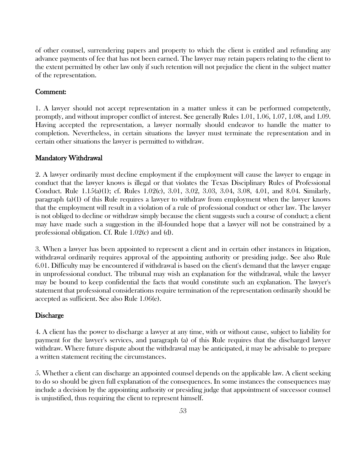of other counsel, surrendering papers and property to which the client is entitled and refunding any advance payments of fee that has not been earned. The lawyer may retain papers relating to the client to the extent permitted by other law only if such retention will not prejudice the client in the subject matter of the representation.

### Comment:

1. A lawyer should not accept representation in a matter unless it can be performed competently, promptly, and without improper conflict of interest. See generally Rules 1.01, 1.06, 1.07, 1.08, and 1.09. Having accepted the representation, a lawyer normally should endeavor to handle the matter to completion. Nevertheless, in certain situations the lawyer must terminate the representation and in certain other situations the lawyer is permitted to withdraw.

#### Mandatory Withdrawal

2. A lawyer ordinarily must decline employment if the employment will cause the lawyer to engage in conduct that the lawyer knows is illegal or that violates the Texas Disciplinary Rules of Professional Conduct. Rule 1.15(a)(1); cf. Rules 1.02(c), 3.01, 3.02, 3.03, 3.04, 3.08, 4.01, and 8.04. Similarly, paragraph (a)(1) of this Rule requires a lawyer to withdraw from employment when the lawyer knows that the employment will result in a violation of a rule of professional conduct or other law. The lawyer is not obliged to decline or withdraw simply because the client suggests such a course of conduct; a client may have made such a suggestion in the ill-founded hope that a lawyer will not be constrained by a professional obligation. Cf. Rule 1.02(c) and (d).

3. When a lawyer has been appointed to represent a client and in certain other instances in litigation, withdrawal ordinarily requires approval of the appointing authority or presiding judge. See also Rule 6.01. Difficulty may be encountered if withdrawal is based on the client's demand that the lawyer engage in unprofessional conduct. The tribunal may wish an explanation for the withdrawal, while the lawyer may be bound to keep confidential the facts that would constitute such an explanation. The lawyer's statement that professional considerations require termination of the representation ordinarily should be accepted as sufficient. See also Rule 1.06(e).

## Discharge

4. A client has the power to discharge a lawyer at any time, with or without cause, subject to liability for payment for the lawyer's services, and paragraph (a) of this Rule requires that the discharged lawyer withdraw. Where future dispute about the withdrawal may be anticipated, it may be advisable to prepare a written statement reciting the circumstances.

5. Whether a client can discharge an appointed counsel depends on the applicable law. A client seeking to do so should be given full explanation of the consequences. In some instances the consequences may include a decision by the appointing authority or presiding judge that appointment of successor counsel is unjustified, thus requiring the client to represent himself.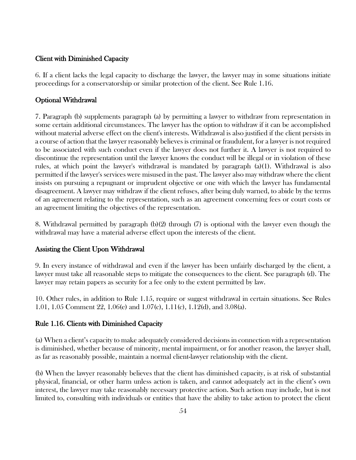### Client with Diminished Capacity

6. If a client lacks the legal capacity to discharge the lawyer, the lawyer may in some situations initiate proceedings for a conservatorship or similar protection of the client. See Rule 1.16.

## Optional Withdrawal

7. Paragraph (b) supplements paragraph (a) by permitting a lawyer to withdraw from representation in some certain additional circumstances. The lawyer has the option to withdraw if it can be accomplished without material adverse effect on the client's interests. Withdrawal is also justified if the client persists in a course of action that the lawyer reasonably believes is criminal or fraudulent, for a lawyer is not required to be associated with such conduct even if the lawyer does not further it. A lawyer is not required to discontinue the representation until the lawyer knows the conduct will be illegal or in violation of these rules, at which point the lawyer's withdrawal is mandated by paragraph  $(a)(1)$ . Withdrawal is also permitted if the lawyer's services were misused in the past. The lawyer also may withdraw where the client insists on pursuing a repugnant or imprudent objective or one with which the lawyer has fundamental disagreement. A lawyer may withdraw if the client refuses, after being duly warned, to abide by the terms of an agreement relating to the representation, such as an agreement concerning fees or court costs or an agreement limiting the objectives of the representation.

8. Withdrawal permitted by paragraph (b)(2) through (7) is optional with the lawyer even though the withdrawal may have a material adverse effect upon the interests of the client.

## Assisting the Client Upon Withdrawal

9. In every instance of withdrawal and even if the lawyer has been unfairly discharged by the client, a lawyer must take all reasonable steps to mitigate the consequences to the client. See paragraph (d). The lawyer may retain papers as security for a fee only to the extent permitted by law.

10. Other rules, in addition to Rule 1.15, require or suggest withdrawal in certain situations. See Rules 1.01, 1.05 Comment 22, 1.06(e) and 1.07(c), 1.11(c), 1.12(d), and 3.08(a).

# Rule 1.16. Clients with Diminished Capacity

(a) When a client's capacity to make adequately considered decisions in connection with a representation is diminished, whether because of minority, mental impairment, or for another reason, the lawyer shall, as far as reasonably possible, maintain a normal client-lawyer relationship with the client.

(b) When the lawyer reasonably believes that the client has diminished capacity, is at risk of substantial physical, financial, or other harm unless action is taken, and cannot adequately act in the client's own interest, the lawyer may take reasonably necessary protective action. Such action may include, but is not limited to, consulting with individuals or entities that have the ability to take action to protect the client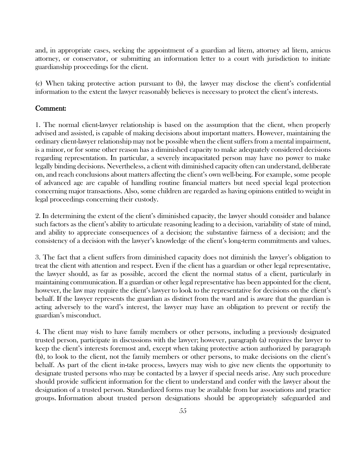and, in appropriate cases, seeking the appointment of a guardian ad litem, attorney ad litem, amicus attorney, or conservator, or submitting an information letter to a court with jurisdiction to initiate guardianship proceedings for the client.

(c) When taking protective action pursuant to (b), the lawyer may disclose the client's confidential information to the extent the lawyer reasonably believes is necessary to protect the client's interests.

## Comment:

1. The normal client-lawyer relationship is based on the assumption that the client, when properly advised and assisted, is capable of making decisions about important matters. However, maintaining the ordinary client-lawyer relationship may not be possible when the client suffers from a mental impairment, is a minor, or for some other reason has a diminished capacity to make adequately considered decisions regarding representation. In particular, a severely incapacitated person may have no power to make legally binding decisions. Nevertheless, a client with diminished capacity often can understand, deliberate on, and reach conclusions about matters affecting the client's own well-being. For example, some people of advanced age are capable of handling routine financial matters but need special legal protection concerning major transactions. Also, some children are regarded as having opinions entitled to weight in legal proceedings concerning their custody.

2. In determining the extent of the client's diminished capacity, the lawyer should consider and balance such factors as the client's ability to articulate reasoning leading to a decision, variability of state of mind, and ability to appreciate consequences of a decision; the substantive fairness of a decision; and the consistency of a decision with the lawyer's knowledge of the client's long-term commitments and values.

3. The fact that a client suffers from diminished capacity does not diminish the lawyer's obligation to treat the client with attention and respect. Even if the client has a guardian or other legal representative, the lawyer should, as far as possible, accord the client the normal status of a client, particularly in maintaining communication. If a guardian or other legal representative has been appointed for the client, however, the law may require the client's lawyer to look to the representative for decisions on the client's behalf. If the lawyer represents the guardian as distinct from the ward and is aware that the guardian is acting adversely to the ward's interest, the lawyer may have an obligation to prevent or rectify the guardian's misconduct.

4. The client may wish to have family members or other persons, including a previously designated trusted person, participate in discussions with the lawyer; however, paragraph (a) requires the lawyer to keep the client's interests foremost and, except when taking protective action authorized by paragraph (b), to look to the client, not the family members or other persons, to make decisions on the client's behalf. As part of the client in-take process, lawyers may wish to give new clients the opportunity to designate trusted persons who may be contacted by a lawyer if special needs arise. Any such procedure should provide sufficient information for the client to understand and confer with the lawyer about the designation of a trusted person. Standardized forms may be available from bar associations and practice groups. Information about trusted person designations should be appropriately safeguarded and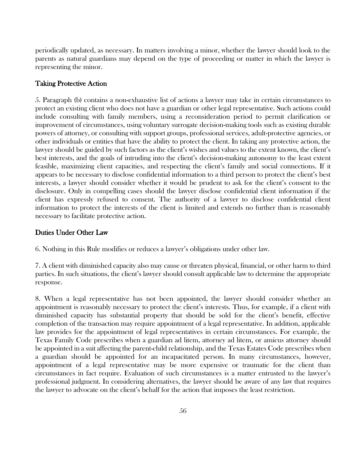periodically updated, as necessary. In matters involving a minor, whether the lawyer should look to the parents as natural guardians may depend on the type of proceeding or matter in which the lawyer is representing the minor.

### Taking Protective Action

5. Paragraph (b) contains a non-exhaustive list of actions a lawyer may take in certain circumstances to protect an existing client who does not have a guardian or other legal representative. Such actions could include consulting with family members, using a reconsideration period to permit clarification or improvement of circumstances, using voluntary surrogate decision-making tools such as existing durable powers of attorney, or consulting with support groups, professional services, adult-protective agencies, or other individuals or entities that have the ability to protect the client. In taking any protective action, the lawyer should be guided by such factors as the client's wishes and values to the extent known, the client's best interests, and the goals of intruding into the client's decision-making autonomy to the least extent feasible, maximizing client capacities, and respecting the client's family and social connections. If it appears to be necessary to disclose confidential information to a third person to protect the client's best interests, a lawyer should consider whether it would be prudent to ask for the client's consent to the disclosure. Only in compelling cases should the lawyer disclose confidential client information if the client has expressly refused to consent. The authority of a lawyer to disclose confidential client information to protect the interests of the client is limited and extends no further than is reasonably necessary to facilitate protective action.

#### Duties Under Other Law

6. Nothing in this Rule modifies or reduces a lawyer's obligations under other law.

7. A client with diminished capacity also may cause or threaten physical, financial, or other harm to third parties. In such situations, the client's lawyer should consult applicable law to determine the appropriate response.

8. When a legal representative has not been appointed, the lawyer should consider whether an appointment is reasonably necessary to protect the client's interests. Thus, for example, if a client with diminished capacity has substantial property that should be sold for the client's benefit, effective completion of the transaction may require appointment of a legal representative. In addition, applicable law provides for the appointment of legal representatives in certain circumstances. For example, the Texas Family Code prescribes when a guardian ad litem, attorney ad litem, or amicus attorney should be appointed in a suit affecting the parent-child relationship, and the Texas Estates Code prescribes when a guardian should be appointed for an incapacitated person. In many circumstances, however, appointment of a legal representative may be more expensive or traumatic for the client than circumstances in fact require. Evaluation of such circumstances is a matter entrusted to the lawyer's professional judgment. In considering alternatives, the lawyer should be aware of any law that requires the lawyer to advocate on the client's behalf for the action that imposes the least restriction.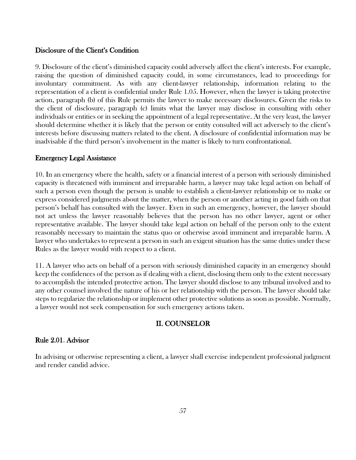#### Disclosure of the Client's Condition

9. Disclosure of the client's diminished capacity could adversely affect the client's interests. For example, raising the question of diminished capacity could, in some circumstances, lead to proceedings for involuntary commitment. As with any client-lawyer relationship, information relating to the representation of a client is confidential under Rule 1.05. However, when the lawyer is taking protective action, paragraph (b) of this Rule permits the lawyer to make necessary disclosures. Given the risks to the client of disclosure, paragraph (c) limits what the lawyer may disclose in consulting with other individuals or entities or in seeking the appointment of a legal representative. At the very least, the lawyer should determine whether it is likely that the person or entity consulted will act adversely to the client's interests before discussing matters related to the client. A disclosure of confidential information may be inadvisable if the third person's involvement in the matter is likely to turn confrontational.

#### Emergency Legal Assistance

10. In an emergency where the health, safety or a financial interest of a person with seriously diminished capacity is threatened with imminent and irreparable harm, a lawyer may take legal action on behalf of such a person even though the person is unable to establish a client-lawyer relationship or to make or express considered judgments about the matter, when the person or another acting in good faith on that person's behalf has consulted with the lawyer. Even in such an emergency, however, the lawyer should not act unless the lawyer reasonably believes that the person has no other lawyer, agent or other representative available. The lawyer should take legal action on behalf of the person only to the extent reasonably necessary to maintain the status quo or otherwise avoid imminent and irreparable harm. A lawyer who undertakes to represent a person in such an exigent situation has the same duties under these Rules as the lawyer would with respect to a client.

11. A lawyer who acts on behalf of a person with seriously diminished capacity in an emergency should keep the confidences of the person as if dealing with a client, disclosing them only to the extent necessary to accomplish the intended protective action. The lawyer should disclose to any tribunal involved and to any other counsel involved the nature of his or her relationship with the person. The lawyer should take steps to regularize the relationship or implement other protective solutions as soon as possible. Normally, a lawyer would not seek compensation for such emergency actions taken.

# II. COUNSELOR

## Rule 2.01. Advisor

In advising or otherwise representing a client, a lawyer shall exercise independent professional judgment and render candid advice.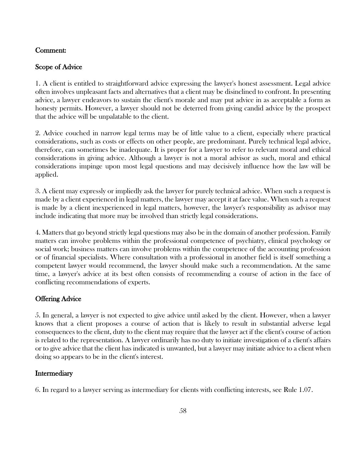# Comment:

# Scope of Advice

1. A client is entitled to straightforward advice expressing the lawyer's honest assessment. Legal advice often involves unpleasant facts and alternatives that a client may be disinclined to confront. In presenting advice, a lawyer endeavors to sustain the client's morale and may put advice in as acceptable a form as honesty permits. However, a lawyer should not be deterred from giving candid advice by the prospect that the advice will be unpalatable to the client.

2. Advice couched in narrow legal terms may be of little value to a client, especially where practical considerations, such as costs or effects on other people, are predominant. Purely technical legal advice, therefore, can sometimes be inadequate. It is proper for a lawyer to refer to relevant moral and ethical considerations in giving advice. Although a lawyer is not a moral advisor as such, moral and ethical considerations impinge upon most legal questions and may decisively influence how the law will be applied.

3. A client may expressly or impliedly ask the lawyer for purely technical advice. When such a request is made by a client experienced in legal matters, the lawyer may accept it at face value. When such a request is made by a client inexperienced in legal matters, however, the lawyer's responsibility as advisor may include indicating that more may be involved than strictly legal considerations.

4. Matters that go beyond strictly legal questions may also be in the domain of another profession. Family matters can involve problems within the professional competence of psychiatry, clinical psychology or social work; business matters can involve problems within the competence of the accounting profession or of financial specialists. Where consultation with a professional in another field is itself something a competent lawyer would recommend, the lawyer should make such a recommendation. At the same time, a lawyer's advice at its best often consists of recommending a course of action in the face of conflicting recommendations of experts.

# Offering Advice

5. In general, a lawyer is not expected to give advice until asked by the client. However, when a lawyer knows that a client proposes a course of action that is likely to result in substantial adverse legal consequences to the client, duty to the client may require that the lawyer act if the client's course of action is related to the representation. A lawyer ordinarily has no duty to initiate investigation of a client's affairs or to give advice that the client has indicated is unwanted, but a lawyer may initiate advice to a client when doing so appears to be in the client's interest.

# Intermediary

6. In regard to a lawyer serving as intermediary for clients with conflicting interests, see Rule 1.07.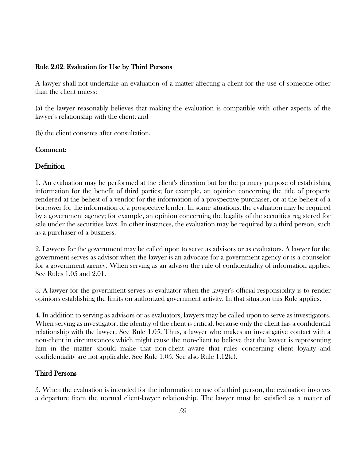# Rule 2.02. Evaluation for Use by Third Persons

A lawyer shall not undertake an evaluation of a matter affecting a client for the use of someone other than the client unless:

(a) the lawyer reasonably believes that making the evaluation is compatible with other aspects of the lawyer's relationship with the client; and

(b) the client consents after consultation.

# Comment:

# Definition

1. An evaluation may be performed at the client's direction but for the primary purpose of establishing information for the benefit of third parties; for example, an opinion concerning the title of property rendered at the behest of a vendor for the information of a prospective purchaser, or at the behest of a borrower for the information of a prospective lender. In some situations, the evaluation may be required by a government agency; for example, an opinion concerning the legality of the securities registered for sale under the securities laws. In other instances, the evaluation may be required by a third person, such as a purchaser of a business.

2. Lawyers for the government may be called upon to serve as advisors or as evaluators. A lawyer for the government serves as advisor when the lawyer is an advocate for a government agency or is a counselor for a government agency. When serving as an advisor the rule of confidentiality of information applies. See Rules 1.05 and 2.01.

3. A lawyer for the government serves as evaluator when the lawyer's official responsibility is to render opinions establishing the limits on authorized government activity. In that situation this Rule applies.

4. In addition to serving as advisors or as evaluators, lawyers may be called upon to serve as investigators. When serving as investigator, the identity of the client is critical, because only the client has a confidential relationship with the lawyer. See Rule 1.05. Thus, a lawyer who makes an investigative contact with a non-client in circumstances which might cause the non-client to believe that the lawyer is representing him in the matter should make that non-client aware that rules concerning client loyalty and confidentiality are not applicable. See Rule 1.05. See also Rule 1.12(e).

# Third Persons

5. When the evaluation is intended for the information or use of a third person, the evaluation involves a departure from the normal client-lawyer relationship. The lawyer must be satisfied as a matter of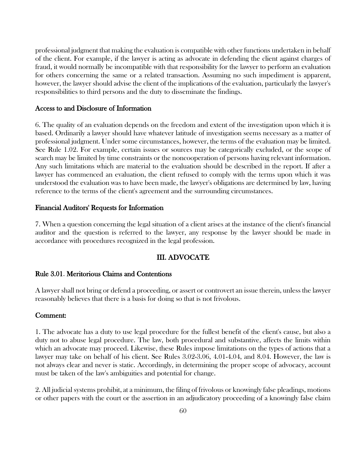professional judgment that making the evaluation is compatible with other functions undertaken in behalf of the client. For example, if the lawyer is acting as advocate in defending the client against charges of fraud, it would normally be incompatible with that responsibility for the lawyer to perform an evaluation for others concerning the same or a related transaction. Assuming no such impediment is apparent, however, the lawyer should advise the client of the implications of the evaluation, particularly the lawyer's responsibilities to third persons and the duty to disseminate the findings.

#### Access to and Disclosure of Information

6. The quality of an evaluation depends on the freedom and extent of the investigation upon which it is based. Ordinarily a lawyer should have whatever latitude of investigation seems necessary as a matter of professional judgment. Under some circumstances, however, the terms of the evaluation may be limited. See Rule 1.02. For example, certain issues or sources may be categorically excluded, or the scope of search may be limited by time constraints or the noncooperation of persons having relevant information. Any such limitations which are material to the evaluation should be described in the report. If after a lawyer has commenced an evaluation, the client refused to comply with the terms upon which it was understood the evaluation was to have been made, the lawyer's obligations are determined by law, having reference to the terms of the client's agreement and the surrounding circumstances.

#### Financial Auditors' Requests for Information

7. When a question concerning the legal situation of a client arises at the instance of the client's financial auditor and the question is referred to the lawyer, any response by the lawyer should be made in accordance with procedures recognized in the legal profession.

# III. ADVOCATE

## Rule 3.01. Meritorious Claims and Contentions

A lawyer shall not bring or defend a proceeding, or assert or controvert an issue therein, unless the lawyer reasonably believes that there is a basis for doing so that is not frivolous.

#### Comment:

1. The advocate has a duty to use legal procedure for the fullest benefit of the client's cause, but also a duty not to abuse legal procedure. The law, both procedural and substantive, affects the limits within which an advocate may proceed. Likewise, these Rules impose limitations on the types of actions that a lawyer may take on behalf of his client. See Rules 3.02-3.06, 4.01-4.04, and 8.04. However, the law is not always clear and never is static. Accordingly, in determining the proper scope of advocacy, account must be taken of the law's ambiguities and potential for change.

2. All judicial systems prohibit, at a minimum, the filing of frivolous or knowingly false pleadings, motions or other papers with the court or the assertion in an adjudicatory proceeding of a knowingly false claim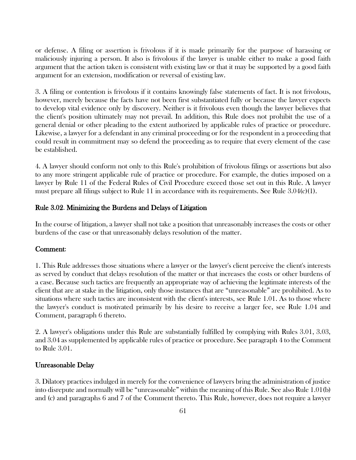or defense. A filing or assertion is frivolous if it is made primarily for the purpose of harassing or maliciously injuring a person. It also is frivolous if the lawyer is unable either to make a good faith argument that the action taken is consistent with existing law or that it may be supported by a good faith argument for an extension, modification or reversal of existing law.

3. A filing or contention is frivolous if it contains knowingly false statements of fact. It is not frivolous, however, merely because the facts have not been first substantiated fully or because the lawyer expects to develop vital evidence only by discovery. Neither is it frivolous even though the lawyer believes that the client's position ultimately may not prevail. In addition, this Rule does not prohibit the use of a general denial or other pleading to the extent authorized by applicable rules of practice or procedure. Likewise, a lawyer for a defendant in any criminal proceeding or for the respondent in a proceeding that could result in commitment may so defend the proceeding as to require that every element of the case be established.

4. A lawyer should conform not only to this Rule's prohibition of frivolous filings or assertions but also to any more stringent applicable rule of practice or procedure. For example, the duties imposed on a lawyer by Rule 11 of the Federal Rules of Civil Procedure exceed those set out in this Rule. A lawyer must prepare all filings subject to Rule 11 in accordance with its requirements. See Rule 3.04(c)(1).

## Rule 3.02. Minimizing the Burdens and Delays of Litigation

In the course of litigation, a lawyer shall not take a position that unreasonably increases the costs or other burdens of the case or that unreasonably delays resolution of the matter.

## Comment:

1. This Rule addresses those situations where a lawyer or the lawyer's client perceive the client's interests as served by conduct that delays resolution of the matter or that increases the costs or other burdens of a case. Because such tactics are frequently an appropriate way of achieving the legitimate interests of the client that are at stake in the litigation, only those instances that are "unreasonable" are prohibited. As to situations where such tactics are inconsistent with the client's interests, see Rule 1.01. As to those where the lawyer's conduct is motivated primarily by his desire to receive a larger fee, see Rule 1.04 and Comment, paragraph 6 thereto.

2. A lawyer's obligations under this Rule are substantially fulfilled by complying with Rules 3.01, 3.03, and 3.04 as supplemented by applicable rules of practice or procedure. See paragraph 4 to the Comment to Rule 3.01.

## Unreasonable Delay

3. Dilatory practices indulged in merely for the convenience of lawyers bring the administration of justice into disrepute and normally will be "unreasonable" within the meaning of this Rule. See also Rule 1.01(b) and (c) and paragraphs 6 and 7 of the Comment thereto. This Rule, however, does not require a lawyer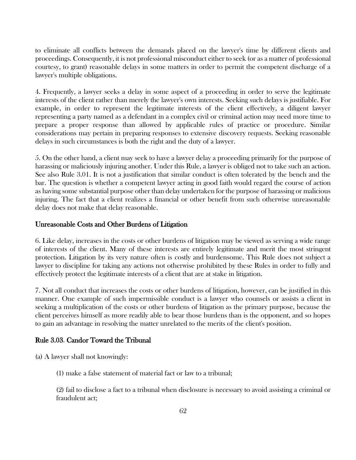to eliminate all conflicts between the demands placed on the lawyer's time by different clients and proceedings. Consequently, it is not professional misconduct either to seek (or as a matter of professional courtesy, to grant) reasonable delays in some matters in order to permit the competent discharge of a lawyer's multiple obligations.

4. Frequently, a lawyer seeks a delay in some aspect of a proceeding in order to serve the legitimate interests of the client rather than merely the lawyer's own interests. Seeking such delays is justifiable. For example, in order to represent the legitimate interests of the client effectively, a diligent lawyer representing a party named as a defendant in a complex civil or criminal action may need more time to prepare a proper response than allowed by applicable rules of practice or procedure. Similar considerations may pertain in preparing responses to extensive discovery requests. Seeking reasonable delays in such circumstances is both the right and the duty of a lawyer.

5. On the other hand, a client may seek to have a lawyer delay a proceeding primarily for the purpose of harassing or maliciously injuring another. Under this Rule, a lawyer is obliged not to take such an action. See also Rule 3.01. It is not a justification that similar conduct is often tolerated by the bench and the bar. The question is whether a competent lawyer acting in good faith would regard the course of action as having some substantial purpose other than delay undertaken for the purpose of harassing or malicious injuring. The fact that a client realizes a financial or other benefit from such otherwise unreasonable delay does not make that delay reasonable.

# Unreasonable Costs and Other Burdens of Litigation

6. Like delay, increases in the costs or other burdens of litigation may be viewed as serving a wide range of interests of the client. Many of these interests are entirely legitimate and merit the most stringent protection. Litigation by its very nature often is costly and burdensome. This Rule does not subject a lawyer to discipline for taking any actions not otherwise prohibited by these Rules in order to fully and effectively protect the legitimate interests of a client that are at stake in litigation.

7. Not all conduct that increases the costs or other burdens of litigation, however, can be justified in this manner. One example of such impermissible conduct is a lawyer who counsels or assists a client in seeking a multiplication of the costs or other burdens of litigation as the primary purpose, because the client perceives himself as more readily able to bear those burdens than is the opponent, and so hopes to gain an advantage in resolving the matter unrelated to the merits of the client's position.

## Rule 3.03. Candor Toward the Tribunal

(a) A lawyer shall not knowingly:

(1) make a false statement of material fact or law to a tribunal;

(2) fail to disclose a fact to a tribunal when disclosure is necessary to avoid assisting a criminal or fraudulent act;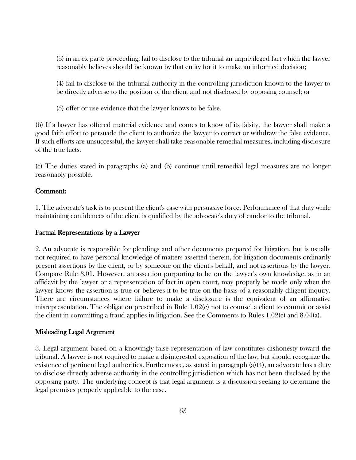(3) in an ex parte proceeding, fail to disclose to the tribunal an unprivileged fact which the lawyer reasonably believes should be known by that entity for it to make an informed decision;

(4) fail to disclose to the tribunal authority in the controlling jurisdiction known to the lawyer to be directly adverse to the position of the client and not disclosed by opposing counsel; or

(5) offer or use evidence that the lawyer knows to be false.

(b) If a lawyer has offered material evidence and comes to know of its falsity, the lawyer shall make a good faith effort to persuade the client to authorize the lawyer to correct or withdraw the false evidence. If such efforts are unsuccessful, the lawyer shall take reasonable remedial measures, including disclosure of the true facts.

(c) The duties stated in paragraphs (a) and (b) continue until remedial legal measures are no longer reasonably possible.

#### Comment:

1. The advocate's task is to present the client's case with persuasive force. Performance of that duty while maintaining confidences of the client is qualified by the advocate's duty of candor to the tribunal.

#### Factual Representations by a Lawyer

2. An advocate is responsible for pleadings and other documents prepared for litigation, but is usually not required to have personal knowledge of matters asserted therein, for litigation documents ordinarily present assertions by the client, or by someone on the client's behalf, and not assertions by the lawyer. Compare Rule 3.01. However, an assertion purporting to be on the lawyer's own knowledge, as in an affidavit by the lawyer or a representation of fact in open court, may properly be made only when the lawyer knows the assertion is true or believes it to be true on the basis of a reasonably diligent inquiry. There are circumstances where failure to make a disclosure is the equivalent of an affirmative misrepresentation. The obligation prescribed in Rule 1.02(c) not to counsel a client to commit or assist the client in committing a fraud applies in litigation. See the Comments to Rules 1.02(c) and 8.04(a).

#### Misleading Legal Argument

3. Legal argument based on a knowingly false representation of law constitutes dishonesty toward the tribunal. A lawyer is not required to make a disinterested exposition of the law, but should recognize the existence of pertinent legal authorities. Furthermore, as stated in paragraph (a)(4), an advocate has a duty to disclose directly adverse authority in the controlling jurisdiction which has not been disclosed by the opposing party. The underlying concept is that legal argument is a discussion seeking to determine the legal premises properly applicable to the case.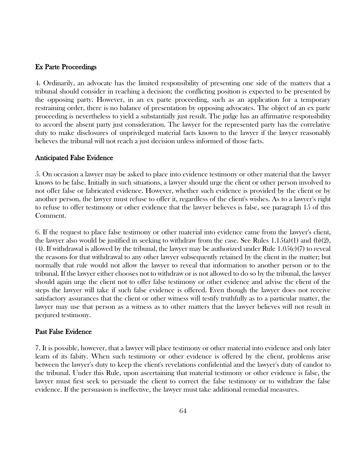### Ex Parte Proceedings

4. Ordinarily, an advocate has the limited responsibility of presenting one side of the matters that a tribunal should consider in reaching a decision; the conflicting position is expected to be presented by the opposing party. However, in an ex parte proceeding, such as an application for a temporary restraining order, there is no balance of presentation by opposing advocates. The object of an ex parte proceeding is nevertheless to yield a substantially just result. The judge has an affirmative responsibility to accord the absent party just consideration. The lawyer for the represented party has the correlative duty to make disclosures of unprivileged material facts known to the lawyer if the lawyer reasonably believes the tribunal will not reach a just decision unless informed of those facts.

#### Anticipated False Evidence

5. On occasion a lawyer may be asked to place into evidence testimony or other material that the lawyer knows to be false. Initially in such situations, a lawyer should urge the client or other person involved to not offer false or fabricated evidence. However, whether such evidence is provided by the client or by another person, the lawyer must refuse to offer it, regardless of the client's wishes. As to a lawyer's right to refuse to offer testimony or other evidence that the lawyer believes is false, see paragraph 15 of this Comment.

6. If the request to place false testimony or other material into evidence came from the lawyer's client, the lawyer also would be justified in seeking to withdraw from the case. See Rules  $1.15(a)(1)$  and  $(b)(2)$ , (4). If withdrawal is allowed by the tribunal, the lawyer may be authorized under Rule 1.05(c)(7) to reveal the reasons for that withdrawal to any other lawyer subsequently retained by the client in the matter; but normally that rule would not allow the lawyer to reveal that information to another person or to the tribunal. If the lawyer either chooses not to withdraw or is not allowed to do so by the tribunal, the lawyer should again urge the client not to offer false testimony or other evidence and advise the client of the steps the lawyer will take if such false evidence is offered. Even though the lawyer does not receive satisfactory assurances that the client or other witness will testify truthfully as to a particular matter, the lawyer may use that person as a witness as to other matters that the lawyer believes will not result in perjured testimony.

#### Past False Evidence

7. It is possible, however, that a lawyer will place testimony or other material into evidence and only later learn of its falsity. When such testimony or other evidence is offered by the client, problems arise between the lawyer's duty to keep the client's revelations confidential and the lawyer's duty of candor to the tribunal. Under this Rule, upon ascertaining that material testimony or other evidence is false, the lawyer must first seek to persuade the client to correct the false testimony or to withdraw the false evidence. If the persuasion is ineffective, the lawyer must take additional remedial measures.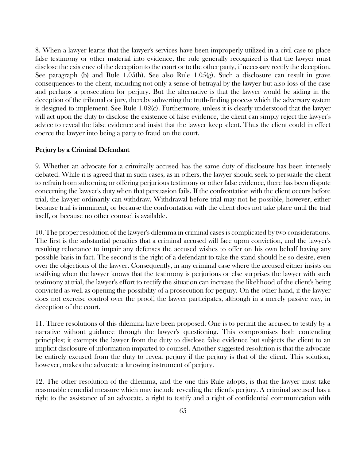8. When a lawyer learns that the lawyer's services have been improperly utilized in a civil case to place false testimony or other material into evidence, the rule generally recognized is that the lawyer must disclose the existence of the deception to the court or to the other party, if necessary rectify the deception. See paragraph (b) and Rule 1.05(h). See also Rule 1.05(g). Such a disclosure can result in grave consequences to the client, including not only a sense of betrayal by the lawyer but also loss of the case and perhaps a prosecution for perjury. But the alternative is that the lawyer would be aiding in the deception of the tribunal or jury, thereby subverting the truth-finding process which the adversary system is designed to implement. See Rule 1.02(c). Furthermore, unless it is clearly understood that the lawyer will act upon the duty to disclose the existence of false evidence, the client can simply reject the lawyer's advice to reveal the false evidence and insist that the lawyer keep silent. Thus the client could in effect coerce the lawyer into being a party to fraud on the court.

#### Perjury by a Criminal Defendant

9. Whether an advocate for a criminally accused has the same duty of disclosure has been intensely debated. While it is agreed that in such cases, as in others, the lawyer should seek to persuade the client to refrain from suborning or offering perjurious testimony or other false evidence, there has been dispute concerning the lawyer's duty when that persuasion fails. If the confrontation with the client occurs before trial, the lawyer ordinarily can withdraw. Withdrawal before trial may not be possible, however, either because trial is imminent, or because the confrontation with the client does not take place until the trial itself, or because no other counsel is available.

10. The proper resolution of the lawyer's dilemma in criminal cases is complicated by two considerations. The first is the substantial penalties that a criminal accused will face upon conviction, and the lawyer's resulting reluctance to impair any defenses the accused wishes to offer on his own behalf having any possible basis in fact. The second is the right of a defendant to take the stand should he so desire, even over the objections of the lawyer. Consequently, in any criminal case where the accused either insists on testifying when the lawyer knows that the testimony is perjurious or else surprises the lawyer with such testimony at trial, the lawyer's effort to rectify the situation can increase the likelihood of the client's being convicted as well as opening the possibility of a prosecution for perjury. On the other hand, if the lawyer does not exercise control over the proof, the lawyer participates, although in a merely passive way, in deception of the court.

11. Three resolutions of this dilemma have been proposed. One is to permit the accused to testify by a narrative without guidance through the lawyer's questioning. This compromises both contending principles; it exempts the lawyer from the duty to disclose false evidence but subjects the client to an implicit disclosure of information imparted to counsel. Another suggested resolution is that the advocate be entirely excused from the duty to reveal perjury if the perjury is that of the client. This solution, however, makes the advocate a knowing instrument of perjury.

12. The other resolution of the dilemma, and the one this Rule adopts, is that the lawyer must take reasonable remedial measure which may include revealing the client's perjury. A criminal accused has a right to the assistance of an advocate, a right to testify and a right of confidential communication with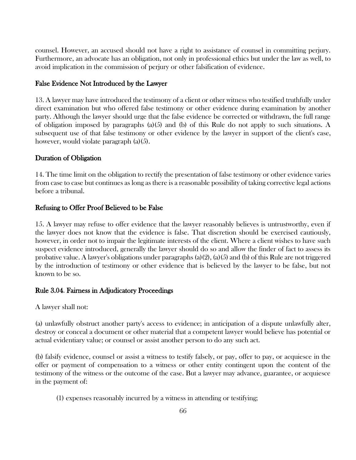counsel. However, an accused should not have a right to assistance of counsel in committing perjury. Furthermore, an advocate has an obligation, not only in professional ethics but under the law as well, to avoid implication in the commission of perjury or other falsification of evidence.

# False Evidence Not Introduced by the Lawyer

13. A lawyer may have introduced the testimony of a client or other witness who testified truthfully under direct examination but who offered false testimony or other evidence during examination by another party. Although the lawyer should urge that the false evidence be corrected or withdrawn, the full range of obligation imposed by paragraphs (a)(5) and (b) of this Rule do not apply to such situations. A subsequent use of that false testimony or other evidence by the lawyer in support of the client's case, however, would violate paragraph (a)(5).

# Duration of Obligation

14. The time limit on the obligation to rectify the presentation of false testimony or other evidence varies from case to case but continues as long as there is a reasonable possibility of taking corrective legal actions before a tribunal.

# Refusing to Offer Proof Believed to be False

15. A lawyer may refuse to offer evidence that the lawyer reasonably believes is untrustworthy, even if the lawyer does not know that the evidence is false. That discretion should be exercised cautiously, however, in order not to impair the legitimate interests of the client. Where a client wishes to have such suspect evidence introduced, generally the lawyer should do so and allow the finder of fact to assess its probative value. A lawyer's obligations under paragraphs (a)(2), (a)(5) and (b) of this Rule are not triggered by the introduction of testimony or other evidence that is believed by the lawyer to be false, but not known to be so.

# Rule 3.04. Fairness in Adjudicatory Proceedings

A lawyer shall not:

(a) unlawfully obstruct another party's access to evidence; in anticipation of a dispute unlawfully alter, destroy or conceal a document or other material that a competent lawyer would believe has potential or actual evidentiary value; or counsel or assist another person to do any such act.

(b) falsify evidence, counsel or assist a witness to testify falsely, or pay, offer to pay, or acquiesce in the offer or payment of compensation to a witness or other entity contingent upon the content of the testimony of the witness or the outcome of the case. But a lawyer may advance, guarantee, or acquiesce in the payment of:

(1) expenses reasonably incurred by a witness in attending or testifying;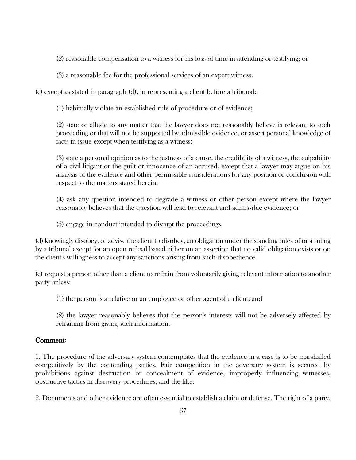(2) reasonable compensation to a witness for his loss of time in attending or testifying; or

(3) a reasonable fee for the professional services of an expert witness.

(c) except as stated in paragraph (d), in representing a client before a tribunal:

(1) habitually violate an established rule of procedure or of evidence;

(2) state or allude to any matter that the lawyer does not reasonably believe is relevant to such proceeding or that will not be supported by admissible evidence, or assert personal knowledge of facts in issue except when testifying as a witness;

(3) state a personal opinion as to the justness of a cause, the credibility of a witness, the culpability of a civil litigant or the guilt or innocence of an accused, except that a lawyer may argue on his analysis of the evidence and other permissible considerations for any position or conclusion with respect to the matters stated herein;

(4) ask any question intended to degrade a witness or other person except where the lawyer reasonably believes that the question will lead to relevant and admissible evidence; or

(5) engage in conduct intended to disrupt the proceedings.

(d) knowingly disobey, or advise the client to disobey, an obligation under the standing rules of or a ruling by a tribunal except for an open refusal based either on an assertion that no valid obligation exists or on the client's willingness to accept any sanctions arising from such disobedience.

(e) request a person other than a client to refrain from voluntarily giving relevant information to another party unless:

(1) the person is a relative or an employee or other agent of a client; and

(2) the lawyer reasonably believes that the person's interests will not be adversely affected by refraining from giving such information.

# Comment:

1. The procedure of the adversary system contemplates that the evidence in a case is to be marshalled competitively by the contending parties. Fair competition in the adversary system is secured by prohibitions against destruction or concealment of evidence, improperly influencing witnesses, obstructive tactics in discovery procedures, and the like.

2. Documents and other evidence are often essential to establish a claim or defense. The right of a party,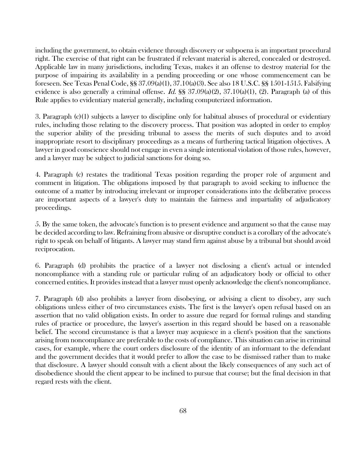including the government, to obtain evidence through discovery or subpoena is an important procedural right. The exercise of that right can be frustrated if relevant material is altered, concealed or destroyed. Applicable law in many jurisdictions, including Texas, makes it an offense to destroy material for the purpose of impairing its availability in a pending proceeding or one whose commencement can be foreseen. See Texas Penal Code, §§ 37.09(a)(1), 37.10(a)(3). See also 18 U.S.C. §§ 1501[-1515.](http://www.westlaw.com/Find/Default.wl?rs=dfa1.0&vr=2.0&DB=1000546&DocName=18USCAS1515&FindType=L) Falsifying evidence is also generally a criminal offense. *Id.*  $\S$ § 37.09(a)(2), 37.10(a)(1), (2). Paragraph (a) of this Rule applies to evidentiary material generally, including computerized information.

3. Paragraph (c)(1) subjects a lawyer to discipline only for habitual abuses of procedural or evidentiary rules, including those relating to the discovery process. That position was adopted in order to employ the superior ability of the presiding tribunal to assess the merits of such disputes and to avoid inappropriate resort to disciplinary proceedings as a means of furthering tactical litigation objectives. A lawyer in good conscience should not engage in even a single intentional violation of those rules, however, and a lawyer may be subject to judicial sanctions for doing so.

4. Paragraph (c) restates the traditional Texas position regarding the proper role of argument and comment in litigation. The obligations imposed by that paragraph to avoid seeking to influence the outcome of a matter by introducing irrelevant or improper considerations into the deliberative process are important aspects of a lawyer's duty to maintain the fairness and impartiality of adjudicatory proceedings.

5. By the same token, the advocate's function is to present evidence and argument so that the cause may be decided according to law. Refraining from abusive or disruptive conduct is a corollary of the advocate's right to speak on behalf of litigants. A lawyer may stand firm against abuse by a tribunal but should avoid reciprocation.

6. Paragraph (d) prohibits the practice of a lawyer not disclosing a client's actual or intended noncompliance with a standing rule or particular ruling of an adjudicatory body or official to other concerned entities. It provides instead that a lawyer must openly acknowledge the client's noncompliance.

7. Paragraph (d) also prohibits a lawyer from disobeying, or advising a client to disobey, any such obligations unless either of two circumstances exists. The first is the lawyer's open refusal based on an assertion that no valid obligation exists. In order to assure due regard for formal rulings and standing rules of practice or procedure, the lawyer's assertion in this regard should be based on a reasonable belief. The second circumstance is that a lawyer may acquiesce in a client's position that the sanctions arising from noncompliance are preferable to the costs of compliance. This situation can arise in criminal cases, for example, where the court orders disclosure of the identity of an informant to the defendant and the government decides that it would prefer to allow the case to be dismissed rather than to make that disclosure. A lawyer should consult with a client about the likely consequences of any such act of disobedience should the client appear to be inclined to pursue that course; but the final decision in that regard rests with the client.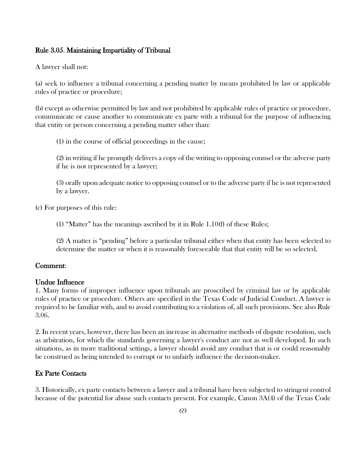# Rule 3.05. Maintaining Impartiality of Tribunal

A lawyer shall not:

(a) seek to influence a tribunal concerning a pending matter by means prohibited by law or applicable rules of practice or procedure;

(b) except as otherwise permitted by law and not prohibited by applicable rules of practice or procedure, communicate or cause another to communicate ex parte with a tribunal for the purpose of influencing that entity or person concerning a pending matter other than:

(1) in the course of official proceedings in the cause;

(2) in writing if he promptly delivers a copy of the writing to opposing counsel or the adverse party if he is not represented by a lawyer;

(3) orally upon adequate notice to opposing counsel or to the adverse party if he is not represented by a lawyer.

(c) For purposes of this rule:

(1) "Matter" has the meanings ascribed by it in Rule 1.10(f) of these Rules;

(2) A matter is "pending" before a particular tribunal either when that entity has been selected to determine the matter or when it is reasonably foreseeable that that entity will be so selected.

## Comment:

#### Undue Influence

1. Many forms of improper influence upon tribunals are proscribed by criminal law or by applicable rules of practice or procedure. Others are specified in the Texas Code of Judicial Conduct. A lawyer is required to be familiar with, and to avoid contributing to a violation of, all such provisions. See also Rule 3.06.

2. In recent years, however, there has been an increase in alternative methods of dispute resolution, such as arbitration, for which the standards governing a lawyer's conduct are not as well developed. In such situations, as in more traditional settings, a lawyer should avoid any conduct that is or could reasonably be construed as being intended to corrupt or to unfairly influence the decision-maker.

## Ex Parte Contacts

3. Historically, ex parte contacts between a lawyer and a tribunal have been subjected to stringent control because of the potential for abuse such contacts present. For example, Canon 3A(4) of the Texas Code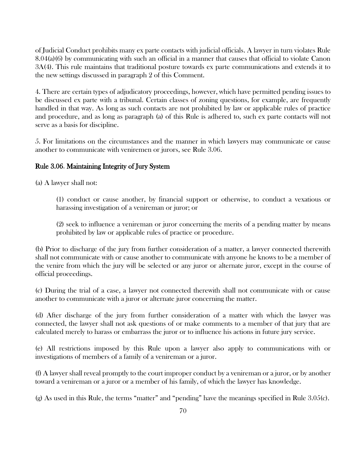of Judicial Conduct prohibits many ex parte contacts with judicial officials. A lawyer in turn violates Rule 8.04(a)(6) by communicating with such an official in a manner that causes that official to violate Canon 3A(4). This rule maintains that traditional posture towards ex parte communications and extends it to the new settings discussed in paragraph 2 of this Comment.

4. There are certain types of adjudicatory proceedings, however, which have permitted pending issues to be discussed ex parte with a tribunal. Certain classes of zoning questions, for example, are frequently handled in that way. As long as such contacts are not prohibited by law or applicable rules of practice and procedure, and as long as paragraph (a) of this Rule is adhered to, such ex parte contacts will not serve as a basis for discipline.

5. For limitations on the circumstances and the manner in which lawyers may communicate or cause another to communicate with veniremen or jurors, see Rule 3.06.

# Rule 3.06. Maintaining Integrity of Jury System

(a) A lawyer shall not:

(1) conduct or cause another, by financial support or otherwise, to conduct a vexatious or harassing investigation of a venireman or juror; or

(2) seek to influence a venireman or juror concerning the merits of a pending matter by means prohibited by law or applicable rules of practice or procedure.

(b) Prior to discharge of the jury from further consideration of a matter, a lawyer connected therewith shall not communicate with or cause another to communicate with anyone he knows to be a member of the venire from which the jury will be selected or any juror or alternate juror, except in the course of official proceedings.

(c) During the trial of a case, a lawyer not connected therewith shall not communicate with or cause another to communicate with a juror or alternate juror concerning the matter.

(d) After discharge of the jury from further consideration of a matter with which the lawyer was connected, the lawyer shall not ask questions of or make comments to a member of that jury that are calculated merely to harass or embarrass the juror or to influence his actions in future jury service.

(e) All restrictions imposed by this Rule upon a lawyer also apply to communications with or investigations of members of a family of a venireman or a juror.

(f) A lawyer shall reveal promptly to the court improper conduct by a venireman or a juror, or by another toward a venireman or a juror or a member of his family, of which the lawyer has knowledge.

(g) As used in this Rule, the terms "matter" and "pending" have the meanings specified in Rule 3.05(c).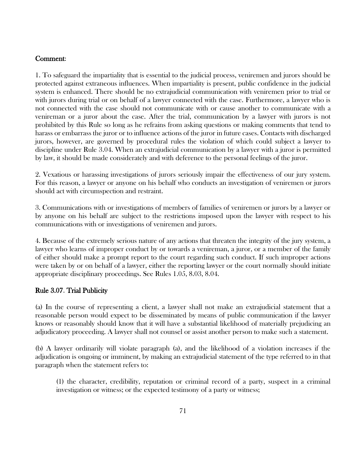# Comment:

1. To safeguard the impartiality that is essential to the judicial process, veniremen and jurors should be protected against extraneous influences. When impartiality is present, public confidence in the judicial system is enhanced. There should be no extrajudicial communication with veniremen prior to trial or with jurors during trial or on behalf of a lawyer connected with the case. Furthermore, a lawyer who is not connected with the case should not communicate with or cause another to communicate with a venireman or a juror about the case. After the trial, communication by a lawyer with jurors is not prohibited by this Rule so long as he refrains from asking questions or making comments that tend to harass or embarrass the juror or to influence actions of the juror in future cases. Contacts with discharged jurors, however, are governed by procedural rules the violation of which could subject a lawyer to discipline under Rule 3.04. When an extrajudicial communication by a lawyer with a juror is permitted by law, it should be made considerately and with deference to the personal feelings of the juror.

2. Vexatious or harassing investigations of jurors seriously impair the effectiveness of our jury system. For this reason, a lawyer or anyone on his behalf who conducts an investigation of veniremen or jurors should act with circumspection and restraint.

3. Communications with or investigations of members of families of veniremen or jurors by a lawyer or by anyone on his behalf are subject to the restrictions imposed upon the lawyer with respect to his communications with or investigations of veniremen and jurors.

4. Because of the extremely serious nature of any actions that threaten the integrity of the jury system, a lawyer who learns of improper conduct by or towards a venireman, a juror, or a member of the family of either should make a prompt report to the court regarding such conduct. If such improper actions were taken by or on behalf of a lawyer, either the reporting lawyer or the court normally should initiate appropriate disciplinary proceedings. See Rules 1.05, 8.03, 8.04.

# Rule 3.07. Trial Publicity

(a) In the course of representing a client, a lawyer shall not make an extrajudicial statement that a reasonable person would expect to be disseminated by means of public communication if the lawyer knows or reasonably should know that it will have a substantial likelihood of materially prejudicing an adjudicatory proceeding. A lawyer shall not counsel or assist another person to make such a statement.

(b) A lawyer ordinarily will violate paragraph (a), and the likelihood of a violation increases if the adjudication is ongoing or imminent, by making an extrajudicial statement of the type referred to in that paragraph when the statement refers to:

(1) the character, credibility, reputation or criminal record of a party, suspect in a criminal investigation or witness; or the expected testimony of a party or witness;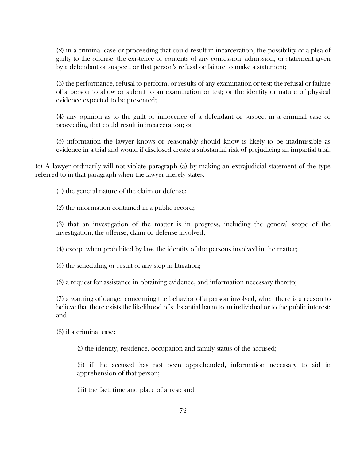(2) in a criminal case or proceeding that could result in incarceration, the possibility of a plea of guilty to the offense; the existence or contents of any confession, admission, or statement given by a defendant or suspect; or that person's refusal or failure to make a statement;

(3) the performance, refusal to perform, or results of any examination or test; the refusal or failure of a person to allow or submit to an examination or test; or the identity or nature of physical evidence expected to be presented;

(4) any opinion as to the guilt or innocence of a defendant or suspect in a criminal case or proceeding that could result in incarceration; or

(5) information the lawyer knows or reasonably should know is likely to be inadmissible as evidence in a trial and would if disclosed create a substantial risk of prejudicing an impartial trial.

(c) A lawyer ordinarily will not violate paragraph (a) by making an extrajudicial statement of the type referred to in that paragraph when the lawyer merely states:

(1) the general nature of the claim or defense;

(2) the information contained in a public record;

(3) that an investigation of the matter is in progress, including the general scope of the investigation, the offense, claim or defense involved;

(4) except when prohibited by law, the identity of the persons involved in the matter;

(5) the scheduling or result of any step in litigation;

(6) a request for assistance in obtaining evidence, and information necessary thereto;

(7) a warning of danger concerning the behavior of a person involved, when there is a reason to believe that there exists the likelihood of substantial harm to an individual or to the public interest; and

(8) if a criminal case:

(i) the identity, residence, occupation and family status of the accused;

(ii) if the accused has not been apprehended, information necessary to aid in apprehension of that person;

(iii) the fact, time and place of arrest; and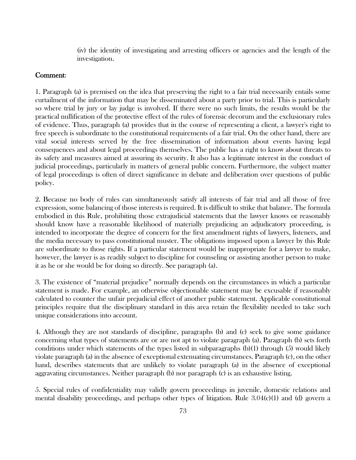(iv) the identity of investigating and arresting officers or agencies and the length of the investigation.

### Comment:

1. Paragraph (a) is premised on the idea that preserving the right to a fair trial necessarily entails some curtailment of the information that may be disseminated about a party prior to trial. This is particularly so where trial by jury or lay judge is involved. If there were no such limits, the results would be the practical nullification of the protective effect of the rules of forensic decorum and the exclusionary rules of evidence. Thus, paragraph (a) provides that in the course of representing a client, a lawyer's right to free speech is subordinate to the constitutional requirements of a fair trial. On the other hand, there are vital social interests served by the free dissemination of information about events having legal consequences and about legal proceedings themselves. The public has a right to know about threats to its safety and measures aimed at assuring its security. It also has a legitimate interest in the conduct of judicial proceedings, particularly in matters of general public concern. Furthermore, the subject matter of legal proceedings is often of direct significance in debate and deliberation over questions of public policy.

2. Because no body of rules can simultaneously satisfy all interests of fair trial and all those of free expression, some balancing of those interests is required. It is difficult to strike that balance. The formula embodied in this Rule, prohibiting those extrajudicial statements that the lawyer knows or reasonably should know have a reasonable likelihood of materially prejudicing an adjudicatory proceeding, is intended to incorporate the degree of concern for the first amendment rights of lawyers, listeners, and the media necessary to pass constitutional muster. The obligations imposed upon a lawyer by this Rule are subordinate to those rights. If a particular statement would be inappropriate for a lawyer to make, however, the lawyer is as readily subject to discipline for counseling or assisting another person to make it as he or she would be for doing so directly. See paragraph (a).

3. The existence of "material prejudice" normally depends on the circumstances in which a particular statement is made. For example, an otherwise objectionable statement may be excusable if reasonably calculated to counter the unfair prejudicial effect of another public statement. Applicable constitutional principles require that the disciplinary standard in this area retain the flexibility needed to take such unique considerations into account.

4. Although they are not standards of discipline, paragraphs (b) and (c) seek to give some guidance concerning what types of statements are or are not apt to violate paragraph (a). Paragraph (b) sets forth conditions under which statements of the types listed in subparagraphs  $(b)(1)$  through  $(5)$  would likely violate paragraph (a) in the absence of exceptional extenuating circumstances. Paragraph (c), on the other hand, describes statements that are unlikely to violate paragraph (a) in the absence of exceptional aggravating circumstances. Neither paragraph (b) nor paragraph (c) is an exhaustive listing.

5. Special rules of confidentiality may validly govern proceedings in juvenile, domestic relations and mental disability proceedings, and perhaps other types of litigation. Rule  $3.04(c)(1)$  and (d) govern a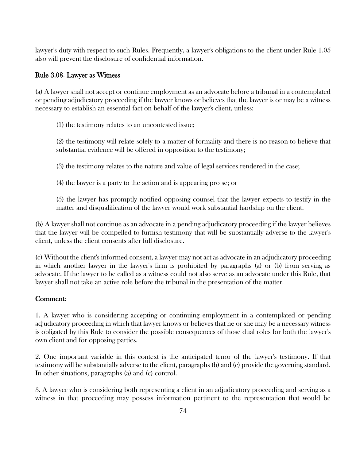lawyer's duty with respect to such Rules. Frequently, a lawyer's obligations to the client under Rule 1.05 also will prevent the disclosure of confidential information.

## Rule 3.08. Lawyer as Witness

(a) A lawyer shall not accept or continue employment as an advocate before a tribunal in a contemplated or pending adjudicatory proceeding if the lawyer knows or believes that the lawyer is or may be a witness necessary to establish an essential fact on behalf of the lawyer's client, unless:

(1) the testimony relates to an uncontested issue;

(2) the testimony will relate solely to a matter of formality and there is no reason to believe that substantial evidence will be offered in opposition to the testimony;

(3) the testimony relates to the nature and value of legal services rendered in the case;

(4) the lawyer is a party to the action and is appearing pro se; or

(5) the lawyer has promptly notified opposing counsel that the lawyer expects to testify in the matter and disqualification of the lawyer would work substantial hardship on the client.

(b) A lawyer shall not continue as an advocate in a pending adjudicatory proceeding if the lawyer believes that the lawyer will be compelled to furnish testimony that will be substantially adverse to the lawyer's client, unless the client consents after full disclosure.

(c) Without the client's informed consent, a lawyer may not act as advocate in an adjudicatory proceeding in which another lawyer in the lawyer's firm is prohibited by paragraphs (a) or (b) from serving as advocate. If the lawyer to be called as a witness could not also serve as an advocate under this Rule, that lawyer shall not take an active role before the tribunal in the presentation of the matter.

## Comment:

1. A lawyer who is considering accepting or continuing employment in a contemplated or pending adjudicatory proceeding in which that lawyer knows or believes that he or she may be a necessary witness is obligated by this Rule to consider the possible consequences of those dual roles for both the lawyer's own client and for opposing parties.

2. One important variable in this context is the anticipated tenor of the lawyer's testimony. If that testimony will be substantially adverse to the client, paragraphs (b) and (c) provide the governing standard. In other situations, paragraphs (a) and (c) control.

3. A lawyer who is considering both representing a client in an adjudicatory proceeding and serving as a witness in that proceeding may possess information pertinent to the representation that would be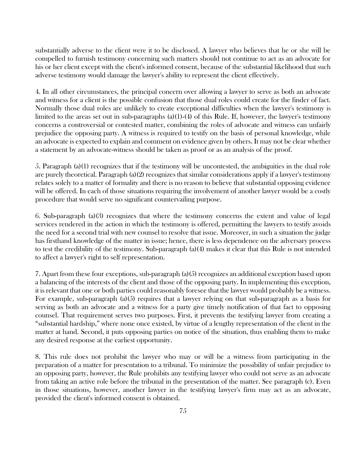substantially adverse to the client were it to be disclosed. A lawyer who believes that he or she will be compelled to furnish testimony concerning such matters should not continue to act as an advocate for his or her client except with the client's informed consent, because of the substantial likelihood that such adverse testimony would damage the lawyer's ability to represent the client effectively.

4. In all other circumstances, the principal concern over allowing a lawyer to serve as both an advocate and witness for a client is the possible confusion that those dual roles could create for the finder of fact. Normally those dual roles are unlikely to create exceptional difficulties when the lawyer's testimony is limited to the areas set out in sub-paragraphs (a)(1)-(4) of this Rule. If, however, the lawyer's testimony concerns a controversial or contested matter, combining the roles of advocate and witness can unfairly prejudice the opposing party. A witness is required to testify on the basis of personal knowledge, while an advocate is expected to explain and comment on evidence given by others. It may not be clear whether a statement by an advocate-witness should be taken as proof or as an analysis of the proof.

5. Paragraph (a)(1) recognizes that if the testimony will be uncontested, the ambiguities in the dual role are purely theoretical. Paragraph (a)(2) recognizes that similar considerations apply if a lawyer's testimony relates solely to a matter of formality and there is no reason to believe that substantial opposing evidence will be offered. In each of those situations requiring the involvement of another lawyer would be a costly procedure that would serve no significant countervailing purpose.

6. Sub-paragraph (a)(3) recognizes that where the testimony concerns the extent and value of legal services rendered in the action in which the testimony is offered, permitting the lawyers to testify avoids the need for a second trial with new counsel to resolve that issue. Moreover, in such a situation the judge has firsthand knowledge of the matter in issue; hence, there is less dependence on the adversary process to test the credibility of the testimony. Sub-paragraph (a)(4) makes it clear that this Rule is not intended to affect a lawyer's right to self representation.

7. Apart from these four exceptions, sub-paragraph (a)(5) recognizes an additional exception based upon a balancing of the interests of the client and those of the opposing party. In implementing this exception, it is relevant that one or both parties could reasonably foresee that the lawyer would probably be a witness. For example, sub-paragraph (a)(5) requires that a lawyer relying on that sub-paragraph as a basis for serving as both an advocate and a witness for a party give timely notification of that fact to opposing counsel. That requirement serves two purposes. First, it prevents the testifying lawyer from creating a "substantial hardship," where none once existed, by virtue of a lengthy representation of the client in the matter at hand. Second, it puts opposing parties on notice of the situation, thus enabling them to make any desired response at the earliest opportunity.

8. This rule does not prohibit the lawyer who may or will be a witness from participating in the preparation of a matter for presentation to a tribunal. To minimize the possibility of unfair prejudice to an opposing party, however, the Rule prohibits any testifying lawyer who could not serve as an advocate from taking an active role before the tribunal in the presentation of the matter. See paragraph (c). Even in those situations, however, another lawyer in the testifying lawyer's firm may act as an advocate, provided the client's informed consent is obtained.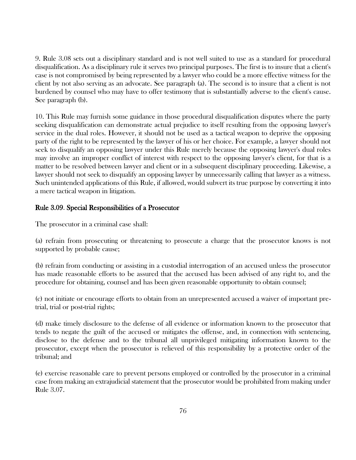9. Rule 3.08 sets out a disciplinary standard and is not well suited to use as a standard for procedural disqualification. As a disciplinary rule it serves two principal purposes. The first is to insure that a client's case is not compromised by being represented by a lawyer who could be a more effective witness for the client by not also serving as an advocate. See paragraph (a). The second is to insure that a client is not burdened by counsel who may have to offer testimony that is substantially adverse to the client's cause. See paragraph (b).

10. This Rule may furnish some guidance in those procedural disqualification disputes where the party seeking disqualification can demonstrate actual prejudice to itself resulting from the opposing lawyer's service in the dual roles. However, it should not be used as a tactical weapon to deprive the opposing party of the right to be represented by the lawyer of his or her choice. For example, a lawyer should not seek to disqualify an opposing lawyer under this Rule merely because the opposing lawyer's dual roles may involve an improper conflict of interest with respect to the opposing lawyer's client, for that is a matter to be resolved between lawyer and client or in a subsequent disciplinary proceeding. Likewise, a lawyer should not seek to disqualify an opposing lawyer by unnecessarily calling that lawyer as a witness. Such unintended applications of this Rule, if allowed, would subvert its true purpose by converting it into a mere tactical weapon in litigation.

## Rule 3.09. Special Responsibilities of a Prosecutor

The prosecutor in a criminal case shall:

(a) refrain from prosecuting or threatening to prosecute a charge that the prosecutor knows is not supported by probable cause;

(b) refrain from conducting or assisting in a custodial interrogation of an accused unless the prosecutor has made reasonable efforts to be assured that the accused has been advised of any right to, and the procedure for obtaining, counsel and has been given reasonable opportunity to obtain counsel;

(c) not initiate or encourage efforts to obtain from an unrepresented accused a waiver of important pretrial, trial or post-trial rights;

(d) make timely disclosure to the defense of all evidence or information known to the prosecutor that tends to negate the guilt of the accused or mitigates the offense, and, in connection with sentencing, disclose to the defense and to the tribunal all unprivileged mitigating information known to the prosecutor, except when the prosecutor is relieved of this responsibility by a protective order of the tribunal; and

(e) exercise reasonable care to prevent persons employed or controlled by the prosecutor in a criminal case from making an extrajudicial statement that the prosecutor would be prohibited from making under Rule 3.07.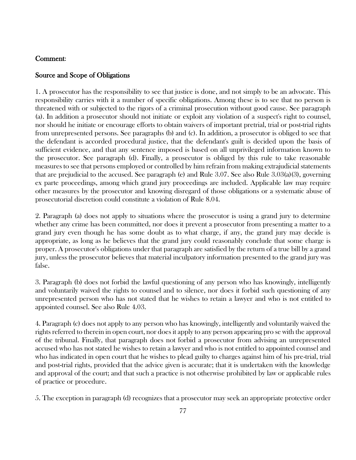### Comment:

### Source and Scope of Obligations

1. A prosecutor has the responsibility to see that justice is done, and not simply to be an advocate. This responsibility carries with it a number of specific obligations. Among these is to see that no person is threatened with or subjected to the rigors of a criminal prosecution without good cause. See paragraph (a). In addition a prosecutor should not initiate or exploit any violation of a suspect's right to counsel, nor should he initiate or encourage efforts to obtain waivers of important pretrial, trial or post-trial rights from unrepresented persons. See paragraphs (b) and (c). In addition, a prosecutor is obliged to see that the defendant is accorded procedural justice, that the defendant's guilt is decided upon the basis of sufficient evidence, and that any sentence imposed is based on all unprivileged information known to the prosecutor. See paragraph (d). Finally, a prosecutor is obliged by this rule to take reasonable measures to see that persons employed or controlled by him refrain from making extrajudicial statements that are prejudicial to the accused. See paragraph (e) and Rule 3.07. See also Rule 3.03(a)(3), governing ex parte proceedings, among which grand jury proceedings are included. Applicable law may require other measures by the prosecutor and knowing disregard of those obligations or a systematic abuse of prosecutorial discretion could constitute a violation of Rule 8.04.

2. Paragraph (a) does not apply to situations where the prosecutor is using a grand jury to determine whether any crime has been committed, nor does it prevent a prosecutor from presenting a matter to a grand jury even though he has some doubt as to what charge, if any, the grand jury may decide is appropriate, as long as he believes that the grand jury could reasonably conclude that some charge is proper. A prosecutor's obligations under that paragraph are satisfied by the return of a true bill by a grand jury, unless the prosecutor believes that material inculpatory information presented to the grand jury was false.

3. Paragraph (b) does not forbid the lawful questioning of any person who has knowingly, intelligently and voluntarily waived the rights to counsel and to silence, nor does it forbid such questioning of any unrepresented person who has not stated that he wishes to retain a lawyer and who is not entitled to appointed counsel. See also Rule 4.03.

4. Paragraph (c) does not apply to any person who has knowingly, intelligently and voluntarily waived the rights referred to therein in open court, nor does it apply to any person appearing pro se with the approval of the tribunal. Finally, that paragraph does not forbid a prosecutor from advising an unrepresented accused who has not stated he wishes to retain a lawyer and who is not entitled to appointed counsel and who has indicated in open court that he wishes to plead guilty to charges against him of his pre-trial, trial and post-trial rights, provided that the advice given is accurate; that it is undertaken with the knowledge and approval of the court; and that such a practice is not otherwise prohibited by law or applicable rules of practice or procedure.

5. The exception in paragraph (d) recognizes that a prosecutor may seek an appropriate protective order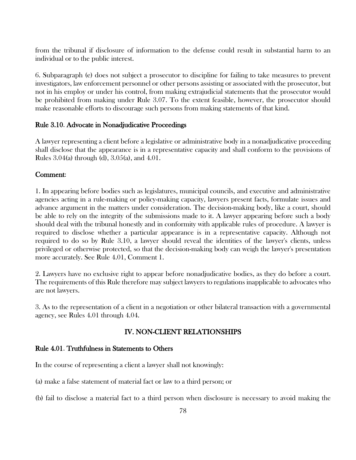from the tribunal if disclosure of information to the defense could result in substantial harm to an individual or to the public interest.

6. Subparagraph (e) does not subject a prosecutor to discipline for failing to take measures to prevent investigators, law enforcement personnel or other persons assisting or associated with the prosecutor, but not in his employ or under his control, from making extrajudicial statements that the prosecutor would be prohibited from making under Rule 3.07. To the extent feasible, however, the prosecutor should make reasonable efforts to discourage such persons from making statements of that kind.

### Rule 3.10. Advocate in Nonadjudicative Proceedings

A lawyer representing a client before a legislative or administrative body in a nonadjudicative proceeding shall disclose that the appearance is in a representative capacity and shall conform to the provisions of Rules 3.04(a) through (d), 3.05(a), and 4.01.

#### Comment:

1. In appearing before bodies such as legislatures, municipal councils, and executive and administrative agencies acting in a rule-making or policy-making capacity, lawyers present facts, formulate issues and advance argument in the matters under consideration. The decision-making body, like a court, should be able to rely on the integrity of the submissions made to it. A lawyer appearing before such a body should deal with the tribunal honestly and in conformity with applicable rules of procedure. A lawyer is required to disclose whether a particular appearance is in a representative capacity. Although not required to do so by Rule 3.10, a lawyer should reveal the identities of the lawyer's clients, unless privileged or otherwise protected, so that the decision-making body can weigh the lawyer's presentation more accurately. See Rule 4.01, Comment 1.

2. Lawyers have no exclusive right to appear before nonadjudicative bodies, as they do before a court. The requirements of this Rule therefore may subject lawyers to regulations inapplicable to advocates who are not lawyers.

3. As to the representation of a client in a negotiation or other bilateral transaction with a governmental agency, see Rules 4.01 through 4.04.

### IV. NON-CLIENT RELATIONSHIPS

### Rule 4.01. Truthfulness in Statements to Others

In the course of representing a client a lawyer shall not knowingly:

(a) make a false statement of material fact or law to a third person; or

(b) fail to disclose a material fact to a third person when disclosure is necessary to avoid making the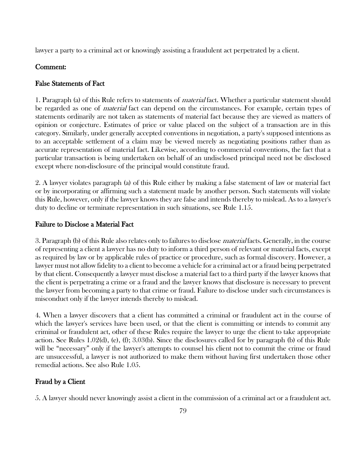lawyer a party to a criminal act or knowingly assisting a fraudulent act perpetrated by a client.

### Comment:

#### False Statements of Fact

1. Paragraph (a) of this Rule refers to statements of *material* fact. Whether a particular statement should be regarded as one of *material* fact can depend on the circumstances. For example, certain types of statements ordinarily are not taken as statements of material fact because they are viewed as matters of opinion or conjecture. Estimates of price or value placed on the subject of a transaction are in this category. Similarly, under generally accepted conventions in negotiation, a party's supposed intentions as to an acceptable settlement of a claim may be viewed merely as negotiating positions rather than as accurate representation of material fact. Likewise, according to commercial conventions, the fact that a particular transaction is being undertaken on behalf of an undisclosed principal need not be disclosed except where non-disclosure of the principal would constitute fraud.

2. A lawyer violates paragraph (a) of this Rule either by making a false statement of law or material fact or by incorporating or affirming such a statement made by another person. Such statements will violate this Rule, however, only if the lawyer knows they are false and intends thereby to mislead. As to a lawyer's duty to decline or terminate representation in such situations, see Rule 1.15.

### Failure to Disclose a Material Fact

3. Paragraph (b) of this Rule also relates only to failures to disclose *material* facts. Generally, in the course of representing a client a lawyer has no duty to inform a third person of relevant or material facts, except as required by law or by applicable rules of practice or procedure, such as formal discovery. However, a lawyer must not allow fidelity to a client to become a vehicle for a criminal act or a fraud being perpetrated by that client. Consequently a lawyer must disclose a material fact to a third party if the lawyer knows that the client is perpetrating a crime or a fraud and the lawyer knows that disclosure is necessary to prevent the lawyer from becoming a party to that crime or fraud. Failure to disclose under such circumstances is misconduct only if the lawyer intends thereby to mislead.

4. When a lawyer discovers that a client has committed a criminal or fraudulent act in the course of which the lawyer's services have been used, or that the client is committing or intends to commit any criminal or fraudulent act, other of these Rules require the lawyer to urge the client to take appropriate action. See Rules 1.02(d), (e), (f); 3.03(b). Since the disclosures called for by paragraph (b) of this Rule will be "necessary" only if the lawyer's attempts to counsel his client not to commit the crime or fraud are unsuccessful, a lawyer is not authorized to make them without having first undertaken those other remedial actions. See also Rule 1.05.

### Fraud by a Client

5. A lawyer should never knowingly assist a client in the commission of a criminal act or a fraudulent act.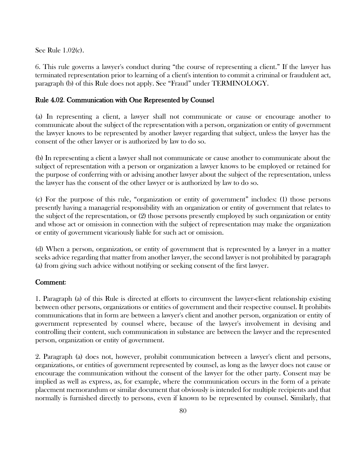See Rule 1.02(c).

6. This rule governs a lawyer's conduct during "the course of representing a client." If the lawyer has terminated representation prior to learning of a client's intention to commit a criminal or fraudulent act, paragraph (b) of this Rule does not apply. See "Fraud" under TERMINOLOGY.

### Rule 4.02. Communication with One Represented by Counsel

(a) In representing a client, a lawyer shall not communicate or cause or encourage another to communicate about the subject of the representation with a person, organization or entity of government the lawyer knows to be represented by another lawyer regarding that subject, unless the lawyer has the consent of the other lawyer or is authorized by law to do so.

(b) In representing a client a lawyer shall not communicate or cause another to communicate about the subject of representation with a person or organization a lawyer knows to be employed or retained for the purpose of conferring with or advising another lawyer about the subject of the representation, unless the lawyer has the consent of the other lawyer or is authorized by law to do so.

(c) For the purpose of this rule, "organization or entity of government" includes: (1) those persons presently having a managerial responsibility with an organization or entity of government that relates to the subject of the representation, or (2) those persons presently employed by such organization or entity and whose act or omission in connection with the subject of representation may make the organization or entity of government vicariously liable for such act or omission.

(d) When a person, organization, or entity of government that is represented by a lawyer in a matter seeks advice regarding that matter from another lawyer, the second lawyer is not prohibited by paragraph (a) from giving such advice without notifying or seeking consent of the first lawyer.

### Comment:

1. Paragraph (a) of this Rule is directed at efforts to circumvent the lawyer-client relationship existing between other persons, organizations or entities of government and their respective counsel. It prohibits communications that in form are between a lawyer's client and another person, organization or entity of government represented by counsel where, because of the lawyer's involvement in devising and controlling their content, such communication in substance are between the lawyer and the represented person, organization or entity of government.

2. Paragraph (a) does not, however, prohibit communication between a lawyer's client and persons, organizations, or entities of government represented by counsel, as long as the lawyer does not cause or encourage the communication without the consent of the lawyer for the other party. Consent may be implied as well as express, as, for example, where the communication occurs in the form of a private placement memorandum or similar document that obviously is intended for multiple recipients and that normally is furnished directly to persons, even if known to be represented by counsel. Similarly, that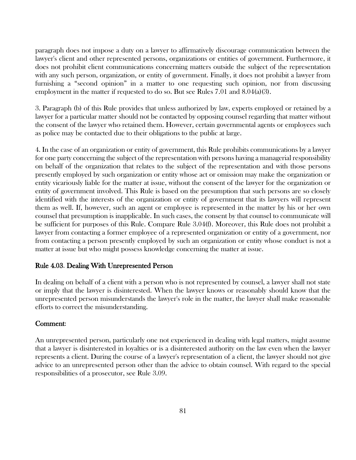paragraph does not impose a duty on a lawyer to affirmatively discourage communication between the lawyer's client and other represented persons, organizations or entities of government. Furthermore, it does not prohibit client communications concerning matters outside the subject of the representation with any such person, organization, or entity of government. Finally, it does not prohibit a lawyer from furnishing a "second opinion" in a matter to one requesting such opinion, nor from discussing employment in the matter if requested to do so. But see Rules 7.01 and 8.04(a)(3).

3. Paragraph (b) of this Rule provides that unless authorized by law, experts employed or retained by a lawyer for a particular matter should not be contacted by opposing counsel regarding that matter without the consent of the lawyer who retained them. However, certain governmental agents or employees such as police may be contacted due to their obligations to the public at large.

4. In the case of an organization or entity of government, this Rule prohibits communications by a lawyer for one party concerning the subject of the representation with persons having a managerial responsibility on behalf of the organization that relates to the subject of the representation and with those persons presently employed by such organization or entity whose act or omission may make the organization or entity vicariously liable for the matter at issue, without the consent of the lawyer for the organization or entity of government involved. This Rule is based on the presumption that such persons are so closely identified with the interests of the organization or entity of government that its lawyers will represent them as well. If, however, such an agent or employee is represented in the matter by his or her own counsel that presumption is inapplicable. In such cases, the consent by that counsel to communicate will be sufficient for purposes of this Rule. Compare Rule 3.04(f). Moreover, this Rule does not prohibit a lawyer from contacting a former employee of a represented organization or entity of a government, nor from contacting a person presently employed by such an organization or entity whose conduct is not a matter at issue but who might possess knowledge concerning the matter at issue.

### Rule 4.03. Dealing With Unrepresented Person

In dealing on behalf of a client with a person who is not represented by counsel, a lawyer shall not state or imply that the lawyer is disinterested. When the lawyer knows or reasonably should know that the unrepresented person misunderstands the lawyer's role in the matter, the lawyer shall make reasonable efforts to correct the misunderstanding.

### Comment:

An unrepresented person, particularly one not experienced in dealing with legal matters, might assume that a lawyer is disinterested in loyalties or is a disinterested authority on the law even when the lawyer represents a client. During the course of a lawyer's representation of a client, the lawyer should not give advice to an unrepresented person other than the advice to obtain counsel. With regard to the special responsibilities of a prosecutor, see Rule 3.09.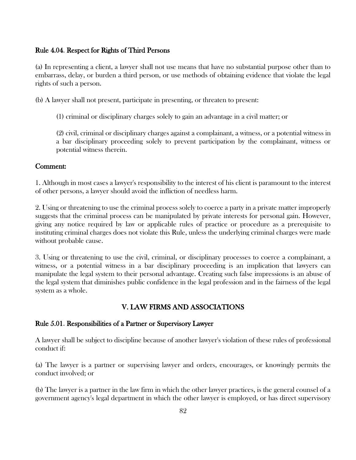### Rule 4.04. Respect for Rights of Third Persons

(a) In representing a client, a lawyer shall not use means that have no substantial purpose other than to embarrass, delay, or burden a third person, or use methods of obtaining evidence that violate the legal rights of such a person.

(b) A lawyer shall not present, participate in presenting, or threaten to present:

(1) criminal or disciplinary charges solely to gain an advantage in a civil matter; or

(2) civil, criminal or disciplinary charges against a complainant, a witness, or a potential witness in a bar disciplinary proceeding solely to prevent participation by the complainant, witness or potential witness therein.

#### Comment:

1. Although in most cases a lawyer's responsibility to the interest of his client is paramount to the interest of other persons, a lawyer should avoid the infliction of needless harm.

2. Using or threatening to use the criminal process solely to coerce a party in a private matter improperly suggests that the criminal process can be manipulated by private interests for personal gain. However, giving any notice required by law or applicable rules of practice or procedure as a prerequisite to instituting criminal charges does not violate this Rule, unless the underlying criminal charges were made without probable cause.

3. Using or threatening to use the civil, criminal, or disciplinary processes to coerce a complainant, a witness, or a potential witness in a bar disciplinary proceeding is an implication that lawyers can manipulate the legal system to their personal advantage. Creating such false impressions is an abuse of the legal system that diminishes public confidence in the legal profession and in the fairness of the legal system as a whole.

## V. LAW FIRMS AND ASSOCIATIONS

### Rule 5.01. Responsibilities of a Partner or Supervisory Lawyer

A lawyer shall be subject to discipline because of another lawyer's violation of these rules of professional conduct if:

(a) The lawyer is a partner or supervising lawyer and orders, encourages, or knowingly permits the conduct involved; or

(b) The lawyer is a partner in the law firm in which the other lawyer practices, is the general counsel of a government agency's legal department in which the other lawyer is employed, or has direct supervisory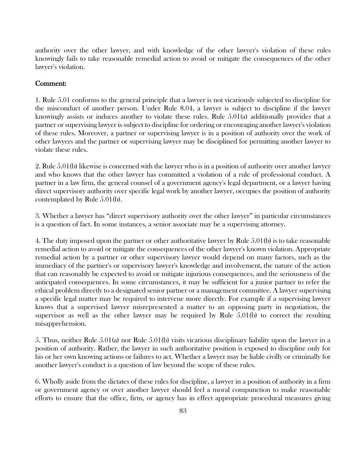authority over the other lawyer, and with knowledge of the other lawyer's violation of these rules knowingly fails to take reasonable remedial action to avoid or mitigate the consequences of the other lawyer's violation.

### Comment:

1. Rule 5.01 conforms to the general principle that a lawyer is not vicariously subjected to discipline for the misconduct of another person. Under Rule 8.04, a lawyer is subject to discipline if the lawyer knowingly assists or induces another to violate these rules. Rule 5.01(a) additionally provides that a partner or supervising lawyer is subject to discipline for ordering or encouraging another lawyer's violation of these rules. Moreover, a partner or supervising lawyer is in a position of authority over the work of other lawyers and the partner or supervising lawyer may be disciplined for permitting another lawyer to violate these rules.

2. Rule 5.01(b) likewise is concerned with the lawyer who is in a position of authority over another lawyer and who knows that the other lawyer has committed a violation of a rule of professional conduct. A partner in a law firm, the general counsel of a government agency's legal department, or a lawyer having direct supervisory authority over specific legal work by another lawyer, occupies the position of authority contemplated by Rule 5.01(b).

3. Whether a lawyer has "direct supervisory authority over the other lawyer" in particular circumstances is a question of fact. In some instances, a senior associate may be a supervising attorney.

4. The duty imposed upon the partner or other authoritative lawyer by Rule 5.01(b) is to take reasonable remedial action to avoid or mitigate the consequences of the other lawyer's known violation. Appropriate remedial action by a partner or other supervisory lawyer would depend on many factors, such as the immediacy of the partner's or supervisory lawyer's knowledge and involvement, the nature of the action that can reasonably be expected to avoid or mitigate injurious consequences, and the seriousness of the anticipated consequences. In some circumstances, it may be sufficient for a junior partner to refer the ethical problem directly to a designated senior partner or a management committee. A lawyer supervising a specific legal matter may be required to intervene more directly. For example if a supervising lawyer knows that a supervised lawyer misrepresented a matter to an opposing party in negotiation, the supervisor as well as the other lawyer may be required by Rule 5.01(b) to correct the resulting misapprehension.

5. Thus, neither Rule 5.01(a) nor Rule 5.01(b) visits vicarious disciplinary liability upon the lawyer in a position of authority. Rather, the lawyer in such authoritative position is exposed to discipline only for his or her own knowing actions or failures to act. Whether a lawyer may be liable civilly or criminally for another lawyer's conduct is a question of law beyond the scope of these rules.

6. Wholly aside from the dictates of these rules for discipline, a lawyer in a position of authority in a firm or government agency or over another lawyer should feel a moral compunction to make reasonable efforts to ensure that the office, firm, or agency has in effect appropriate procedural measures giving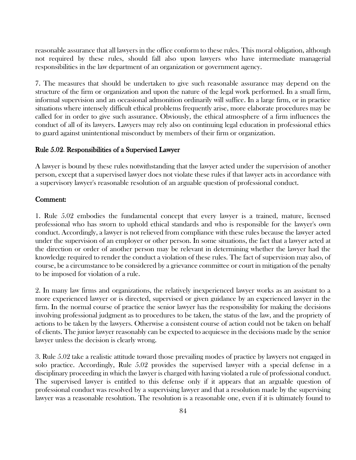reasonable assurance that all lawyers in the office conform to these rules. This moral obligation, although not required by these rules, should fall also upon lawyers who have intermediate managerial responsibilities in the law department of an organization or government agency.

7. The measures that should be undertaken to give such reasonable assurance may depend on the structure of the firm or organization and upon the nature of the legal work performed. In a small firm, informal supervision and an occasional admonition ordinarily will suffice. In a large firm, or in practice situations where intensely difficult ethical problems frequently arise, more elaborate procedures may be called for in order to give such assurance. Obviously, the ethical atmosphere of a firm influences the conduct of all of its lawyers. Lawyers may rely also on continuing legal education in professional ethics to guard against unintentional misconduct by members of their firm or organization.

### Rule 5.02. Responsibilities of a Supervised Lawyer

A lawyer is bound by these rules notwithstanding that the lawyer acted under the supervision of another person, except that a supervised lawyer does not violate these rules if that lawyer acts in accordance with a supervisory lawyer's reasonable resolution of an arguable question of professional conduct.

#### Comment:

1. Rule 5.02 embodies the fundamental concept that every lawyer is a trained, mature, licensed professional who has sworn to uphold ethical standards and who is responsible for the lawyer's own conduct. Accordingly, a lawyer is not relieved from compliance with these rules because the lawyer acted under the supervision of an employer or other person. In some situations, the fact that a lawyer acted at the direction or order of another person may be relevant in determining whether the lawyer had the knowledge required to render the conduct a violation of these rules. The fact of supervision may also, of course, be a circumstance to be considered by a grievance committee or court in mitigation of the penalty to be imposed for violation of a rule.

2. In many law firms and organizations, the relatively inexperienced lawyer works as an assistant to a more experienced lawyer or is directed, supervised or given guidance by an experienced lawyer in the firm. In the normal course of practice the senior lawyer has the responsibility for making the decisions involving professional judgment as to procedures to be taken, the status of the law, and the propriety of actions to be taken by the lawyers. Otherwise a consistent course of action could not be taken on behalf of clients. The junior lawyer reasonably can be expected to acquiesce in the decisions made by the senior lawyer unless the decision is clearly wrong.

3. Rule 5.02 take a realistic attitude toward those prevailing modes of practice by lawyers not engaged in solo practice. Accordingly, Rule 5.02 provides the supervised lawyer with a special defense in a disciplinary proceeding in which the lawyer is charged with having violated a rule of professional conduct. The supervised lawyer is entitled to this defense only if it appears that an arguable question of professional conduct was resolved by a supervising lawyer and that a resolution made by the supervising lawyer was a reasonable resolution. The resolution is a reasonable one, even if it is ultimately found to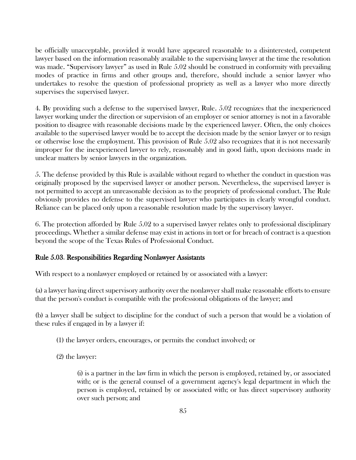be officially unacceptable, provided it would have appeared reasonable to a disinterested, competent lawyer based on the information reasonably available to the supervising lawyer at the time the resolution was made. "Supervisory lawyer" as used in Rule 5.02 should be construed in conformity with prevailing modes of practice in firms and other groups and, therefore, should include a senior lawyer who undertakes to resolve the question of professional propriety as well as a lawyer who more directly supervises the supervised lawyer.

4. By providing such a defense to the supervised lawyer, Rule. 5.02 recognizes that the inexperienced lawyer working under the direction or supervision of an employer or senior attorney is not in a favorable position to disagree with reasonable decisions made by the experienced lawyer. Often, the only choices available to the supervised lawyer would be to accept the decision made by the senior lawyer or to resign or otherwise lose the employment. This provision of Rule 5.02 also recognizes that it is not necessarily improper for the inexperienced lawyer to rely, reasonably and in good faith, upon decisions made in unclear matters by senior lawyers in the organization.

5. The defense provided by this Rule is available without regard to whether the conduct in question was originally proposed by the supervised lawyer or another person. Nevertheless, the supervised lawyer is not permitted to accept an unreasonable decision as to the propriety of professional conduct. The Rule obviously provides no defense to the supervised lawyer who participates in clearly wrongful conduct. Reliance can be placed only upon a reasonable resolution made by the supervisory lawyer.

6. The protection afforded by Rule 5.02 to a supervised lawyer relates only to professional disciplinary proceedings. Whether a similar defense may exist in actions in tort or for breach of contract is a question beyond the scope of the Texas Rules of Professional Conduct.

# Rule 5.03. Responsibilities Regarding Nonlawyer Assistants

With respect to a nonlawyer employed or retained by or associated with a lawyer:

(a) a lawyer having direct supervisory authority over the nonlawyer shall make reasonable efforts to ensure that the person's conduct is compatible with the professional obligations of the lawyer; and

(b) a lawyer shall be subject to discipline for the conduct of such a person that would be a violation of these rules if engaged in by a lawyer if:

(1) the lawyer orders, encourages, or permits the conduct involved; or

(2) the lawyer:

(i) is a partner in the law firm in which the person is employed, retained by, or associated with; or is the general counsel of a government agency's legal department in which the person is employed, retained by or associated with; or has direct supervisory authority over such person; and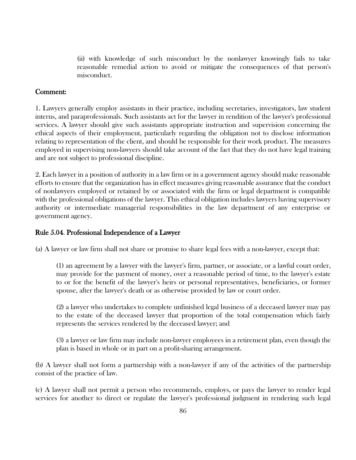(ii) with knowledge of such misconduct by the nonlawyer knowingly fails to take reasonable remedial action to avoid or mitigate the consequences of that person's misconduct.

#### Comment:

1. Lawyers generally employ assistants in their practice, including secretaries, investigators, law student interns, and paraprofessionals. Such assistants act for the lawyer in rendition of the lawyer's professional services. A lawyer should give such assistants appropriate instruction and supervision concerning the ethical aspects of their employment, particularly regarding the obligation not to disclose information relating to representation of the client, and should be responsible for their work product. The measures employed in supervising non-lawyers should take account of the fact that they do not have legal training and are not subject to professional discipline.

2. Each lawyer in a position of authority in a law firm or in a government agency should make reasonable efforts to ensure that the organization has in effect measures giving reasonable assurance that the conduct of nonlawyers employed or retained by or associated with the firm or legal department is compatible with the professional obligations of the lawyer. This ethical obligation includes lawyers having supervisory authority or intermediate managerial responsibilities in the law department of any enterprise or government agency.

#### Rule 5.04. Professional Independence of a Lawyer

(a) A lawyer or law firm shall not share or promise to share legal fees with a non-lawyer, except that:

(1) an agreement by a lawyer with the lawyer's firm, partner, or associate, or a lawful court order, may provide for the payment of money, over a reasonable period of time, to the lawyer's estate to or for the benefit of the lawyer's heirs or personal representatives, beneficiaries, or former spouse, after the lawyer's death or as otherwise provided by law or court order.

(2) a lawyer who undertakes to complete unfinished legal business of a deceased lawyer may pay to the estate of the deceased lawyer that proportion of the total compensation which fairly represents the services rendered by the deceased lawyer; and

(3) a lawyer or law firm may include non-lawyer employees in a retirement plan, even though the plan is based in whole or in part on a profit-sharing arrangement.

(b) A lawyer shall not form a partnership with a non-lawyer if any of the activities of the partnership consist of the practice of law.

(c) A lawyer shall not permit a person who recommends, employs, or pays the lawyer to render legal services for another to direct or regulate the lawyer's professional judgment in rendering such legal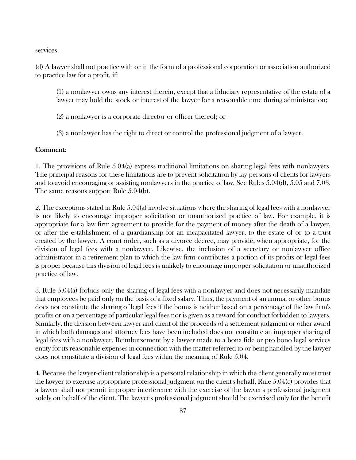services.

(d) A lawyer shall not practice with or in the form of a professional corporation or association authorized to practice law for a profit, if:

(1) a nonlawyer owns any interest therein, except that a fiduciary representative of the estate of a lawyer may hold the stock or interest of the lawyer for a reasonable time during administration;

(2) a nonlawyer is a corporate director or officer thereof; or

(3) a nonlawyer has the right to direct or control the professional judgment of a lawyer.

#### Comment:

1. The provisions of Rule 5.04(a) express traditional limitations on sharing legal fees with nonlawyers. The principal reasons for these limitations are to prevent solicitation by lay persons of clients for lawyers and to avoid encouraging or assisting nonlawyers in the practice of law. See Rules 5.04(d), 5.05 and 7.03. The same reasons support Rule 5.04(b).

2. The exceptions stated in Rule 5.04(a) involve situations where the sharing of legal fees with a nonlawyer is not likely to encourage improper solicitation or unauthorized practice of law. For example, it is appropriate for a law firm agreement to provide for the payment of money after the death of a lawyer, or after the establishment of a guardianship for an incapacitated lawyer, to the estate of or to a trust created by the lawyer. A court order, such as a divorce decree, may provide, when appropriate, for the division of legal fees with a nonlawyer. Likewise, the inclusion of a secretary or nonlawyer office administrator in a retirement plan to which the law firm contributes a portion of its profits or legal fees is proper because this division of legal fees is unlikely to encourage improper solicitation or unauthorized practice of law.

3. Rule 5.04(a) forbids only the sharing of legal fees with a nonlawyer and does not necessarily mandate that employees be paid only on the basis of a fixed salary. Thus, the payment of an annual or other bonus does not constitute the sharing of legal fees if the bonus is neither based on a percentage of the law firm's profits or on a percentage of particular legal fees nor is given as a reward for conduct forbidden to lawyers. Similarly, the division between lawyer and client of the proceeds of a settlement judgment or other award in which both damages and attorney fees have been included does not constitute an improper sharing of legal fees with a nonlawyer. Reimbursement by a lawyer made to a bona fide or pro bono legal services entity for its reasonable expenses in connection with the matter referred to or being handled by the lawyer does not constitute a division of legal fees within the meaning of Rule 5.04.

4. Because the lawyer-client relationship is a personal relationship in which the client generally must trust the lawyer to exercise appropriate professional judgment on the client's behalf, Rule 5.04(c) provides that a lawyer shall not permit improper interference with the exercise of the lawyer's professional judgment solely on behalf of the client. The lawyer's professional judgment should be exercised only for the benefit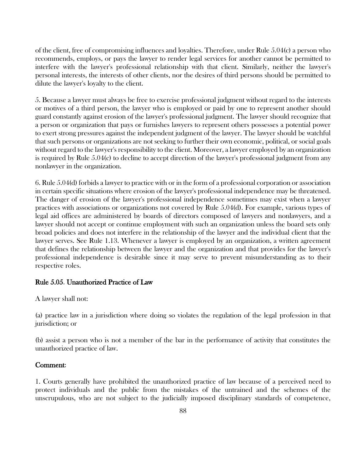of the client, free of compromising influences and loyalties. Therefore, under Rule 5.04(c) a person who recommends, employs, or pays the lawyer to render legal services for another cannot be permitted to interfere with the lawyer's professional relationship with that client. Similarly, neither the lawyer's personal interests, the interests of other clients, nor the desires of third persons should be permitted to dilute the lawyer's loyalty to the client.

5. Because a lawyer must always be free to exercise professional judgment without regard to the interests or motives of a third person, the lawyer who is employed or paid by one to represent another should guard constantly against erosion of the lawyer's professional judgment. The lawyer should recognize that a person or organization that pays or furnishes lawyers to represent others possesses a potential power to exert strong pressures against the independent judgment of the lawyer. The lawyer should be watchful that such persons or organizations are not seeking to further their own economic, political, or social goals without regard to the lawyer's responsibility to the client. Moreover, a lawyer employed by an organization is required by Rule 5.04(c) to decline to accept direction of the lawyer's professional judgment from any nonlawyer in the organization.

6. Rule 5.04(d) forbids a lawyer to practice with or in the form of a professional corporation or association in certain specific situations where erosion of the lawyer's professional independence may be threatened. The danger of erosion of the lawyer's professional independence sometimes may exist when a lawyer practices with associations or organizations not covered by Rule 5.04(d). For example, various types of legal aid offices are administered by boards of directors composed of lawyers and nonlawyers, and a lawyer should not accept or continue employment with such an organization unless the board sets only broad policies and does not interfere in the relationship of the lawyer and the individual client that the lawyer serves. See Rule 1.13. Whenever a lawyer is employed by an organization, a written agreement that defines the relationship between the lawyer and the organization and that provides for the lawyer's professional independence is desirable since it may serve to prevent misunderstanding as to their respective roles.

## Rule 5.05. Unauthorized Practice of Law

A lawyer shall not:

(a) practice law in a jurisdiction where doing so violates the regulation of the legal profession in that jurisdiction; or

(b) assist a person who is not a member of the bar in the performance of activity that constitutes the unauthorized practice of law.

#### Comment:

1. Courts generally have prohibited the unauthorized practice of law because of a perceived need to protect individuals and the public from the mistakes of the untrained and the schemes of the unscrupulous, who are not subject to the judicially imposed disciplinary standards of competence,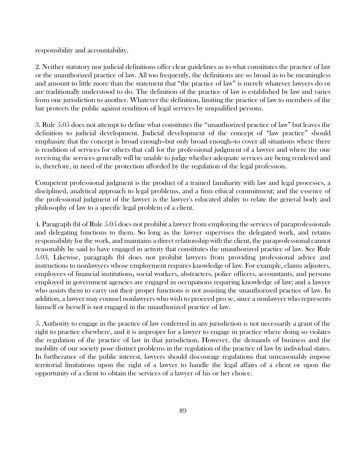responsibility and accountability.

2. Neither statutory nor judicial definitions offer clear guidelines as to what constitutes the practice of law or the unauthorized practice of law. All too frequently, the definitions are so broad as to be meaningless and amount to little more than the statement that "the practice of law" is merely whatever lawyers do or are traditionally understood to do. The definition of the practice of law is established by law and varies from one jurisdiction to another. Whatever the definition, limiting the practice of law to members of the bar protects the public against rendition of legal services by unqualified persons.

3. Rule 5.05 does not attempt to define what constitutes the "unauthorized practice of law" but leaves the definition to judicial development. Judicial development of the concept of "law practice" should emphasize that the concept is broad enough--but only broad enough--to cover all situations where there is rendition of services for others that call for the professional judgment of a lawyer and where the one receiving the services generally will be unable to judge whether adequate services are being rendered and is, therefore, in need of the protection afforded by the regulation of the legal profession.

Competent professional judgment is the product of a trained familiarity with law and legal processes, a disciplined, analytical approach to legal problems, and a firm ethical commitment; and the essence of the professional judgment of the lawyer is the lawyer's educated ability to relate the general body and philosophy of law to a specific legal problem of a client.

4. Paragraph (b) of Rule 5.05 does not prohibit a lawyer from employing the services of paraprofessionals and delegating functions to them. So long as the lawyer supervises the delegated work, and retains responsibility for the work, and maintains a direct relationship with the client, the paraprofessional cannot reasonably be said to have engaged in activity that constitutes the unauthorized practice of law. See Rule 5.03. Likewise, paragraph (b) does not prohibit lawyers from providing professional advice and instructions to nonlawyers whose employment requires knowledge of law. For example, claims adjusters, employees of financial institutions, social workers, abstracters, police officers, accountants, and persons employed in government agencies are engaged in occupations requiring knowledge of law; and a lawyer who assists them to carry out their proper functions is not assisting the unauthorized practice of law. In addition, a lawyer may counsel nonlawyers who wish to proceed pro se, since a nonlawyer who represents himself or herself is not engaged in the unauthorized practice of law.

5. Authority to engage in the practice of law conferred in any jurisdiction is not necessarily a grant of the right to practice elsewhere, and it is improper for a lawyer to engage in practice where doing so violates the regulation of the practice of law in that jurisdiction. However, the demands of business and the mobility of our society pose distinct problems in the regulation of the practice of law by individual states. In furtherance of the public interest, lawyers should discourage regulations that unreasonably impose territorial limitations upon the right of a lawyer to handle the legal affairs of a client or upon the opportunity of a client to obtain the services of a lawyer of his or her choice.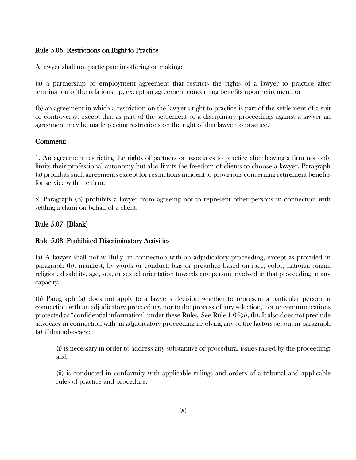## Rule 5.06. Restrictions on Right to Practice

A lawyer shall not participate in offering or making:

(a) a partnership or employment agreement that restricts the rights of a lawyer to practice after termination of the relationship, except an agreement concerning benefits upon retirement; or

(b) an agreement in which a restriction on the lawyer's right to practice is part of the settlement of a suit or controversy, except that as part of the settlement of a disciplinary proceedings against a lawyer an agreement may be made placing restrictions on the right of that lawyer to practice.

### Comment:

1. An agreement restricting the rights of partners or associates to practice after leaving a firm not only limits their professional autonomy but also limits the freedom of clients to choose a lawyer. Paragraph (a) prohibits such agreements except for restrictions incident to provisions concerning retirement benefits for service with the firm.

2. Paragraph (b) prohibits a lawyer from agreeing not to represent other persons in connection with settling a claim on behalf of a client.

## Rule 5.07. [Blank]

## Rule 5.08. Prohibited Discriminatory Activities

(a) A lawyer shall not willfully, in connection with an adjudicatory proceeding, except as provided in paragraph (b), manifest, by words or conduct, bias or prejudice based on race, color, national origin, religion, disability, age, sex, or sexual orientation towards any person involved in that proceeding in any capacity.

(b) Paragraph (a) does not apply to a lawyer's decision whether to represent a particular person in connection with an adjudicatory proceeding, nor to the process of jury selection, nor to communications protected as "confidential information" under these Rules. See Rule 1.05(a), (b). It also does not preclude advocacy in connection with an adjudicatory proceeding involving any of the factors set out in paragraph (a) if that advocacy:

(i) is necessary in order to address any substantive or procedural issues raised by the proceeding; and

(ii) is conducted in conformity with applicable rulings and orders of a tribunal and applicable rules of practice and procedure.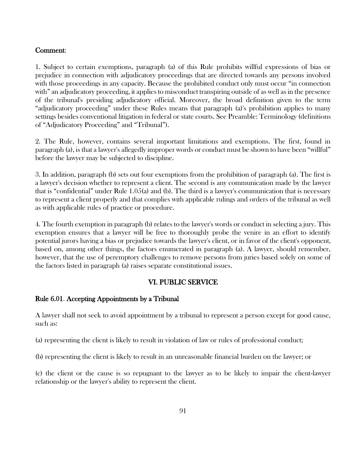#### Comment:

1. Subject to certain exemptions, paragraph (a) of this Rule prohibits willful expressions of bias or prejudice in connection with adjudicatory proceedings that are directed towards any persons involved with those proceedings in any capacity. Because the prohibited conduct only must occur "in connection" with" an adjudicatory proceeding, it applies to misconduct transpiring outside of as well as in the presence of the tribunal's presiding adjudicatory official. Moreover, the broad definition given to the term "adjudicatory proceeding" under these Rules means that paragraph (a)'s prohibition applies to many settings besides conventional litigation in federal or state courts. See Preamble: Terminology (definitions of "Adjudicatory Proceeding" and "Tribunal").

2. The Rule, however, contains several important limitations and exemptions. The first, found in paragraph (a), is that a lawyer's allegedly improper words or conduct must be shown to have been "willful" before the lawyer may be subjected to discipline.

3. In addition, paragraph (b) sets out four exemptions from the prohibition of paragraph (a). The first is a lawyer's decision whether to represent a client. The second is any communication made by the lawyer that is "confidential" under Rule 1.05(a) and (b). The third is a lawyer's communication that is necessary to represent a client properly and that complies with applicable rulings and orders of the tribunal as well as with applicable rules of practice or procedure.

4. The fourth exemption in paragraph (b) relates to the lawyer's words or conduct in selecting a jury. This exemption ensures that a lawyer will be free to thoroughly probe the venire in an effort to identify potential jurors having a bias or prejudice towards the lawyer's client, or in favor of the client's opponent, based on, among other things, the factors enumerated in paragraph (a). A lawyer, should remember, however, that the use of peremptory challenges to remove persons from juries based solely on some of the factors listed in paragraph (a) raises separate constitutional issues.

## VI. PUBLIC SERVICE

### Rule 6.01. Accepting Appointments by a Tribunal

A lawyer shall not seek to avoid appointment by a tribunal to represent a person except for good cause, such as:

(a) representing the client is likely to result in violation of law or rules of professional conduct;

(b) representing the client is likely to result in an unreasonable financial burden on the lawyer; or

(c) the client or the cause is so repugnant to the lawyer as to be likely to impair the client-lawyer relationship or the lawyer's ability to represent the client.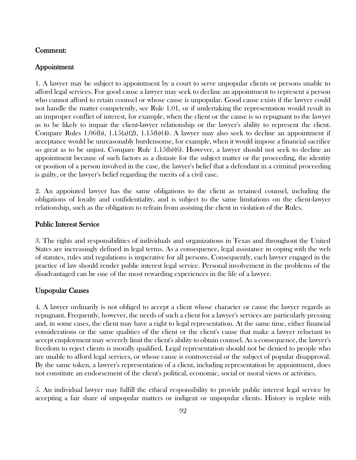#### Comment:

#### Appointment

1. A lawyer may be subject to appointment by a court to serve unpopular clients or persons unable to afford legal services. For good cause a lawyer may seek to decline an appointment to represent a person who cannot afford to retain counsel or whose cause is unpopular. Good cause exists if the lawyer could not handle the matter competently, see Rule 1.01, or if undertaking the representation would result in an improper conflict of interest, for example, when the client or the cause is so repugnant to the lawyer as to be likely to impair the client-lawyer relationship or the lawyer's ability to represent the client. Compare Rules 1.06(b),  $1.15(a)(2)$ ,  $1.15(b)(4)$ . A lawyer may also seek to decline an appointment if acceptance would be unreasonably burdensome, for example, when it would impose a financial sacrifice so great as to be unjust. Compare Rule 1.15(b)(6). However, a lawyer should not seek to decline an appointment because of such factors as a distaste for the subject matter or the proceeding, the identity or position of a person involved in the case, the lawyer's belief that a defendant in a criminal proceeding is guilty, or the lawyer's belief regarding the merits of a civil case.

2. An appointed lawyer has the same obligations to the client as retained counsel, including the obligations of loyalty and confidentiality, and is subject to the same limitations on the client-lawyer relationship, such as the obligation to refrain from assisting the client in violation of the Rules.

#### Public Interest Service

3. The rights and responsibilities of individuals and organizations in Texas and throughout the United States are increasingly defined in legal terms. As a consequence, legal assistance in coping with the web of statutes, rules and regulations is imperative for all persons. Consequently, each lawyer engaged in the practice of law should render public interest legal service. Personal involvement in the problems of the disadvantaged can be one of the most rewarding experiences in the life of a lawyer.

#### Unpopular Causes

4. A lawyer ordinarily is not obliged to accept a client whose character or cause the lawyer regards as repugnant. Frequently, however, the needs of such a client for a lawyer's services are particularly pressing and, in some cases, the client may have a right to legal representation. At the same time, either financial considerations or the same qualities of the client or the client's cause that make a lawyer reluctant to accept employment may severely limit the client's ability to obtain counsel. As a consequence, the lawyer's freedom to reject clients is morally qualified. Legal representation should not be denied to people who are unable to afford legal services, or whose cause is controversial or the subject of popular disapproval. By the same token, a lawyer's representation of a client, including representation by appointment, does not constitute an endorsement of the client's political, economic, social or moral views or activities.

5. An individual lawyer may fulfill the ethical responsibility to provide public interest legal service by accepting a fair share of unpopular matters or indigent or unpopular clients. History is replete with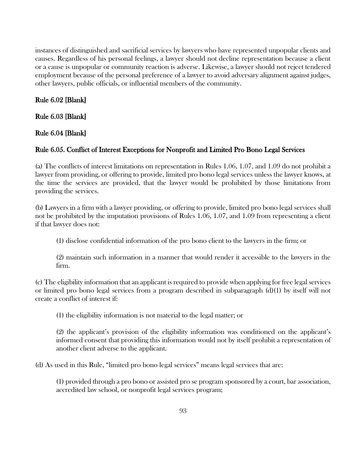instances of distinguished and sacrificial services by lawyers who have represented unpopular clients and causes. Regardless of his personal feelings, a lawyer should not decline representation because a client or a cause is unpopular or community reaction is adverse. Likewise, a lawyer should not reject tendered employment because of the personal preference of a lawyer to avoid adversary alignment against judges, other lawyers, public officials, or influential members of the community.

## Rule 6.02 [Blank]

Rule 6.03 [Blank]

## Rule 6.04 [Blank]

## Rule 6.05. Conflict of Interest Exceptions for Nonprofit and Limited Pro Bono Legal Services

(a) The conflicts of interest limitations on representation in Rules 1.06, 1.07, and 1.09 do not prohibit a lawyer from providing, or offering to provide, limited pro bono legal services unless the lawyer knows, at the time the services are provided, that the lawyer would be prohibited by those limitations from providing the services.

(b) Lawyers in a firm with a lawyer providing, or offering to provide, limited pro bono legal services shall not be prohibited by the imputation provisions of Rules 1.06, 1.07, and 1.09 from representing a client if that lawyer does not:

(1) disclose confidential information of the pro bono client to the lawyers in the firm; or

(2) maintain such information in a manner that would render it accessible to the lawyers in the firm.

(c) The eligibility information that an applicant is required to provide when applying for free legal services or limited pro bono legal services from a program described in subparagraph (d)(1) by itself will not create a conflict of interest if:

(1) the eligibility information is not material to the legal matter; or

(2) the applicant's provision of the eligibility information was conditioned on the applicant's informed consent that providing this information would not by itself prohibit a representation of another client adverse to the applicant.

(d) As used in this Rule, "limited pro bono legal services" means legal services that are:

(1) provided through a pro bono or assisted pro se program sponsored by a court, bar association, accredited law school, or nonprofit legal services program;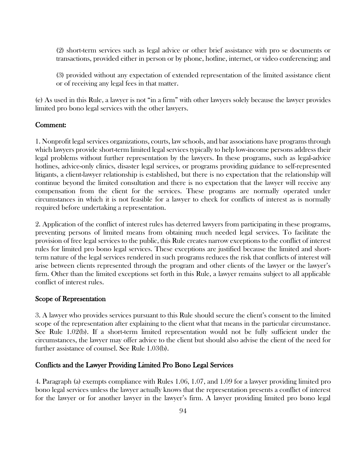(2) short-term services such as legal advice or other brief assistance with pro se documents or transactions, provided either in person or by phone, hotline, internet, or video conferencing; and

(3) provided without any expectation of extended representation of the limited assistance client or of receiving any legal fees in that matter.

(e) As used in this Rule, a lawyer is not "in a firm" with other lawyers solely because the lawyer provides limited pro bono legal services with the other lawyers.

## Comment:

1. Nonprofit legal services organizations, courts, law schools, and bar associations have programs through which lawyers provide short-term limited legal services typically to help low-income persons address their legal problems without further representation by the lawyers. In these programs, such as legal-advice hotlines, advice-only clinics, disaster legal services, or programs providing guidance to self-represented litigants, a client-lawyer relationship is established, but there is no expectation that the relationship will continue beyond the limited consultation and there is no expectation that the lawyer will receive any compensation from the client for the services. These programs are normally operated under circumstances in which it is not feasible for a lawyer to check for conflicts of interest as is normally required before undertaking a representation.

2. Application of the conflict of interest rules has deterred lawyers from participating in these programs, preventing persons of limited means from obtaining much needed legal services. To facilitate the provision of free legal services to the public, this Rule creates narrow exceptions to the conflict of interest rules for limited pro bono legal services. These exceptions are justified because the limited and shortterm nature of the legal services rendered in such programs reduces the risk that conflicts of interest will arise between clients represented through the program and other clients of the lawyer or the lawyer's firm. Other than the limited exceptions set forth in this Rule, a lawyer remains subject to all applicable conflict of interest rules.

### Scope of Representation

3. A lawyer who provides services pursuant to this Rule should secure the client's consent to the limited scope of the representation after explaining to the client what that means in the particular circumstance. See Rule 1.02(b). If a short-term limited representation would not be fully sufficient under the circumstances, the lawyer may offer advice to the client but should also advise the client of the need for further assistance of counsel. See Rule 1.03(b).

## Conflicts and the Lawyer Providing Limited Pro Bono Legal Services

4. Paragraph (a) exempts compliance with Rules 1.06, 1.07, and 1.09 for a lawyer providing limited pro bono legal services unless the lawyer actually knows that the representation presents a conflict of interest for the lawyer or for another lawyer in the lawyer's firm. A lawyer providing limited pro bono legal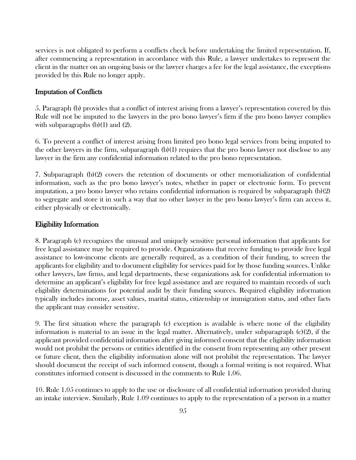services is not obligated to perform a conflicts check before undertaking the limited representation. If, after commencing a representation in accordance with this Rule, a lawyer undertakes to represent the client in the matter on an ongoing basis or the lawyer charges a fee for the legal assistance, the exceptions provided by this Rule no longer apply.

### Imputation of Conflicts

5. Paragraph (b) provides that a conflict of interest arising from a lawyer's representation covered by this Rule will not be imputed to the lawyers in the pro bono lawyer's firm if the pro bono lawyer complies with subparagraphs  $(b)(1)$  and  $(2)$ .

6. To prevent a conflict of interest arising from limited pro bono legal services from being imputed to the other lawyers in the firm, subparagraph (b)(1) requires that the pro bono lawyer not disclose to any lawyer in the firm any confidential information related to the pro bono representation.

7. Subparagraph (b)(2) covers the retention of documents or other memorialization of confidential information, such as the pro bono lawyer's notes, whether in paper or electronic form. To prevent imputation, a pro bono lawyer who retains confidential information is required by subparagraph (b)(2) to segregate and store it in such a way that no other lawyer in the pro bono lawyer's firm can access it, either physically or electronically.

### Eligibility Information

8. Paragraph (c) recognizes the unusual and uniquely sensitive personal information that applicants for free legal assistance may be required to provide. Organizations that receive funding to provide free legal assistance to low-income clients are generally required, as a condition of their funding, to screen the applicants for eligibility and to document eligibility for services paid for by those funding sources. Unlike other lawyers, law firms, and legal departments, these organizations ask for confidential information to determine an applicant's eligibility for free legal assistance and are required to maintain records of such eligibility determinations for potential audit by their funding sources. Required eligibility information typically includes income, asset values, marital status, citizenship or immigration status, and other facts the applicant may consider sensitive.

9. The first situation where the paragraph (c) exception is available is where none of the eligibility information is material to an issue in the legal matter. Alternatively, under subparagraph (c)(2), if the applicant provided confidential information after giving informed consent that the eligibility information would not prohibit the persons or entities identified in the consent from representing any other present or future client, then the eligibility information alone will not prohibit the representation. The lawyer should document the receipt of such informed consent, though a formal writing is not required. What constitutes informed consent is discussed in the comments to Rule 1.06.

10. Rule 1.05 continues to apply to the use or disclosure of all confidential information provided during an intake interview. Similarly, Rule 1.09 continues to apply to the representation of a person in a matter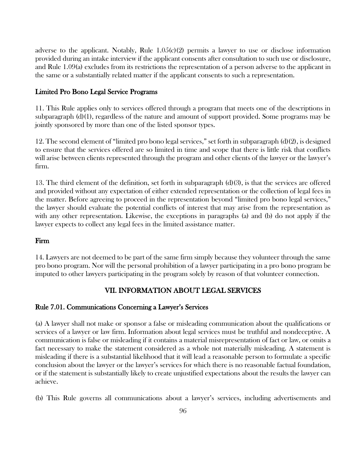adverse to the applicant. Notably, Rule  $1.05(c)(2)$  permits a lawyer to use or disclose information provided during an intake interview if the applicant consents after consultation to such use or disclosure, and Rule 1.09(a) excludes from its restrictions the representation of a person adverse to the applicant in the same or a substantially related matter if the applicant consents to such a representation.

#### Limited Pro Bono Legal Service Programs

11. This Rule applies only to services offered through a program that meets one of the descriptions in subparagraph (d)(1), regardless of the nature and amount of support provided. Some programs may be jointly sponsored by more than one of the listed sponsor types.

12. The second element of "limited pro bono legal services," set forth in subparagraph (d)(2), is designed to ensure that the services offered are so limited in time and scope that there is little risk that conflicts will arise between clients represented through the program and other clients of the lawyer or the lawyer's firm.

13. The third element of the definition, set forth in subparagraph (d)(3), is that the services are offered and provided without any expectation of either extended representation or the collection of legal fees in the matter. Before agreeing to proceed in the representation beyond "limited pro bono legal services," the lawyer should evaluate the potential conflicts of interest that may arise from the representation as with any other representation. Likewise, the exceptions in paragraphs (a) and (b) do not apply if the lawyer expects to collect any legal fees in the limited assistance matter.

#### Firm

14. Lawyers are not deemed to be part of the same firm simply because they volunteer through the same pro bono program. Nor will the personal prohibition of a lawyer participating in a pro bono program be imputed to other lawyers participating in the program solely by reason of that volunteer connection.

## VII. INFORMATION ABOUT LEGAL SERVICES

#### Rule 7.01. Communications Concerning a Lawyer's Services

(a) A lawyer shall not make or sponsor a false or misleading communication about the qualifications or services of a lawyer or law firm. Information about legal services must be truthful and nondeceptive. A communication is false or misleading if it contains a material misrepresentation of fact or law, or omits a fact necessary to make the statement considered as a whole not materially misleading. A statement is misleading if there is a substantial likelihood that it will lead a reasonable person to formulate a specific conclusion about the lawyer or the lawyer's services for which there is no reasonable factual foundation, or if the statement is substantially likely to create unjustified expectations about the results the lawyer can achieve.

(b) This Rule governs all communications about a lawyer's services, including advertisements and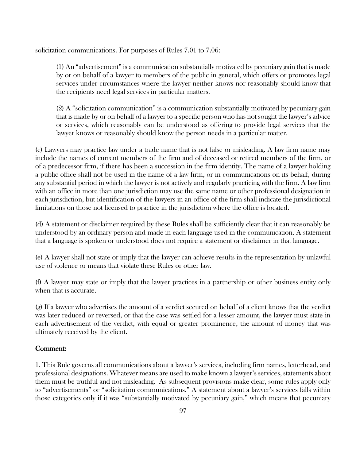solicitation communications. For purposes of Rules 7.01 to 7.06:

(1) An "advertisement" is a communication substantially motivated by pecuniary gain that is made by or on behalf of a lawyer to members of the public in general, which offers or promotes legal services under circumstances where the lawyer neither knows nor reasonably should know that the recipients need legal services in particular matters.

(2) A "solicitation communication" is a communication substantially motivated by pecuniary gain that is made by or on behalf of a lawyer to a specific person who has not sought the lawyer's advice or services, which reasonably can be understood as offering to provide legal services that the lawyer knows or reasonably should know the person needs in a particular matter.

(c) Lawyers may practice law under a trade name that is not false or misleading. A law firm name may include the names of current members of the firm and of deceased or retired members of the firm, or of a predecessor firm, if there has been a succession in the firm identity. The name of a lawyer holding a public office shall not be used in the name of a law firm, or in communications on its behalf, during any substantial period in which the lawyer is not actively and regularly practicing with the firm. A law firm with an office in more than one jurisdiction may use the same name or other professional designation in each jurisdiction, but identification of the lawyers in an office of the firm shall indicate the jurisdictional limitations on those not licensed to practice in the jurisdiction where the office is located.

(d) A statement or disclaimer required by these Rules shall be sufficiently clear that it can reasonably be understood by an ordinary person and made in each language used in the communication. A statement that a language is spoken or understood does not require a statement or disclaimer in that language.

(e) A lawyer shall not state or imply that the lawyer can achieve results in the representation by unlawful use of violence or means that violate these Rules or other law.

(f) A lawyer may state or imply that the lawyer practices in a partnership or other business entity only when that is accurate.

(g) If a lawyer who advertises the amount of a verdict secured on behalf of a client knows that the verdict was later reduced or reversed, or that the case was settled for a lesser amount, the lawyer must state in each advertisement of the verdict, with equal or greater prominence, the amount of money that was ultimately received by the client.

### Comment:

1. This Rule governs all communications about a lawyer's services, including firm names, letterhead, and professional designations. Whatever means are used to make known a lawyer's services, statements about them must be truthful and not misleading. As subsequent provisions make clear, some rules apply only to "advertisements" or "solicitation communications." A statement about a lawyer's services falls within those categories only if it was "substantially motivated by pecuniary gain," which means that pecuniary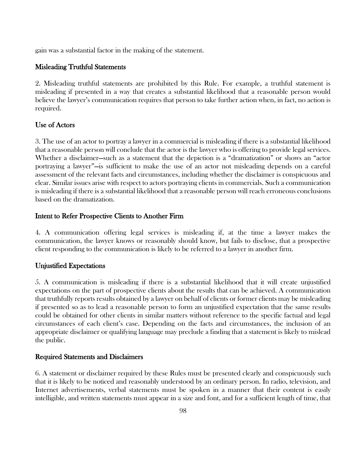gain was a substantial factor in the making of the statement.

### Misleading Truthful Statements

2. Misleading truthful statements are prohibited by this Rule. For example, a truthful statement is misleading if presented in a way that creates a substantial likelihood that a reasonable person would believe the lawyer's communication requires that person to take further action when, in fact, no action is required.

## Use of Actors

3. The use of an actor to portray a lawyer in a commercial is misleading if there is a substantial likelihood that a reasonable person will conclude that the actor is the lawyer who is offering to provide legal services. Whether a disclaimer—such as a statement that the depiction is a "dramatization" or shows an "actor portraying a lawyer"—is sufficient to make the use of an actor not misleading depends on a careful assessment of the relevant facts and circumstances, including whether the disclaimer is conspicuous and clear. Similar issues arise with respect to actors portraying clients in commercials. Such a communication is misleading if there is a substantial likelihood that a reasonable person will reach erroneous conclusions based on the dramatization.

## Intent to Refer Prospective Clients to Another Firm

4. A communication offering legal services is misleading if, at the time a lawyer makes the communication, the lawyer knows or reasonably should know, but fails to disclose, that a prospective client responding to the communication is likely to be referred to a lawyer in another firm.

## Unjustified Expectations

5. A communication is misleading if there is a substantial likelihood that it will create unjustified expectations on the part of prospective clients about the results that can be achieved. A communication that truthfully reports results obtained by a lawyer on behalf of clients or former clients may be misleading if presented so as to lead a reasonable person to form an unjustified expectation that the same results could be obtained for other clients in similar matters without reference to the specific factual and legal circumstances of each client's case. Depending on the facts and circumstances, the inclusion of an appropriate disclaimer or qualifying language may preclude a finding that a statement is likely to mislead the public.

## Required Statements and Disclaimers

6. A statement or disclaimer required by these Rules must be presented clearly and conspicuously such that it is likely to be noticed and reasonably understood by an ordinary person. In radio, television, and Internet advertisements, verbal statements must be spoken in a manner that their content is easily intelligible, and written statements must appear in a size and font, and for a sufficient length of time, that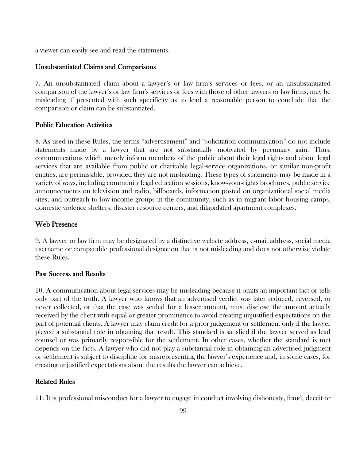a viewer can easily see and read the statements.

#### Unsubstantiated Claims and Comparisons

7. An unsubstantiated claim about a lawyer's or law firm's services or fees, or an unsubstantiated comparison of the lawyer's or law firm's services or fees with those of other lawyers or law firms, may be misleading if presented with such specificity as to lead a reasonable person to conclude that the comparison or claim can be substantiated.

#### Public Education Activities

8. As used in these Rules, the terms "advertisement" and "solicitation communication" do not include statements made by a lawyer that are not substantially motivated by pecuniary gain. Thus, communications which merely inform members of the public about their legal rights and about legal services that are available from public or charitable legal-service organizations, or similar non-profit entities, are permissible, provided they are not misleading. These types of statements may be made in a variety of ways, including community legal education sessions, know-your-rights brochures, public service announcements on television and radio, billboards, information posted on organizational social media sites, and outreach to low-income groups in the community, such as in migrant labor housing camps, domestic violence shelters, disaster resource centers, and dilapidated apartment complexes.

### Web Presence

9. A lawyer or law firm may be designated by a distinctive website address, e-mail address, social media username or comparable professional designation that is not misleading and does not otherwise violate these Rules.

#### Past Success and Results

10. A communication about legal services may be misleading because it omits an important fact or tells only part of the truth. A lawyer who knows that an advertised verdict was later reduced, reversed, or never collected, or that the case was settled for a lesser amount, must disclose the amount actually received by the client with equal or greater prominence to avoid creating unjustified expectations on the part of potential clients. A lawyer may claim credit for a prior judgement or settlement only if the lawyer played a substantial role in obtaining that result. This standard is satisfied if the lawyer served as lead counsel or was primarily responsible for the settlement. In other cases, whether the standard is met depends on the facts. A lawyer who did not play a substantial role in obtaining an advertised judgment or settlement is subject to discipline for misrepresenting the lawyer's experience and, in some cases, for creating unjustified expectations about the results the lawyer can achieve.

#### Related Rules

11. It is professional misconduct for a lawyer to engage in conduct involving dishonesty, fraud, deceit or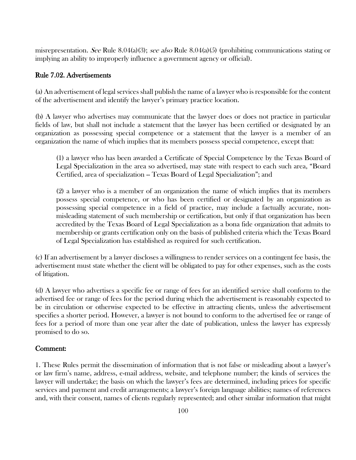misrepresentation. See Rule 8.04(a)(3); see also Rule 8.04(a)(5) (prohibiting communications stating or implying an ability to improperly influence a government agency or official).

## Rule 7.02. Advertisements

(a) An advertisement of legal services shall publish the name of a lawyer who is responsible for the content of the advertisement and identify the lawyer's primary practice location.

(b) A lawyer who advertises may communicate that the lawyer does or does not practice in particular fields of law, but shall not include a statement that the lawyer has been certified or designated by an organization as possessing special competence or a statement that the lawyer is a member of an organization the name of which implies that its members possess special competence, except that:

(1) a lawyer who has been awarded a Certificate of Special Competence by the Texas Board of Legal Specialization in the area so advertised, may state with respect to each such area, "Board Certified, area of specialization -- Texas Board of Legal Specialization"; and

(2) a lawyer who is a member of an organization the name of which implies that its members possess special competence, or who has been certified or designated by an organization as possessing special competence in a field of practice, may include a factually accurate, nonmisleading statement of such membership or certification, but only if that organization has been accredited by the Texas Board of Legal Specialization as a bona fide organization that admits to membership or grants certification only on the basis of published criteria which the Texas Board of Legal Specialization has established as required for such certification.

(c) If an advertisement by a lawyer discloses a willingness to render services on a contingent fee basis, the advertisement must state whether the client will be obligated to pay for other expenses, such as the costs of litigation.

(d) A lawyer who advertises a specific fee or range of fees for an identified service shall conform to the advertised fee or range of fees for the period during which the advertisement is reasonably expected to be in circulation or otherwise expected to be effective in attracting clients, unless the advertisement specifies a shorter period. However, a lawyer is not bound to conform to the advertised fee or range of fees for a period of more than one year after the date of publication, unless the lawyer has expressly promised to do so.

## Comment:

1. These Rules permit the dissemination of information that is not false or misleading about a lawyer's or law firm's name, address, e-mail address, website, and telephone number; the kinds of services the lawyer will undertake; the basis on which the lawyer's fees are determined, including prices for specific services and payment and credit arrangements; a lawyer's foreign language abilities; names of references and, with their consent, names of clients regularly represented; and other similar information that might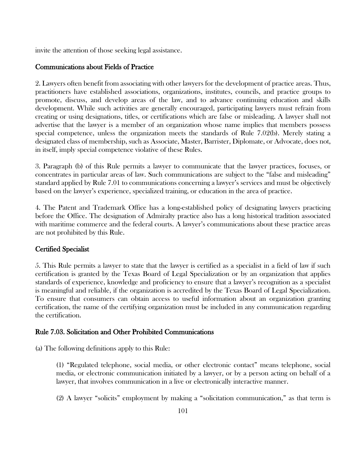invite the attention of those seeking legal assistance.

### Communications about Fields of Practice

2. Lawyers often benefit from associating with other lawyers for the development of practice areas. Thus, practitioners have established associations, organizations, institutes, councils, and practice groups to promote, discuss, and develop areas of the law, and to advance continuing education and skills development. While such activities are generally encouraged, participating lawyers must refrain from creating or using designations, titles, or certifications which are false or misleading. A lawyer shall not advertise that the lawyer is a member of an organization whose name implies that members possess special competence, unless the organization meets the standards of Rule 7.02(b). Merely stating a designated class of membership, such as Associate, Master, Barrister, Diplomate, or Advocate, does not, in itself, imply special competence violative of these Rules.

3. Paragraph (b) of this Rule permits a lawyer to communicate that the lawyer practices, focuses, or concentrates in particular areas of law. Such communications are subject to the "false and misleading" standard applied by Rule 7.01 to communications concerning a lawyer's services and must be objectively based on the lawyer's experience, specialized training, or education in the area of practice.

4. The Patent and Trademark Office has a long-established policy of designating lawyers practicing before the Office. The designation of Admiralty practice also has a long historical tradition associated with maritime commerce and the federal courts. A lawyer's communications about these practice areas are not prohibited by this Rule.

### Certified Specialist

5. This Rule permits a lawyer to state that the lawyer is certified as a specialist in a field of law if such certification is granted by the Texas Board of Legal Specialization or by an organization that applies standards of experience, knowledge and proficiency to ensure that a lawyer's recognition as a specialist is meaningful and reliable, if the organization is accredited by the Texas Board of Legal Specialization. To ensure that consumers can obtain access to useful information about an organization granting certification, the name of the certifying organization must be included in any communication regarding the certification.

### Rule 7.03. Solicitation and Other Prohibited Communications

(a) The following definitions apply to this Rule:

(1) "Regulated telephone, social media, or other electronic contact" means telephone, social media, or electronic communication initiated by a lawyer, or by a person acting on behalf of a lawyer, that involves communication in a live or electronically interactive manner.

(2) A lawyer "solicits" employment by making a "solicitation communication," as that term is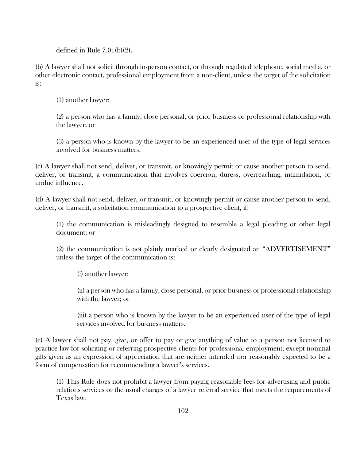defined in Rule 7.01(b)(2).

(b) A lawyer shall not solicit through in-person contact, or through regulated telephone, social media, or other electronic contact, professional employment from a non-client, unless the target of the solicitation is:

(1) another lawyer;

(2) a person who has a family, close personal, or prior business or professional relationship with the lawyer; or

(3) a person who is known by the lawyer to be an experienced user of the type of legal services involved for business matters.

(c) A lawyer shall not send, deliver, or transmit, or knowingly permit or cause another person to send, deliver, or transmit, a communication that involves coercion, duress, overreaching, intimidation, or undue influence.

(d) A lawyer shall not send, deliver, or transmit, or knowingly permit or cause another person to send, deliver, or transmit, a solicitation communication to a prospective client, if:

(1) the communication is misleadingly designed to resemble a legal pleading or other legal document; or

(2) the communication is not plainly marked or clearly designated an "ADVERTISEMENT" unless the target of the communication is:

(i) another lawyer;

(ii) a person who has a family, close personal, or prior business or professional relationship with the lawyer; or

(iii) a person who is known by the lawyer to be an experienced user of the type of legal services involved for business matters.

(e) A lawyer shall not pay, give, or offer to pay or give anything of value to a person not licensed to practice law for soliciting or referring prospective clients for professional employment, except nominal gifts given as an expression of appreciation that are neither intended nor reasonably expected to be a form of compensation for recommending a lawyer's services.

(1) This Rule does not prohibit a lawyer from paying reasonable fees for advertising and public relations services or the usual charges of a lawyer referral service that meets the requirements of Texas law.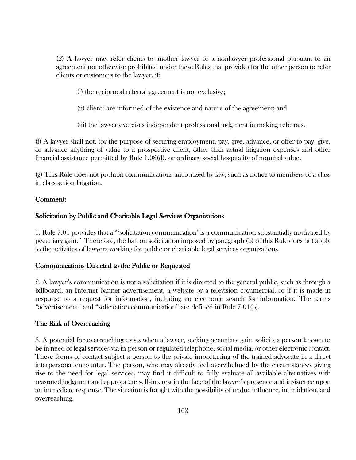(2) A lawyer may refer clients to another lawyer or a nonlawyer professional pursuant to an agreement not otherwise prohibited under these Rules that provides for the other person to refer clients or customers to the lawyer, if:

- (i) the reciprocal referral agreement is not exclusive;
- (ii) clients are informed of the existence and nature of the agreement; and
- (iii) the lawyer exercises independent professional judgment in making referrals.

(f) A lawyer shall not, for the purpose of securing employment, pay, give, advance, or offer to pay, give, or advance anything of value to a prospective client, other than actual litigation expenses and other financial assistance permitted by Rule 1.08(d), or ordinary social hospitality of nominal value.

(g) This Rule does not prohibit communications authorized by law, such as notice to members of a class in class action litigation.

### Comment:

### Solicitation by Public and Charitable Legal Services Organizations

1. Rule 7.01 provides that a "'solicitation communication' is a communication substantially motivated by pecuniary gain." Therefore, the ban on solicitation imposed by paragraph (b) of this Rule does not apply to the activities of lawyers working for public or charitable legal services organizations.

## Communications Directed to the Public or Requested

2. A lawyer's communication is not a solicitation if it is directed to the general public, such as through a billboard, an Internet banner advertisement, a website or a television commercial, or if it is made in response to a request for information, including an electronic search for information. The terms "advertisement" and "solicitation communication" are defined in Rule 7.01(b).

## The Risk of Overreaching

3. A potential for overreaching exists when a lawyer, seeking pecuniary gain, solicits a person known to be in need of legal services via in-person or regulated telephone, social media, or other electronic contact. These forms of contact subject a person to the private importuning of the trained advocate in a direct interpersonal encounter. The person, who may already feel overwhelmed by the circumstances giving rise to the need for legal services, may find it difficult to fully evaluate all available alternatives with reasoned judgment and appropriate self‑interest in the face of the lawyer's presence and insistence upon an immediate response. The situation is fraught with the possibility of undue influence, intimidation, and overreaching.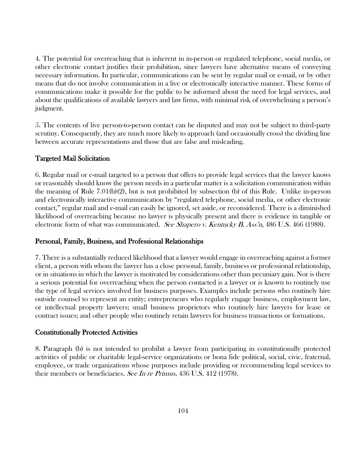4. The potential for overreaching that is inherent in in-person or regulated telephone, social media, or other electronic contact justifies their prohibition, since lawyers have alternative means of conveying necessary information. In particular, communications can be sent by regular mail or e-mail, or by other means that do not involve communication in a live or electronically interactive manner. These forms of communications make it possible for the public to be informed about the need for legal services, and about the qualifications of available lawyers and law firms, with minimal risk of overwhelming a person's judgment.

5. The contents of live person-to-person contact can be disputed and may not be subject to third-party scrutiny. Consequently, they are much more likely to approach (and occasionally cross) the dividing line between accurate representations and those that are false and misleading.

## Targeted Mail Solicitation

6. Regular mail or e-mail targeted to a person that offers to provide legal services that the lawyer knows or reasonably should know the person needs in a particular matter is a solicitation communication within the meaning of Rule 7.01(b)(2), but is not prohibited by subsection (b) of this Rule. Unlike in-person and electronically interactive communication by "regulated telephone, social media, or other electronic contact," regular mail and e-mail can easily be ignored, set aside, or reconsidered. There is a diminished likelihood of overreaching because no lawyer is physically present and there is evidence in tangible or electronic form of what was communicated. See Shapero v. Kentucky B. Ass'n, 486 U.S. 466 (1988).

## Personal, Family, Business, and Professional Relationships

7. There is a substantially reduced likelihood that a lawyer would engage in overreaching against a former client, a person with whom the lawyer has a close personal, family, business or professional relationship, or in situations in which the lawyer is motivated by considerations other than pecuniary gain. Nor is there a serious potential for overreaching when the person contacted is a lawyer or is known to routinely use the type of legal services involved for business purposes. Examples include persons who routinely hire outside counsel to represent an entity; entrepreneurs who regularly engage business, employment law, or intellectual property lawyers; small business proprietors who routinely hire lawyers for lease or contract issues; and other people who routinely retain lawyers for business transactions or formations.

## Constitutionally Protected Activities

8. Paragraph (b) is not intended to prohibit a lawyer from participating in constitutionally protected activities of public or charitable legal-service organizations or bona fide political, social, civic, fraternal, employee, or trade organizations whose purposes include providing or recommending legal services to their members or beneficiaries. See In re Primus, 436 U.S. 412 (1978).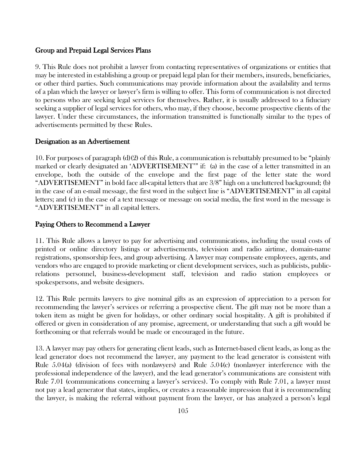### Group and Prepaid Legal Services Plans

9. This Rule does not prohibit a lawyer from contacting representatives of organizations or entities that may be interested in establishing a group or prepaid legal plan for their members, insureds, beneficiaries, or other third parties. Such communications may provide information about the availability and terms of a plan which the lawyer or lawyer's firm is willing to offer. This form of communication is not directed to persons who are seeking legal services for themselves. Rather, it is usually addressed to a fiduciary seeking a supplier of legal services for others, who may, if they choose, become prospective clients of the lawyer. Under these circumstances, the information transmitted is functionally similar to the types of advertisements permitted by these Rules.

### Designation as an Advertisement

10. For purposes of paragraph (d)(2) of this Rule, a communication is rebuttably presumed to be "plainly marked or clearly designated an 'ADVERTISEMENT'" if: (a) in the case of a letter transmitted in an envelope, both the outside of the envelope and the first page of the letter state the word "ADVERTISEMENT" in bold face all-capital letters that are 3/8" high on a uncluttered background; (b) in the case of an e-mail message, the first word in the subject line is "ADVERTISEMENT" in all capital letters; and (c) in the case of a text message or message on social media, the first word in the message is "ADVERTISEMENT" in all capital letters.

### Paying Others to Recommend a Lawyer

11. This Rule allows a lawyer to pay for advertising and communications, including the usual costs of printed or online directory listings or advertisements, television and radio airtime, domain-name registrations, sponsorship fees, and group advertising. A lawyer may compensate employees, agents, and vendors who are engaged to provide marketing or client development services, such as publicists, publicrelations personnel, business-development staff, television and radio station employees or spokespersons, and website designers.

12. This Rule permits lawyers to give nominal gifts as an expression of appreciation to a person for recommending the lawyer's services or referring a prospective client. The gift may not be more than a token item as might be given for holidays, or other ordinary social hospitality. A gift is prohibited if offered or given in consideration of any promise, agreement, or understanding that such a gift would be forthcoming or that referrals would be made or encouraged in the future.

13. A lawyer may pay others for generating client leads, such as Internet-based client leads, as long as the lead generator does not recommend the lawyer, any payment to the lead generator is consistent with Rule 5.04(a) (division of fees with nonlawyers) and Rule 5.04(c) (nonlawyer interference with the professional independence of the lawyer), and the lead generator's communications are consistent with Rule 7.01 (communications concerning a lawyer's services). To comply with Rule 7.01, a lawyer must not pay a lead generator that states, implies, or creates a reasonable impression that it is recommending the lawyer, is making the referral without payment from the lawyer, or has analyzed a person's legal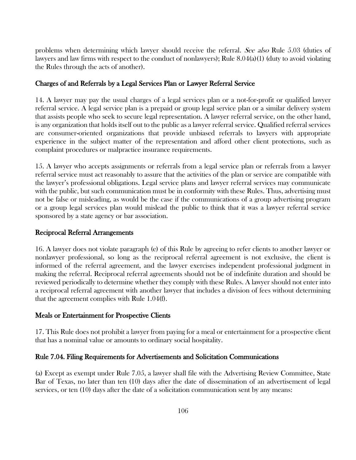problems when determining which lawyer should receive the referral. See also Rule 5.03 (duties of lawyers and law firms with respect to the conduct of nonlawyers); Rule 8.04(a)(1) (duty to avoid violating the Rules through the acts of another).

### Charges of and Referrals by a Legal Services Plan or Lawyer Referral Service

14. A lawyer may pay the usual charges of a legal services plan or a not-for-profit or qualified lawyer referral service. A legal service plan is a prepaid or group legal service plan or a similar delivery system that assists people who seek to secure legal representation. A lawyer referral service, on the other hand, is any organization that holds itself out to the public as a lawyer referral service. Qualified referral services are consumer-oriented organizations that provide unbiased referrals to lawyers with appropriate experience in the subject matter of the representation and afford other client protections, such as complaint procedures or malpractice insurance requirements.

15. A lawyer who accepts assignments or referrals from a legal service plan or referrals from a lawyer referral service must act reasonably to assure that the activities of the plan or service are compatible with the lawyer's professional obligations. Legal service plans and lawyer referral services may communicate with the public, but such communication must be in conformity with these Rules. Thus, advertising must not be false or misleading, as would be the case if the communications of a group advertising program or a group legal services plan would mislead the public to think that it was a lawyer referral service sponsored by a state agency or bar association.

### Reciprocal Referral Arrangements

16. A lawyer does not violate paragraph (e) of this Rule by agreeing to refer clients to another lawyer or nonlawyer professional, so long as the reciprocal referral agreement is not exclusive, the client is informed of the referral agreement, and the lawyer exercises independent professional judgment in making the referral. Reciprocal referral agreements should not be of indefinite duration and should be reviewed periodically to determine whether they comply with these Rules. A lawyer should not enter into a reciprocal referral agreement with another lawyer that includes a division of fees without determining that the agreement complies with Rule 1.04(f).

## Meals or Entertainment for Prospective Clients

17. This Rule does not prohibit a lawyer from paying for a meal or entertainment for a prospective client that has a nominal value or amounts to ordinary social hospitality.

### Rule 7.04. Filing Requirements for Advertisements and Solicitation Communications

(a) Except as exempt under Rule 7.05, a lawyer shall file with the Advertising Review Committee, State Bar of Texas, no later than ten (10) days after the date of dissemination of an advertisement of legal services, or ten (10) days after the date of a solicitation communication sent by any means: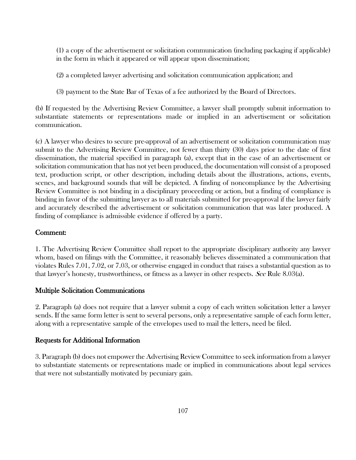(1) a copy of the advertisement or solicitation communication (including packaging if applicable) in the form in which it appeared or will appear upon dissemination;

(2) a completed lawyer advertising and solicitation communication application; and

(3) payment to the State Bar of Texas of a fee authorized by the Board of Directors.

(b) If requested by the Advertising Review Committee, a lawyer shall promptly submit information to substantiate statements or representations made or implied in an advertisement or solicitation communication.

(c) A lawyer who desires to secure pre-approval of an advertisement or solicitation communication may submit to the Advertising Review Committee, not fewer than thirty (30) days prior to the date of first dissemination, the material specified in paragraph (a), except that in the case of an advertisement or solicitation communication that has not yet been produced, the documentation will consist of a proposed text, production script, or other description, including details about the illustrations, actions, events, scenes, and background sounds that will be depicted. A finding of noncompliance by the Advertising Review Committee is not binding in a disciplinary proceeding or action, but a finding of compliance is binding in favor of the submitting lawyer as to all materials submitted for pre-approval if the lawyer fairly and accurately described the advertisement or solicitation communication that was later produced. A finding of compliance is admissible evidence if offered by a party.

### Comment:

1. The Advertising Review Committee shall report to the appropriate disciplinary authority any lawyer whom, based on filings with the Committee, it reasonably believes disseminated a communication that violates Rules 7.01, 7.02, or 7.03, or otherwise engaged in conduct that raises a substantial question as to that lawyer's honesty, trustworthiness, or fitness as a lawyer in other respects. See Rule 8.03(a).

## Multiple Solicitation Communications

2. Paragraph (a) does not require that a lawyer submit a copy of each written solicitation letter a lawyer sends. If the same form letter is sent to several persons, only a representative sample of each form letter, along with a representative sample of the envelopes used to mail the letters, need be filed.

## Requests for Additional Information

3. Paragraph (b) does not empower the Advertising Review Committee to seek information from a lawyer to substantiate statements or representations made or implied in communications about legal services that were not substantially motivated by pecuniary gain.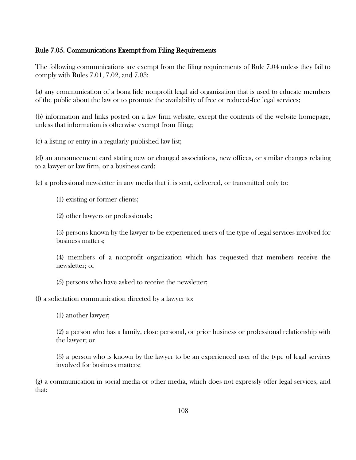## Rule 7.05. Communications Exempt from Filing Requirements

The following communications are exempt from the filing requirements of Rule 7.04 unless they fail to comply with Rules 7.01, 7.02, and 7.03:

(a) any communication of a bona fide nonprofit legal aid organization that is used to educate members of the public about the law or to promote the availability of free or reduced-fee legal services;

(b) information and links posted on a law firm website, except the contents of the website homepage, unless that information is otherwise exempt from filing;

(c) a listing or entry in a regularly published law list;

(d) an announcement card stating new or changed associations, new offices, or similar changes relating to a lawyer or law firm, or a business card;

(e) a professional newsletter in any media that it is sent, delivered, or transmitted only to:

- (1) existing or former clients;
- (2) other lawyers or professionals;

(3) persons known by the lawyer to be experienced users of the type of legal services involved for business matters;

(4) members of a nonprofit organization which has requested that members receive the newsletter; or

(5) persons who have asked to receive the newsletter;

(f) a solicitation communication directed by a lawyer to:

(1) another lawyer;

(2) a person who has a family, close personal, or prior business or professional relationship with the lawyer; or

(3) a person who is known by the lawyer to be an experienced user of the type of legal services involved for business matters;

(g) a communication in social media or other media, which does not expressly offer legal services, and that: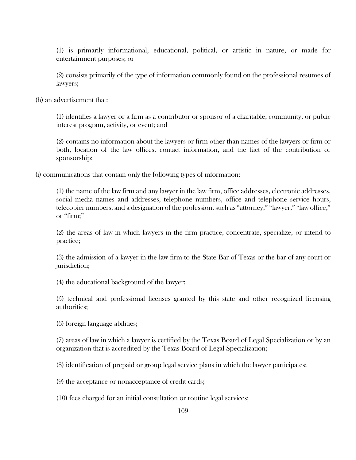(1) is primarily informational, educational, political, or artistic in nature, or made for entertainment purposes; or

(2) consists primarily of the type of information commonly found on the professional resumes of lawyers;

(h) an advertisement that:

(1) identifies a lawyer or a firm as a contributor or sponsor of a charitable, community, or public interest program, activity, or event; and

(2) contains no information about the lawyers or firm other than names of the lawyers or firm or both, location of the law offices, contact information, and the fact of the contribution or sponsorship;

(i) communications that contain only the following types of information:

(1) the name of the law firm and any lawyer in the law firm, office addresses, electronic addresses, social media names and addresses, telephone numbers, office and telephone service hours, telecopier numbers, and a designation of the profession, such as "attorney," "lawyer," "law office," or "firm;"

(2) the areas of law in which lawyers in the firm practice, concentrate, specialize, or intend to practice;

(3) the admission of a lawyer in the law firm to the State Bar of Texas or the bar of any court or jurisdiction;

(4) the educational background of the lawyer;

(5) technical and professional licenses granted by this state and other recognized licensing authorities;

(6) foreign language abilities;

(7) areas of law in which a lawyer is certified by the Texas Board of Legal Specialization or by an organization that is accredited by the Texas Board of Legal Specialization;

(8) identification of prepaid or group legal service plans in which the lawyer participates;

- (9) the acceptance or nonacceptance of credit cards;
- (10) fees charged for an initial consultation or routine legal services;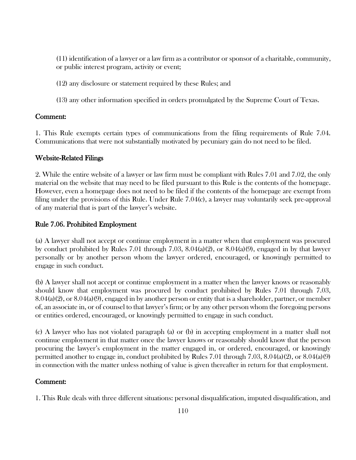(11) identification of a lawyer or a law firm as a contributor or sponsor of a charitable, community, or public interest program, activity or event;

- (12) any disclosure or statement required by these Rules; and
- (13) any other information specified in orders promulgated by the Supreme Court of Texas.

#### Comment:

1. This Rule exempts certain types of communications from the filing requirements of Rule 7.04. Communications that were not substantially motivated by pecuniary gain do not need to be filed.

### Website-Related Filings

2. While the entire website of a lawyer or law firm must be compliant with Rules 7.01 and 7.02, the only material on the website that may need to be filed pursuant to this Rule is the contents of the homepage. However, even a homepage does not need to be filed if the contents of the homepage are exempt from filing under the provisions of this Rule. Under Rule 7.04(c), a lawyer may voluntarily seek pre-approval of any material that is part of the lawyer's website.

## Rule 7.06. Prohibited Employment

(a) A lawyer shall not accept or continue employment in a matter when that employment was procured by conduct prohibited by Rules 7.01 through 7.03, 8.04(a)(2), or 8.04(a)(9), engaged in by that lawyer personally or by another person whom the lawyer ordered, encouraged, or knowingly permitted to engage in such conduct.

(b) A lawyer shall not accept or continue employment in a matter when the lawyer knows or reasonably should know that employment was procured by conduct prohibited by Rules 7.01 through 7.03, 8.04(a)(2), or 8.04(a)(9), engaged in by another person or entity that is a shareholder, partner, or member of, an associate in, or of counsel to that lawyer's firm; or by any other person whom the foregoing persons or entities ordered, encouraged, or knowingly permitted to engage in such conduct.

(c) A lawyer who has not violated paragraph (a) or (b) in accepting employment in a matter shall not continue employment in that matter once the lawyer knows or reasonably should know that the person procuring the lawyer's employment in the matter engaged in, or ordered, encouraged, or knowingly permitted another to engage in, conduct prohibited by Rules 7.01 through 7.03, 8.04(a)(2), or 8.04(a)(9) in connection with the matter unless nothing of value is given thereafter in return for that employment.

### Comment:

1. This Rule deals with three different situations: personal disqualification, imputed disqualification, and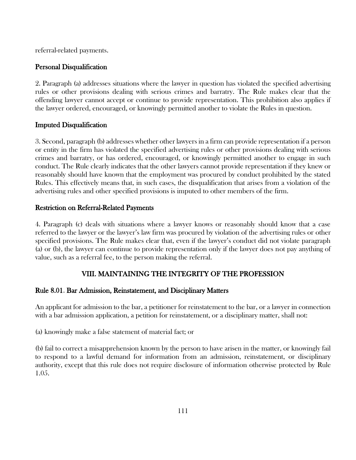referral-related payments.

## Personal Disqualification

2. Paragraph (a) addresses situations where the lawyer in question has violated the specified advertising rules or other provisions dealing with serious crimes and barratry. The Rule makes clear that the offending lawyer cannot accept or continue to provide representation. This prohibition also applies if the lawyer ordered, encouraged, or knowingly permitted another to violate the Rules in question.

# Imputed Disqualification

3. Second, paragraph (b) addresses whether other lawyers in a firm can provide representation if a person or entity in the firm has violated the specified advertising rules or other provisions dealing with serious crimes and barratry, or has ordered, encouraged, or knowingly permitted another to engage in such conduct. The Rule clearly indicates that the other lawyers cannot provide representation if they knew or reasonably should have known that the employment was procured by conduct prohibited by the stated Rules. This effectively means that, in such cases, the disqualification that arises from a violation of the advertising rules and other specified provisions is imputed to other members of the firm.

## Restriction on Referral-Related Payments

4. Paragraph (c) deals with situations where a lawyer knows or reasonably should know that a case referred to the lawyer or the lawyer's law firm was procured by violation of the advertising rules or other specified provisions. The Rule makes clear that, even if the lawyer's conduct did not violate paragraph (a) or (b), the lawyer can continue to provide representation only if the lawyer does not pay anything of value, such as a referral fee, to the person making the referral.

# VIII. MAINTAINING THE INTEGRITY OF THE PROFESSION

# Rule 8.01. Bar Admission, Reinstatement, and Disciplinary Matters

An applicant for admission to the bar, a petitioner for reinstatement to the bar, or a lawyer in connection with a bar admission application, a petition for reinstatement, or a disciplinary matter, shall not:

(a) knowingly make a false statement of material fact; or

(b) fail to correct a misapprehension known by the person to have arisen in the matter, or knowingly fail to respond to a lawful demand for information from an admission, reinstatement, or disciplinary authority, except that this rule does not require disclosure of information otherwise protected by Rule 1.05.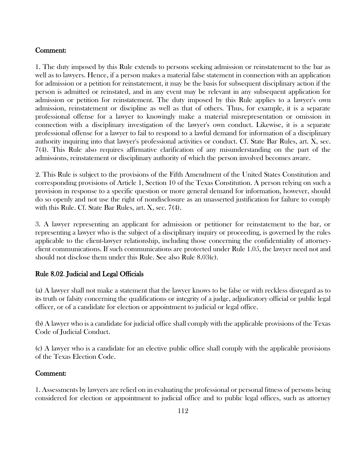#### Comment:

1. The duty imposed by this Rule extends to persons seeking admission or reinstatement to the bar as well as to lawyers. Hence, if a person makes a material false statement in connection with an application for admission or a petition for reinstatement, it may be the basis for subsequent disciplinary action if the person is admitted or reinstated, and in any event may be relevant in any subsequent application for admission or petition for reinstatement. The duty imposed by this Rule applies to a lawyer's own admission, reinstatement or discipline as well as that of others. Thus, for example, it is a separate professional offense for a lawyer to knowingly make a material misrepresentation or omission in connection with a disciplinary investigation of the lawyer's own conduct. Likewise, it is a separate professional offense for a lawyer to fail to respond to a lawful demand for information of a disciplinary authority inquiring into that lawyer's professional activities or conduct. Cf. State Bar Rules, art. X, sec. 7(4). This Rule also requires affirmative clarification of any misunderstanding on the part of the admissions, reinstatement or disciplinary authority of which the person involved becomes aware.

2. This Rule is subject to the provisions of the Fifth Amendment of the United States Constitution and corresponding provisions of Article 1, Section 10 of the Texas Constitution. A person relying on such a provision in response to a specific question or more general demand for information, however, should do so openly and not use the right of nondisclosure as an unasserted justification for failure to comply with this Rule. Cf. State Bar Rules, art. X, sec. 7(4).

3. A lawyer representing an applicant for admission or petitioner for reinstatement to the bar, or representing a lawyer who is the subject of a disciplinary inquiry or proceeding, is governed by the rules applicable to the client-lawyer relationship, including those concerning the confidentiality of attorneyclient communications. If such communications are protected under Rule 1.05, the lawyer need not and should not disclose them under this Rule. See also Rule 8.03(c).

### Rule 8.02. Judicial and Legal Officials

(a) A lawyer shall not make a statement that the lawyer knows to be false or with reckless disregard as to its truth or falsity concerning the qualifications or integrity of a judge, adjudicatory official or public legal officer, or of a candidate for election or appointment to judicial or legal office.

(b) A lawyer who is a candidate for judicial office shall comply with the applicable provisions of the Texas Code of Judicial Conduct.

(c) A lawyer who is a candidate for an elective public office shall comply with the applicable provisions of the Texas Election Code.

### Comment:

1. Assessments by lawyers are relied on in evaluating the professional or personal fitness of persons being considered for election or appointment to judicial office and to public legal offices, such as attorney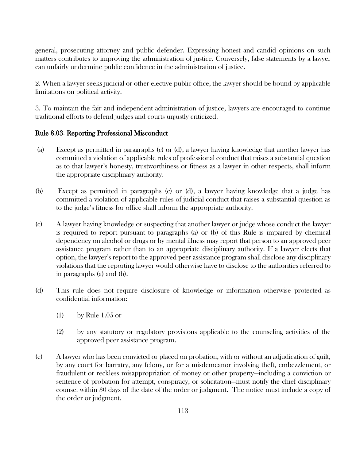general, prosecuting attorney and public defender. Expressing honest and candid opinions on such matters contributes to improving the administration of justice. Conversely, false statements by a lawyer can unfairly undermine public confidence in the administration of justice.

2. When a lawyer seeks judicial or other elective public office, the lawyer should be bound by applicable limitations on political activity.

3. To maintain the fair and independent administration of justice, lawyers are encouraged to continue traditional efforts to defend judges and courts unjustly criticized.

## Rule 8.03. Reporting Professional Misconduct

- (a) Except as permitted in paragraphs (c) or (d), a lawyer having knowledge that another lawyer has committed a violation of applicable rules of professional conduct that raises a substantial question as to that lawyer's honesty, trustworthiness or fitness as a lawyer in other respects, shall inform the appropriate disciplinary authority.
- (b) Except as permitted in paragraphs (c) or (d), a lawyer having knowledge that a judge has committed a violation of applicable rules of judicial conduct that raises a substantial question as to the judge's fitness for office shall inform the appropriate authority.
- (c) A lawyer having knowledge or suspecting that another lawyer or judge whose conduct the lawyer is required to report pursuant to paragraphs (a) or (b) of this Rule is impaired by chemical dependency on alcohol or drugs or by mental illness may report that person to an approved peer assistance program rather than to an appropriate disciplinary authority. If a lawyer elects that option, the lawyer's report to the approved peer assistance program shall disclose any disciplinary violations that the reporting lawyer would otherwise have to disclose to the authorities referred to in paragraphs (a) and (b).
- (d) This rule does not require disclosure of knowledge or information otherwise protected as confidential information:
	- (1) by Rule 1.05 or
	- (2) by any statutory or regulatory provisions applicable to the counseling activities of the approved peer assistance program.
- (e) A lawyer who has been convicted or placed on probation, with or without an adjudication of guilt, by any court for barratry, any felony, or for a misdemeanor involving theft, embezzlement, or fraudulent or reckless misappropriation of money or other property—including a conviction or sentence of probation for attempt, conspiracy, or solicitation—must notify the chief disciplinary counsel within 30 days of the date of the order or judgment. The notice must include a copy of the order or judgment.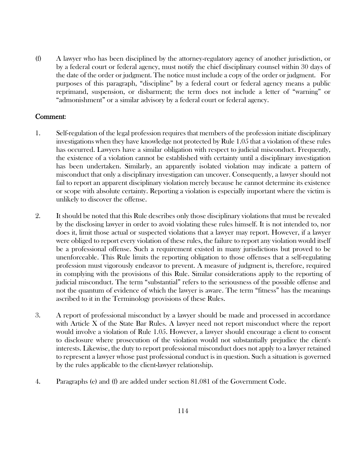(f) A lawyer who has been disciplined by the attorney-regulatory agency of another jurisdiction, or by a federal court or federal agency, must notify the chief disciplinary counsel within 30 days of the date of the order or judgment. The notice must include a copy of the order or judgment. For purposes of this paragraph, "discipline" by a federal court or federal agency means a public reprimand, suspension, or disbarment; the term does not include a letter of "warning" or "admonishment" or a similar advisory by a federal court or federal agency.

#### Comment:

- 1. Self-regulation of the legal profession requires that members of the profession initiate disciplinary investigations when they have knowledge not protected by Rule 1.05 that a violation of these rules has occurred. Lawyers have a similar obligation with respect to judicial misconduct. Frequently, the existence of a violation cannot be established with certainty until a disciplinary investigation has been undertaken. Similarly, an apparently isolated violation may indicate a pattern of misconduct that only a disciplinary investigation can uncover. Consequently, a lawyer should not fail to report an apparent disciplinary violation merely because he cannot determine its existence or scope with absolute certainty. Reporting a violation is especially important where the victim is unlikely to discover the offense.
- 2. It should be noted that this Rule describes only those disciplinary violations that must be revealed by the disclosing lawyer in order to avoid violating these rules himself. It is not intended to, nor does it, limit those actual or suspected violations that a lawyer may report. However, if a lawyer were obliged to report every violation of these rules, the failure to report any violation would itself be a professional offense. Such a requirement existed in many jurisdictions but proved to be unenforceable. This Rule limits the reporting obligation to those offenses that a self-regulating profession must vigorously endeavor to prevent. A measure of judgment is, therefore, required in complying with the provisions of this Rule. Similar considerations apply to the reporting of judicial misconduct. The term "substantial" refers to the seriousness of the possible offense and not the quantum of evidence of which the lawyer is aware. The term "fitness" has the meanings ascribed to it in the Terminology provisions of these Rules.
- 3. A report of professional misconduct by a lawyer should be made and processed in accordance with Article X of the State Bar Rules. A lawyer need not report misconduct where the report would involve a violation of Rule 1.05. However, a lawyer should encourage a client to consent to disclosure where prosecution of the violation would not substantially prejudice the client's interests. Likewise, the duty to report professional misconduct does not apply to a lawyer retained to represent a lawyer whose past professional conduct is in question. Such a situation is governed by the rules applicable to the client-lawyer relationship.
- 4. Paragraphs (e) and (f) are added under section 81.081 of the Government Code.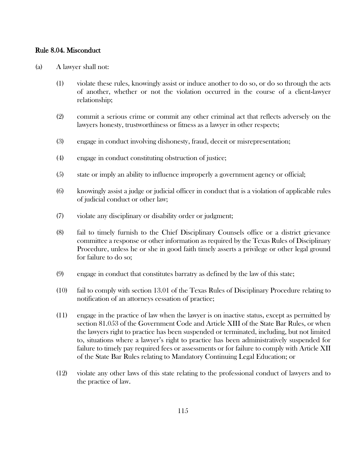#### Rule 8.04. Misconduct

- (a) A lawyer shall not:
	- (1) violate these rules, knowingly assist or induce another to do so, or do so through the acts of another, whether or not the violation occurred in the course of a client-lawyer relationship;
	- (2) commit a serious crime or commit any other criminal act that reflects adversely on the lawyers honesty, trustworthiness or fitness as a lawyer in other respects;
	- (3) engage in conduct involving dishonesty, fraud, deceit or misrepresentation;
	- (4) engage in conduct constituting obstruction of justice;
	- (5) state or imply an ability to influence improperly a government agency or official;
	- (6) knowingly assist a judge or judicial officer in conduct that is a violation of applicable rules of judicial conduct or other law;
	- (7) violate any disciplinary or disability order or judgment;
	- (8) fail to timely furnish to the Chief Disciplinary Counsels office or a district grievance committee a response or other information as required by the Texas Rules of Disciplinary Procedure, unless he or she in good faith timely asserts a privilege or other legal ground for failure to do so;
	- (9) engage in conduct that constitutes barratry as defined by the law of this state;
	- (10) fail to comply with section 13.01 of the Texas Rules of Disciplinary Procedure relating to notification of an attorneys cessation of practice;
	- (11) engage in the practice of law when the lawyer is on inactive status, except as permitted by section 81.053 of the Government Code and Article XIII of the State Bar Rules, or when the lawyers right to practice has been suspended or terminated, including, but not limited to, situations where a lawyer's right to practice has been administratively suspended for failure to timely pay required fees or assessments or for failure to comply with Article XII of the State Bar Rules relating to Mandatory Continuing Legal Education; or
	- (12) violate any other laws of this state relating to the professional conduct of lawyers and to the practice of law.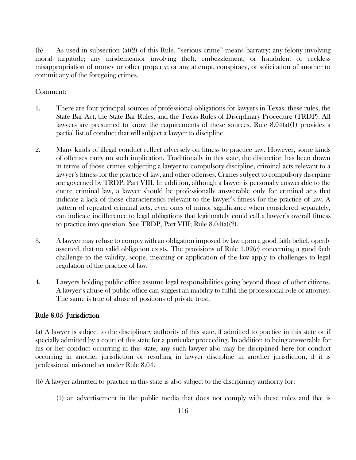(b) As used in subsection (a)(2) of this Rule, "serious crime" means barratry; any felony involving moral turpitude; any misdemeanor involving theft, embezzlement, or fraudulent or reckless misappropriation of money or other property; or any attempt, conspiracy, or solicitation of another to commit any of the foregoing crimes.

#### Comment:

- 1. There are four principal sources of professional obligations for lawyers in Texas: these rules, the State Bar Act, the State Bar Rules, and the Texas Rules of Disciplinary Procedure (TRDP). All lawyers are presumed to know the requirements of these sources. Rule 8.04(a)(1) provides a partial list of conduct that will subject a lawyer to discipline.
- 2. Many kinds of illegal conduct reflect adversely on fitness to practice law. However, some kinds of offenses carry no such implication. Traditionally in this state, the distinction has been drawn in terms of those crimes subjecting a lawyer to compulsory discipline, criminal acts relevant to a lawyer's fitness for the practice of law, and other offenses. Crimes subject to compulsory discipline are governed by TRDP, Part VIII. In addition, although a lawyer is personally answerable to the entire criminal law, a lawyer should be professionally answerable only for criminal acts that indicate a lack of those characteristics relevant to the lawyer's fitness for the practice of law. A pattern of repeated criminal acts, even ones of minor significance when considered separately, can indicate indifference to legal obligations that legitimately could call a lawyer's overall fitness to practice into question. See TRDP, Part VIII; Rule 8.04(a)(2).
- 3. A lawyer may refuse to comply with an obligation imposed by law upon a good faith belief, openly asserted, that no valid obligation exists. The provisions of Rule 1.02(c) concerning a good faith challenge to the validity, scope, meaning or application of the law apply to challenges to legal regulation of the practice of law.
- 4. Lawyers holding public office assume legal responsibilities going beyond those of other citizens. A lawyer's abuse of public office can suggest an inability to fulfill the professional role of attorney. The same is true of abuse of positions of private trust.

### Rule 8.05. Jurisdiction

(a) A lawyer is subject to the disciplinary authority of this state, if admitted to practice in this state or if specially admitted by a court of this state for a particular proceeding. In addition to being answerable for his or her conduct occurring in this state, any such lawyer also may be disciplined here for conduct occurring in another jurisdiction or resulting in lawyer discipline in another jurisdiction, if it is professional misconduct under Rule 8.04.

(b) A lawyer admitted to practice in this state is also subject to the disciplinary authority for:

(1) an advertisement in the public media that does not comply with these rules and that is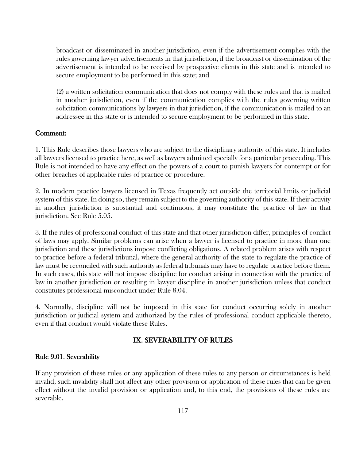broadcast or disseminated in another jurisdiction, even if the advertisement complies with the rules governing lawyer advertisements in that jurisdiction, if the broadcast or dissemination of the advertisement is intended to be received by prospective clients in this state and is intended to secure employment to be performed in this state; and

(2) a written solicitation communication that does not comply with these rules and that is mailed in another jurisdiction, even if the communication complies with the rules governing written solicitation communications by lawyers in that jurisdiction, if the communication is mailed to an addressee in this state or is intended to secure employment to be performed in this state.

#### Comment:

1. This Rule describes those lawyers who are subject to the disciplinary authority of this state. It includes all lawyers licensed to practice here, as well as lawyers admitted specially for a particular proceeding. This Rule is not intended to have any effect on the powers of a court to punish lawyers for contempt or for other breaches of applicable rules of practice or procedure.

2. In modern practice lawyers licensed in Texas frequently act outside the territorial limits or judicial system of this state. In doing so, they remain subject to the governing authority of this state. If their activity in another jurisdiction is substantial and continuous, it may constitute the practice of law in that jurisdiction. See Rule 5.05.

3. If the rules of professional conduct of this state and that other jurisdiction differ, principles of conflict of laws may apply. Similar problems can arise when a lawyer is licensed to practice in more than one jurisdiction and these jurisdictions impose conflicting obligations. A related problem arises with respect to practice before a federal tribunal, where the general authority of the state to regulate the practice of law must be reconciled with such authority as federal tribunals may have to regulate practice before them. In such cases, this state will not impose discipline for conduct arising in connection with the practice of law in another jurisdiction or resulting in lawyer discipline in another jurisdiction unless that conduct constitutes professional misconduct under Rule 8.04.

4. Normally, discipline will not be imposed in this state for conduct occurring solely in another jurisdiction or judicial system and authorized by the rules of professional conduct applicable thereto, even if that conduct would violate these Rules.

### IX. SEVERABILITY OF RULES

### Rule 9.01. Severability

If any provision of these rules or any application of these rules to any person or circumstances is held invalid, such invalidity shall not affect any other provision or application of these rules that can be given effect without the invalid provision or application and, to this end, the provisions of these rules are severable.